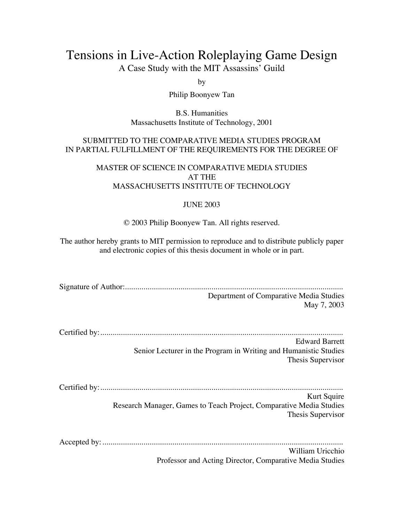# Tensions in Live-Action Roleplaying Game Design

A Case Study with the MIT Assassins' Guild

by

Philip Boonyew Tan

B.S. Humanities Massachusetts Institute of Technology, 2001

#### SUBMITTED TO THE COMPARATIVE MEDIA STUDIES PROGRAM IN PARTIAL FULFILLMENT OF THE REQUIREMENTS FOR THE DEGREE OF

#### MASTER OF SCIENCE IN COMPARATIVE MEDIA STUDIES AT THE MASSACHUSETTS INSTITUTE OF TECHNOLOGY

#### JUNE 2003

© 2003 Philip Boonyew Tan. All rights reserved.

The author hereby grants to MIT permission to reproduce and to distribute publicly paper and electronic copies of this thesis document in whole or in part.

| Department of Comparative Media Studies                             |
|---------------------------------------------------------------------|
| May 7, 2003                                                         |
|                                                                     |
|                                                                     |
| <b>Edward Barrett</b>                                               |
| Senior Lecturer in the Program in Writing and Humanistic Studies    |
| Thesis Supervisor                                                   |
|                                                                     |
|                                                                     |
| Kurt Squire                                                         |
| Research Manager, Games to Teach Project, Comparative Media Studies |
| Thesis Supervisor                                                   |
|                                                                     |
| William Uricchio                                                    |
| Professor and Acting Director, Comparative Media Studies            |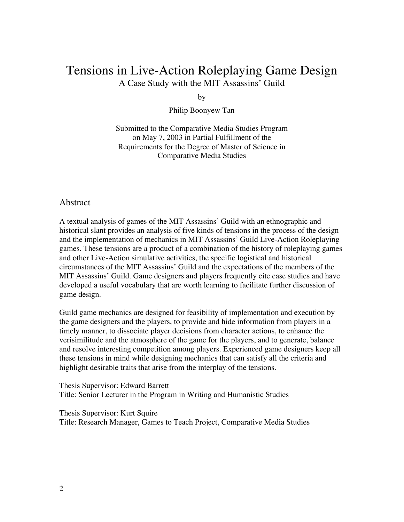## Tensions in Live-Action Roleplaying Game Design A Case Study with the MIT Assassins' Guild

by

Philip Boonyew Tan

Submitted to the Comparative Media Studies Program on May 7, 2003 in Partial Fulfillment of the Requirements for the Degree of Master of Science in Comparative Media Studies

#### Abstract

A textual analysis of games of the MIT Assassins' Guild with an ethnographic and historical slant provides an analysis of five kinds of tensions in the process of the design and the implementation of mechanics in MIT Assassins' Guild Live-Action Roleplaying games. These tensions are a product of a combination of the history of roleplaying games and other Live-Action simulative activities, the specific logistical and historical circumstances of the MIT Assassins' Guild and the expectations of the members of the MIT Assassins' Guild. Game designers and players frequently cite case studies and have developed a useful vocabulary that are worth learning to facilitate further discussion of game design.

Guild game mechanics are designed for feasibility of implementation and execution by the game designers and the players, to provide and hide information from players in a timely manner, to dissociate player decisions from character actions, to enhance the verisimilitude and the atmosphere of the game for the players, and to generate, balance and resolve interesting competition among players. Experienced game designers keep all these tensions in mind while designing mechanics that can satisfy all the criteria and highlight desirable traits that arise from the interplay of the tensions.

Thesis Supervisor: Edward Barrett Title: Senior Lecturer in the Program in Writing and Humanistic Studies

Thesis Supervisor: Kurt Squire Title: Research Manager, Games to Teach Project, Comparative Media Studies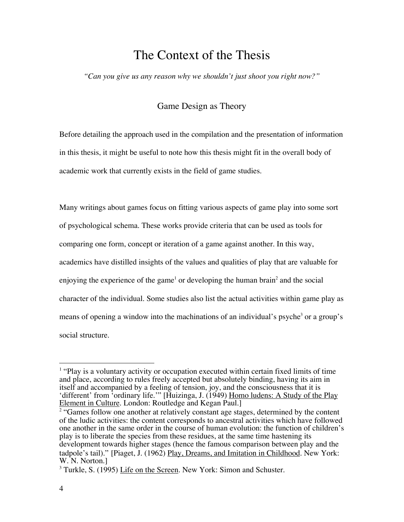# The Context of the Thesis

*"Can you give us any reason why we shouldn't just shoot you right now?"*

## Game Design as Theory

Before detailing the approach used in the compilation and the presentation of information in this thesis, it might be useful to note how this thesis might fit in the overall body of academic work that currently exists in the field of game studies.

Many writings about games focus on fitting various aspects of game play into some sort of psychological schema. These works provide criteria that can be used as tools for comparing one form, concept or iteration of a game against another. In this way, academics have distilled insights of the values and qualities of play that are valuable for enjoying the experience of the game<sup>1</sup> or developing the human brain<sup>2</sup> and the social character of the individual. Some studies also list the actual activities within game play as means of opening a window into the machinations of an individual's psyche<sup>3</sup> or a group's social structure.

 $\frac{1}{1}$  $1$  "Play is a voluntary activity or occupation executed within certain fixed limits of time and place, according to rules freely accepted but absolutely binding, having its aim in itself and accompanied by a feeling of tension, joy, and the consciousness that it is 'different' from 'ordinary life.'" [Huizinga, J. (1949) Homo ludens: A Study of the Play Element in Culture. London: Routledge and Kegan Paul.]

<sup>&</sup>lt;sup>2</sup> "Games follow one another at relatively constant age stages, determined by the content of the ludic activities: the content corresponds to ancestral activities which have followed one another in the same order in the course of human evolution: the function of children's play is to liberate the species from these residues, at the same time hastening its development towards higher stages (hence the famous comparison between play and the tadpole's tail)." [Piaget, J. (1962) Play, Dreams, and Imitation in Childhood. New York: W. N. Norton.]

<sup>&</sup>lt;sup>3</sup> Turkle, S. (1995) Life on the Screen. New York: Simon and Schuster.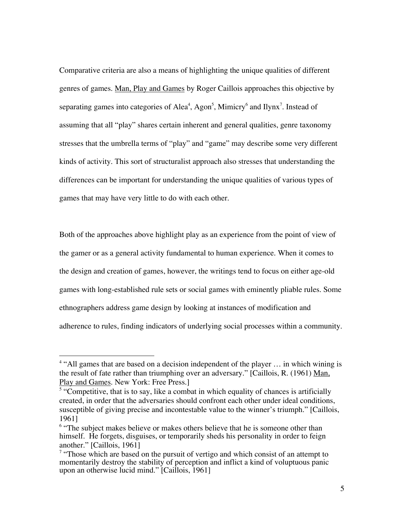Comparative criteria are also a means of highlighting the unique qualities of different genres of games. Man, Play and Games by Roger Caillois approaches this objective by separating games into categories of Alea<sup>4</sup>, Agon<sup>5</sup>, Mimicry<sup>6</sup> and Ilynx<sup>7</sup>. Instead of assuming that all "play" shares certain inherent and general qualities, genre taxonomy stresses that the umbrella terms of "play" and "game" may describe some very different kinds of activity. This sort of structuralist approach also stresses that understanding the differences can be important for understanding the unique qualities of various types of games that may have very little to do with each other.

Both of the approaches above highlight play as an experience from the point of view of the gamer or as a general activity fundamental to human experience. When it comes to the design and creation of games, however, the writings tend to focus on either age-old games with long-established rule sets or social games with eminently pliable rules. Some ethnographers address game design by looking at instances of modification and adherence to rules, finding indicators of underlying social processes within a community.

 $\frac{1}{4}$ <sup>4</sup> "All games that are based on a decision independent of the player ... in which wining is the result of fate rather than triumphing over an adversary." [Caillois, R. (1961) Man, Play and Games. New York: Free Press.]

<sup>&</sup>lt;sup>5</sup> "Competitive, that is to say, like a combat in which equality of chances is artificially created, in order that the adversaries should confront each other under ideal conditions, susceptible of giving precise and incontestable value to the winner's triumph." [Caillois, 1961]

<sup>&</sup>lt;sup>6</sup> "The subject makes believe or makes others believe that he is someone other than himself. He forgets, disguises, or temporarily sheds his personality in order to feign another." [Caillois, 1961]

 $7$  "Those which are based on the pursuit of vertigo and which consist of an attempt to momentarily destroy the stability of perception and inflict a kind of voluptuous panic upon an otherwise lucid mind." [Caillois, 1961]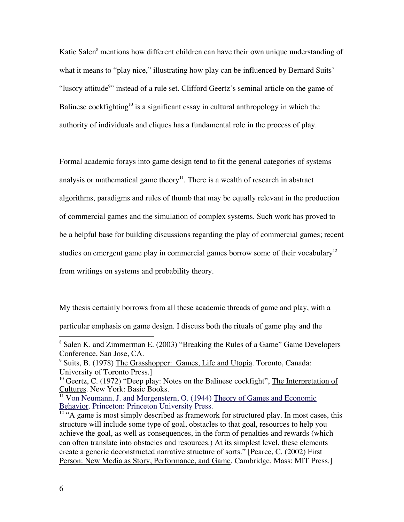Katie Salen<sup>8</sup> mentions how different children can have their own unique understanding of what it means to "play nice," illustrating how play can be influenced by Bernard Suits' "lusory attitude<sup>9</sup>" instead of a rule set. Clifford Geertz's seminal article on the game of Balinese cockfighting<sup>10</sup> is a significant essay in cultural anthropology in which the authority of individuals and cliques has a fundamental role in the process of play.

Formal academic forays into game design tend to fit the general categories of systems analysis or mathematical game theory<sup>11</sup>. There is a wealth of research in abstract algorithms, paradigms and rules of thumb that may be equally relevant in the production of commercial games and the simulation of complex systems. Such work has proved to be a helpful base for building discussions regarding the play of commercial games; recent studies on emergent game play in commercial games borrow some of their vocabulary<sup>12</sup> from writings on systems and probability theory.

My thesis certainly borrows from all these academic threads of game and play, with a particular emphasis on game design. I discuss both the rituals of game play and the

 <sup>8</sup> <sup>8</sup> Salen K. and Zimmerman E. (2003) "Breaking the Rules of a Game" Game Developers Conference, San Jose, CA.

<sup>&</sup>lt;sup>9</sup> Suits, B. (1978) The Grasshopper: Games, Life and Utopia. Toronto, Canada: University of Toronto Press.]

<sup>&</sup>lt;sup>10</sup> Geertz, C. (1972) "Deep play: Notes on the Balinese cockfight", The Interpretation of Cultures. New York: Basic Books.

<sup>&</sup>lt;sup>11</sup> Von Neumann, J. and Morgenstern, O. (1944) Theory of Games and Economic Behavior. Princeton: Princeton University Press.

 $12$  "A game is most simply described as framework for structured play. In most cases, this structure will include some type of goal, obstacles to that goal, resources to help you achieve the goal, as well as consequences, in the form of penalties and rewards (which can often translate into obstacles and resources.) At its simplest level, these elements create a generic deconstructed narrative structure of sorts." [Pearce, C. (2002) First Person: New Media as Story, Performance, and Game. Cambridge, Mass: MIT Press.]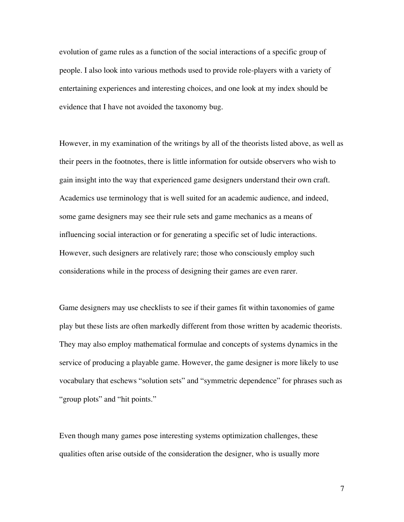evolution of game rules as a function of the social interactions of a specific group of people. I also look into various methods used to provide role-players with a variety of entertaining experiences and interesting choices, and one look at my index should be evidence that I have not avoided the taxonomy bug.

However, in my examination of the writings by all of the theorists listed above, as well as their peers in the footnotes, there is little information for outside observers who wish to gain insight into the way that experienced game designers understand their own craft. Academics use terminology that is well suited for an academic audience, and indeed, some game designers may see their rule sets and game mechanics as a means of influencing social interaction or for generating a specific set of ludic interactions. However, such designers are relatively rare; those who consciously employ such considerations while in the process of designing their games are even rarer.

Game designers may use checklists to see if their games fit within taxonomies of game play but these lists are often markedly different from those written by academic theorists. They may also employ mathematical formulae and concepts of systems dynamics in the service of producing a playable game. However, the game designer is more likely to use vocabulary that eschews "solution sets" and "symmetric dependence" for phrases such as "group plots" and "hit points."

Even though many games pose interesting systems optimization challenges, these qualities often arise outside of the consideration the designer, who is usually more

7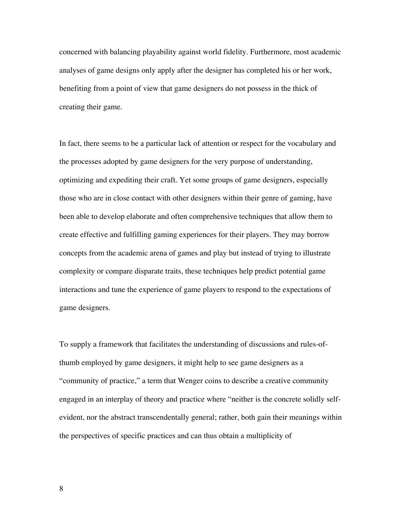concerned with balancing playability against world fidelity. Furthermore, most academic analyses of game designs only apply after the designer has completed his or her work, benefiting from a point of view that game designers do not possess in the thick of creating their game.

In fact, there seems to be a particular lack of attention or respect for the vocabulary and the processes adopted by game designers for the very purpose of understanding, optimizing and expediting their craft. Yet some groups of game designers, especially those who are in close contact with other designers within their genre of gaming, have been able to develop elaborate and often comprehensive techniques that allow them to create effective and fulfilling gaming experiences for their players. They may borrow concepts from the academic arena of games and play but instead of trying to illustrate complexity or compare disparate traits, these techniques help predict potential game interactions and tune the experience of game players to respond to the expectations of game designers.

To supply a framework that facilitates the understanding of discussions and rules-ofthumb employed by game designers, it might help to see game designers as a "community of practice," a term that Wenger coins to describe a creative community engaged in an interplay of theory and practice where "neither is the concrete solidly selfevident, nor the abstract transcendentally general; rather, both gain their meanings within the perspectives of specific practices and can thus obtain a multiplicity of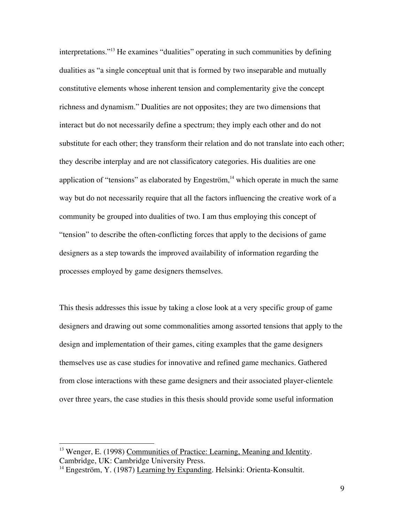interpretations."13 He examines "dualities" operating in such communities by defining dualities as "a single conceptual unit that is formed by two inseparable and mutually constitutive elements whose inherent tension and complementarity give the concept richness and dynamism." Dualities are not opposites; they are two dimensions that interact but do not necessarily define a spectrum; they imply each other and do not substitute for each other; they transform their relation and do not translate into each other; they describe interplay and are not classificatory categories. His dualities are one application of "tensions" as elaborated by Engeström, $14$  which operate in much the same way but do not necessarily require that all the factors influencing the creative work of a community be grouped into dualities of two. I am thus employing this concept of "tension" to describe the often-conflicting forces that apply to the decisions of game designers as a step towards the improved availability of information regarding the processes employed by game designers themselves.

This thesis addresses this issue by taking a close look at a very specific group of game designers and drawing out some commonalities among assorted tensions that apply to the design and implementation of their games, citing examples that the game designers themselves use as case studies for innovative and refined game mechanics. Gathered from close interactions with these game designers and their associated player-clientele over three years, the case studies in this thesis should provide some useful information

<sup>&</sup>lt;sup>13</sup> Wenger, E. (1998) Communities of Practice: Learning, Meaning and Identity. Cambridge, UK: Cambridge University Press.

<sup>&</sup>lt;sup>14</sup> Engeström, Y. (1987) Learning by Expanding. Helsinki: Orienta-Konsultit.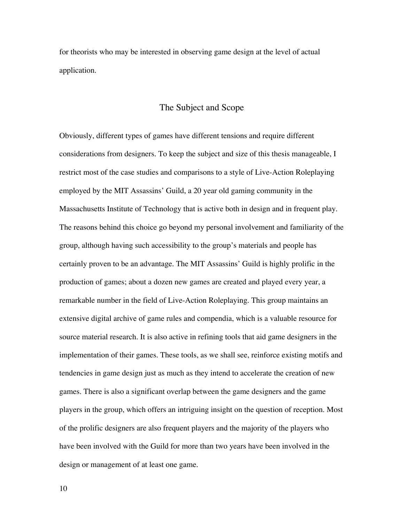for theorists who may be interested in observing game design at the level of actual application.

#### The Subject and Scope

Obviously, different types of games have different tensions and require different considerations from designers. To keep the subject and size of this thesis manageable, I restrict most of the case studies and comparisons to a style of Live-Action Roleplaying employed by the MIT Assassins' Guild, a 20 year old gaming community in the Massachusetts Institute of Technology that is active both in design and in frequent play. The reasons behind this choice go beyond my personal involvement and familiarity of the group, although having such accessibility to the group's materials and people has certainly proven to be an advantage. The MIT Assassins' Guild is highly prolific in the production of games; about a dozen new games are created and played every year, a remarkable number in the field of Live-Action Roleplaying. This group maintains an extensive digital archive of game rules and compendia, which is a valuable resource for source material research. It is also active in refining tools that aid game designers in the implementation of their games. These tools, as we shall see, reinforce existing motifs and tendencies in game design just as much as they intend to accelerate the creation of new games. There is also a significant overlap between the game designers and the game players in the group, which offers an intriguing insight on the question of reception. Most of the prolific designers are also frequent players and the majority of the players who have been involved with the Guild for more than two years have been involved in the design or management of at least one game.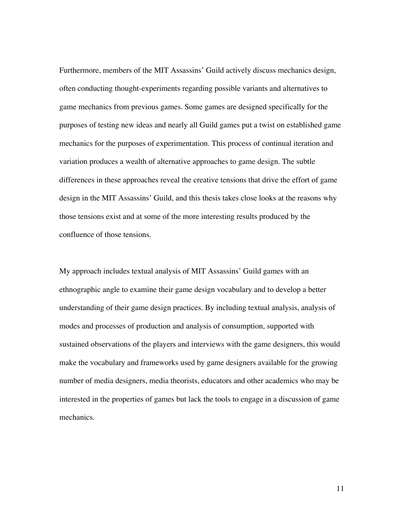Furthermore, members of the MIT Assassins' Guild actively discuss mechanics design, often conducting thought-experiments regarding possible variants and alternatives to game mechanics from previous games. Some games are designed specifically for the purposes of testing new ideas and nearly all Guild games put a twist on established game mechanics for the purposes of experimentation. This process of continual iteration and variation produces a wealth of alternative approaches to game design. The subtle differences in these approaches reveal the creative tensions that drive the effort of game design in the MIT Assassins' Guild, and this thesis takes close looks at the reasons why those tensions exist and at some of the more interesting results produced by the confluence of those tensions.

My approach includes textual analysis of MIT Assassins' Guild games with an ethnographic angle to examine their game design vocabulary and to develop a better understanding of their game design practices. By including textual analysis, analysis of modes and processes of production and analysis of consumption, supported with sustained observations of the players and interviews with the game designers, this would make the vocabulary and frameworks used by game designers available for the growing number of media designers, media theorists, educators and other academics who may be interested in the properties of games but lack the tools to engage in a discussion of game mechanics.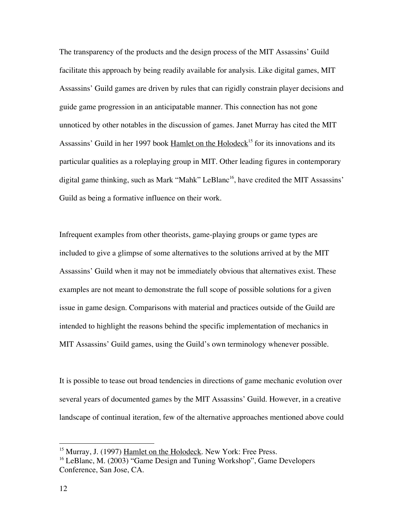The transparency of the products and the design process of the MIT Assassins' Guild facilitate this approach by being readily available for analysis. Like digital games, MIT Assassins' Guild games are driven by rules that can rigidly constrain player decisions and guide game progression in an anticipatable manner. This connection has not gone unnoticed by other notables in the discussion of games. Janet Murray has cited the MIT Assassins' Guild in her 1997 book Hamlet on the Holodeck<sup>15</sup> for its innovations and its particular qualities as a roleplaying group in MIT. Other leading figures in contemporary digital game thinking, such as Mark "Mahk" LeBlanc<sup>16</sup>, have credited the MIT Assassins' Guild as being a formative influence on their work.

Infrequent examples from other theorists, game-playing groups or game types are included to give a glimpse of some alternatives to the solutions arrived at by the MIT Assassins' Guild when it may not be immediately obvious that alternatives exist. These examples are not meant to demonstrate the full scope of possible solutions for a given issue in game design. Comparisons with material and practices outside of the Guild are intended to highlight the reasons behind the specific implementation of mechanics in MIT Assassins' Guild games, using the Guild's own terminology whenever possible.

It is possible to tease out broad tendencies in directions of game mechanic evolution over several years of documented games by the MIT Assassins' Guild. However, in a creative landscape of continual iteration, few of the alternative approaches mentioned above could

<sup>&</sup>lt;sup>15</sup> Murray, J. (1997) Hamlet on the Holodeck. New York: Free Press.

<sup>&</sup>lt;sup>16</sup> LeBlanc, M. (2003) "Game Design and Tuning Workshop", Game Developers Conference, San Jose, CA.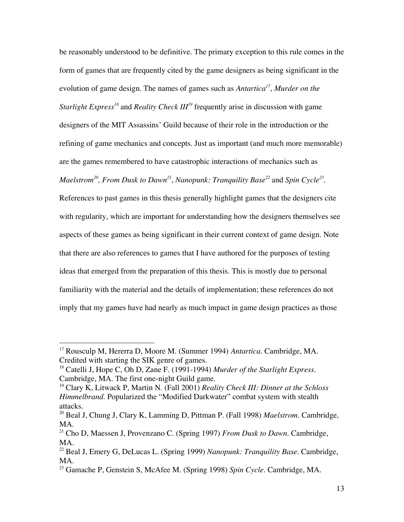be reasonably understood to be definitive. The primary exception to this rule comes in the form of games that are frequently cited by the game designers as being significant in the evolution of game design. The names of games such as *Antartica<sup>17</sup>* , *Murder on the Starlight Express<sup>18</sup>* and *Reality Check III<sup>19</sup> frequently arise in discussion with game* designers of the MIT Assassins' Guild because of their role in the introduction or the refining of game mechanics and concepts. Just as important (and much more memorable) are the games remembered to have catastrophic interactions of mechanics such as Maelstrom<sup>20</sup>, From Dusk to Dawn<sup>21</sup>, Nanopunk: Tranquility Base<sup>22</sup> and Spin Cycle<sup>23</sup>.

References to past games in this thesis generally highlight games that the designers cite with regularity, which are important for understanding how the designers themselves see aspects of these games as being significant in their current context of game design. Note that there are also references to games that I have authored for the purposes of testing ideas that emerged from the preparation of this thesis. This is mostly due to personal familiarity with the material and the details of implementation; these references do not imply that my games have had nearly as much impact in game design practices as those

 <sup>17</sup> Rousculp M, Hererra D, Moore M. (Summer 1994) *Antartica*. Cambridge, MA. Credited with starting the SIK genre of games.

<sup>18</sup> Catelli J, Hope C, Oh D, Zane F. (1991-1994) *Murder of the Starlight Express*. Cambridge, MA. The first one-night Guild game.

<sup>19</sup> Clary K, Litwack P, Martin N. (Fall 2001) *Reality Check III: Dinner at the Schloss Himmelbrand.* Popularized the "Modified Darkwater" combat system with stealth attacks.

<sup>20</sup> Beal J, Chung J, Clary K, Lamming D, Pittman P. (Fall 1998) *Maelstrom*. Cambridge, MA.

<sup>21</sup> Cho D, Maessen J, Provenzano C. (Spring 1997) *From Dusk to Dawn*. Cambridge, MA.

<sup>22</sup> Beal J, Emery G, DeLucas L. (Spring 1999) *Nanopunk: Tranquility Base*. Cambridge, MA.

<sup>23</sup> Gamache P, Genstein S, McAfee M. (Spring 1998) *Spin Cycle*. Cambridge, MA.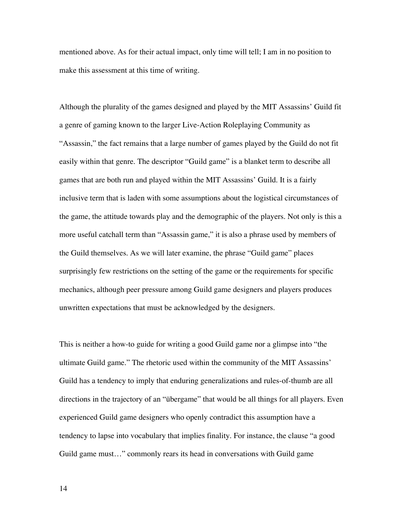mentioned above. As for their actual impact, only time will tell; I am in no position to make this assessment at this time of writing.

Although the plurality of the games designed and played by the MIT Assassins' Guild fit a genre of gaming known to the larger Live-Action Roleplaying Community as "Assassin," the fact remains that a large number of games played by the Guild do not fit easily within that genre. The descriptor "Guild game" is a blanket term to describe all games that are both run and played within the MIT Assassins' Guild. It is a fairly inclusive term that is laden with some assumptions about the logistical circumstances of the game, the attitude towards play and the demographic of the players. Not only is this a more useful catchall term than "Assassin game," it is also a phrase used by members of the Guild themselves. As we will later examine, the phrase "Guild game" places surprisingly few restrictions on the setting of the game or the requirements for specific mechanics, although peer pressure among Guild game designers and players produces unwritten expectations that must be acknowledged by the designers.

This is neither a how-to guide for writing a good Guild game nor a glimpse into "the ultimate Guild game." The rhetoric used within the community of the MIT Assassins' Guild has a tendency to imply that enduring generalizations and rules-of-thumb are all directions in the trajectory of an "übergame" that would be all things for all players. Even experienced Guild game designers who openly contradict this assumption have a tendency to lapse into vocabulary that implies finality. For instance, the clause "a good Guild game must…" commonly rears its head in conversations with Guild game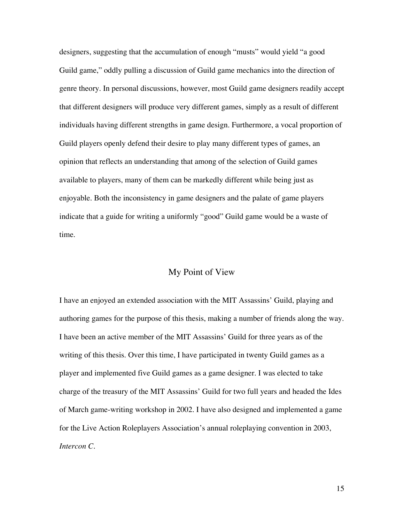designers, suggesting that the accumulation of enough "musts" would yield "a good Guild game," oddly pulling a discussion of Guild game mechanics into the direction of genre theory. In personal discussions, however, most Guild game designers readily accept that different designers will produce very different games, simply as a result of different individuals having different strengths in game design. Furthermore, a vocal proportion of Guild players openly defend their desire to play many different types of games, an opinion that reflects an understanding that among of the selection of Guild games available to players, many of them can be markedly different while being just as enjoyable. Both the inconsistency in game designers and the palate of game players indicate that a guide for writing a uniformly "good" Guild game would be a waste of time.

#### My Point of View

I have an enjoyed an extended association with the MIT Assassins' Guild, playing and authoring games for the purpose of this thesis, making a number of friends along the way. I have been an active member of the MIT Assassins' Guild for three years as of the writing of this thesis. Over this time, I have participated in twenty Guild games as a player and implemented five Guild games as a game designer. I was elected to take charge of the treasury of the MIT Assassins' Guild for two full years and headed the Ides of March game-writing workshop in 2002. I have also designed and implemented a game for the Live Action Roleplayers Association's annual roleplaying convention in 2003, *Intercon C*.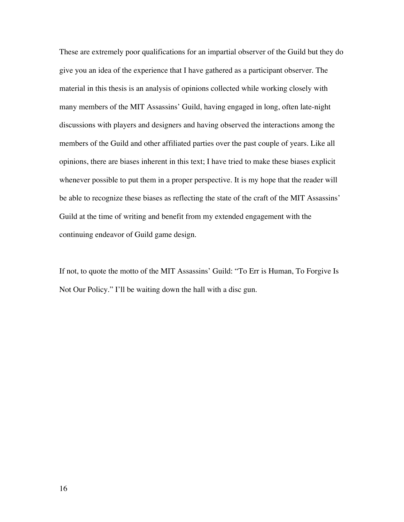These are extremely poor qualifications for an impartial observer of the Guild but they do give you an idea of the experience that I have gathered as a participant observer. The material in this thesis is an analysis of opinions collected while working closely with many members of the MIT Assassins' Guild, having engaged in long, often late-night discussions with players and designers and having observed the interactions among the members of the Guild and other affiliated parties over the past couple of years. Like all opinions, there are biases inherent in this text; I have tried to make these biases explicit whenever possible to put them in a proper perspective. It is my hope that the reader will be able to recognize these biases as reflecting the state of the craft of the MIT Assassins' Guild at the time of writing and benefit from my extended engagement with the continuing endeavor of Guild game design.

If not, to quote the motto of the MIT Assassins' Guild: "To Err is Human, To Forgive Is Not Our Policy." I'll be waiting down the hall with a disc gun.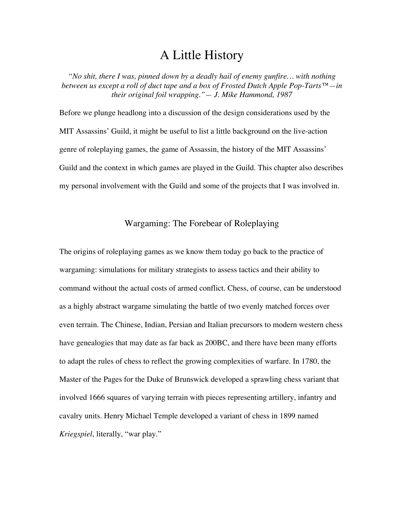# A Little History

*"No shit, there I was, pinned down by a deadly hail of enemy gunfire… with nothing between us except a roll of duct tape and a box of Frosted Dutch Apple Pop-Tarts™—in their original foil wrapping."— J. Mike Hammond, 1987*

Before we plunge headlong into a discussion of the design considerations used by the MIT Assassins' Guild, it might be useful to list a little background on the live-action genre of roleplaying games, the game of Assassin, the history of the MIT Assassins' Guild and the context in which games are played in the Guild. This chapter also describes my personal involvement with the Guild and some of the projects that I was involved in.

#### Wargaming: The Forebear of Roleplaying

The origins of roleplaying games as we know them today go back to the practice of wargaming: simulations for military strategists to assess tactics and their ability to command without the actual costs of armed conflict. Chess, of course, can be understood as a highly abstract wargame simulating the battle of two evenly matched forces over even terrain. The Chinese, Indian, Persian and Italian precursors to modern western chess have genealogies that may date as far back as 200BC, and there have been many efforts to adapt the rules of chess to reflect the growing complexities of warfare. In 1780, the Master of the Pages for the Duke of Brunswick developed a sprawling chess variant that involved 1666 squares of varying terrain with pieces representing artillery, infantry and cavalry units. Henry Michael Temple developed a variant of chess in 1899 named *Kriegspiel*, literally, "war play."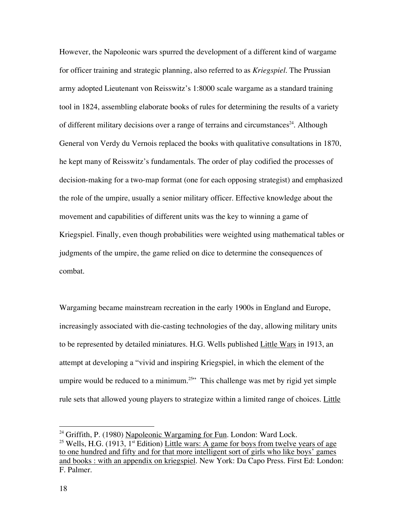However, the Napoleonic wars spurred the development of a different kind of wargame for officer training and strategic planning, also referred to as *Kriegspiel*. The Prussian army adopted Lieutenant von Reisswitz's 1:8000 scale wargame as a standard training tool in 1824, assembling elaborate books of rules for determining the results of a variety of different military decisions over a range of terrains and circumstances<sup>24</sup>. Although General von Verdy du Vernois replaced the books with qualitative consultations in 1870, he kept many of Reisswitz's fundamentals. The order of play codified the processes of decision-making for a two-map format (one for each opposing strategist) and emphasized the role of the umpire, usually a senior military officer. Effective knowledge about the movement and capabilities of different units was the key to winning a game of Kriegspiel. Finally, even though probabilities were weighted using mathematical tables or judgments of the umpire, the game relied on dice to determine the consequences of combat.

Wargaming became mainstream recreation in the early 1900s in England and Europe, increasingly associated with die-casting technologies of the day, allowing military units to be represented by detailed miniatures. H.G. Wells published Little Wars in 1913, an attempt at developing a "vivid and inspiring Kriegspiel, in which the element of the umpire would be reduced to a minimum.<sup>25</sup> This challenge was met by rigid yet simple rule sets that allowed young players to strategize within a limited range of choices. Little

<sup>&</sup>lt;sup>24</sup> Griffith, P. (1980) Napoleonic Wargaming for Fun. London: Ward Lock.

<sup>&</sup>lt;sup>25</sup> Wells, H.G. (1913, 1<sup>st</sup> Edition) <u>Little wars: A game for boys from twelve years of age</u> to one hundred and fifty and for that more intelligent sort of girls who like boys' games and books : with an appendix on kriegspiel. New York: Da Capo Press. First Ed: London: F. Palmer.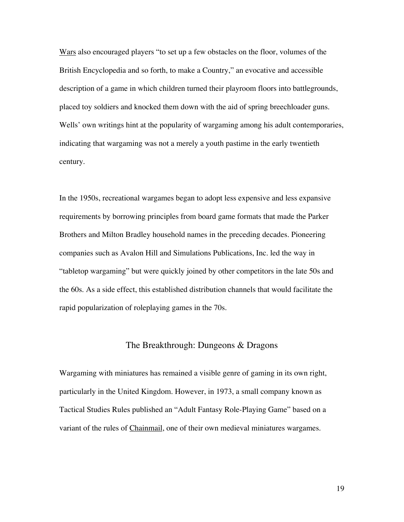Wars also encouraged players "to set up a few obstacles on the floor, volumes of the British Encyclopedia and so forth, to make a Country," an evocative and accessible description of a game in which children turned their playroom floors into battlegrounds, placed toy soldiers and knocked them down with the aid of spring breechloader guns. Wells' own writings hint at the popularity of wargaming among his adult contemporaries, indicating that wargaming was not a merely a youth pastime in the early twentieth century.

In the 1950s, recreational wargames began to adopt less expensive and less expansive requirements by borrowing principles from board game formats that made the Parker Brothers and Milton Bradley household names in the preceding decades. Pioneering companies such as Avalon Hill and Simulations Publications, Inc. led the way in "tabletop wargaming" but were quickly joined by other competitors in the late 50s and the 60s. As a side effect, this established distribution channels that would facilitate the rapid popularization of roleplaying games in the 70s.

#### The Breakthrough: Dungeons & Dragons

Wargaming with miniatures has remained a visible genre of gaming in its own right, particularly in the United Kingdom. However, in 1973, a small company known as Tactical Studies Rules published an "Adult Fantasy Role-Playing Game" based on a variant of the rules of Chainmail, one of their own medieval miniatures wargames.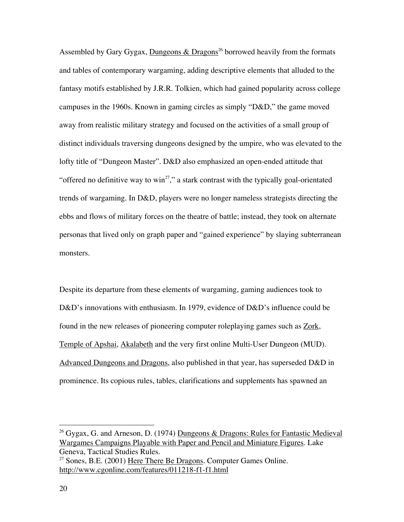Assembled by Gary Gygax, *Dungeons & Dragons<sup>26</sup>* borrowed heavily from the formats and tables of contemporary wargaming, adding descriptive elements that alluded to the fantasy motifs established by J.R.R. Tolkien, which had gained popularity across college campuses in the 1960s. Known in gaming circles as simply "D&D," the game moved away from realistic military strategy and focused on the activities of a small group of distinct individuals traversing dungeons designed by the umpire, who was elevated to the lofty title of "Dungeon Master". D&D also emphasized an open-ended attitude that "offered no definitive way to win<sup>27</sup>," a stark contrast with the typically goal-orientated trends of wargaming. In D&D, players were no longer nameless strategists directing the ebbs and flows of military forces on the theatre of battle; instead, they took on alternate personas that lived only on graph paper and "gained experience" by slaying subterranean monsters.

Despite its departure from these elements of wargaming, gaming audiences took to D&D's innovations with enthusiasm. In 1979, evidence of D&D's influence could be found in the new releases of pioneering computer roleplaying games such as Zork, Temple of Apshai, Akalabeth and the very first online Multi-User Dungeon (MUD). Advanced Dungeons and Dragons, also published in that year, has superseded D&D in prominence. Its copious rules, tables, clarifications and supplements has spawned an

<sup>&</sup>lt;sup>26</sup> Gygax, G. and Arneson, D. (1974) <u>Dungeons & Dragons: Rules for Fantastic Medieval</u> Wargames Campaigns Playable with Paper and Pencil and Miniature Figures. Lake Geneva, Tactical Studies Rules.

<sup>&</sup>lt;sup>27</sup> Sones, B.E. (2001) Here There Be Dragons. Computer Games Online. http://www.cgonline.com/features/011218-f1-f1.html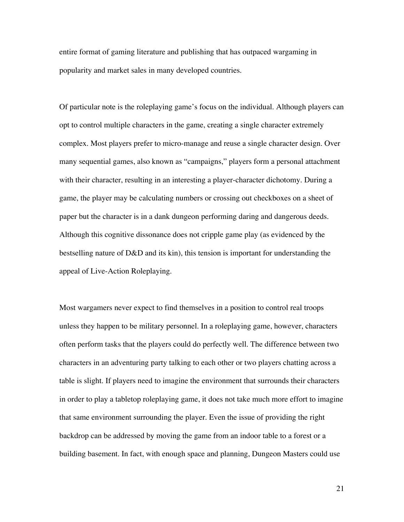entire format of gaming literature and publishing that has outpaced wargaming in popularity and market sales in many developed countries.

Of particular note is the roleplaying game's focus on the individual. Although players can opt to control multiple characters in the game, creating a single character extremely complex. Most players prefer to micro-manage and reuse a single character design. Over many sequential games, also known as "campaigns," players form a personal attachment with their character, resulting in an interesting a player-character dichotomy. During a game, the player may be calculating numbers or crossing out checkboxes on a sheet of paper but the character is in a dank dungeon performing daring and dangerous deeds. Although this cognitive dissonance does not cripple game play (as evidenced by the bestselling nature of D&D and its kin), this tension is important for understanding the appeal of Live-Action Roleplaying.

Most wargamers never expect to find themselves in a position to control real troops unless they happen to be military personnel. In a roleplaying game, however, characters often perform tasks that the players could do perfectly well. The difference between two characters in an adventuring party talking to each other or two players chatting across a table is slight. If players need to imagine the environment that surrounds their characters in order to play a tabletop roleplaying game, it does not take much more effort to imagine that same environment surrounding the player. Even the issue of providing the right backdrop can be addressed by moving the game from an indoor table to a forest or a building basement. In fact, with enough space and planning, Dungeon Masters could use

21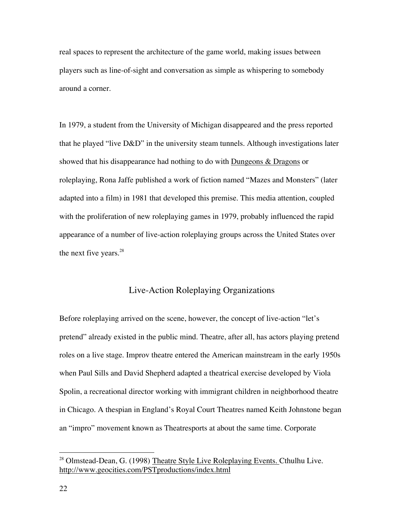real spaces to represent the architecture of the game world, making issues between players such as line-of-sight and conversation as simple as whispering to somebody around a corner.

In 1979, a student from the University of Michigan disappeared and the press reported that he played "live D&D" in the university steam tunnels. Although investigations later showed that his disappearance had nothing to do with Dungeons & Dragons or roleplaying, Rona Jaffe published a work of fiction named "Mazes and Monsters" (later adapted into a film) in 1981 that developed this premise. This media attention, coupled with the proliferation of new roleplaying games in 1979, probably influenced the rapid appearance of a number of live-action roleplaying groups across the United States over the next five years. $28$ 

## Live-Action Roleplaying Organizations

Before roleplaying arrived on the scene, however, the concept of live-action "let's pretend" already existed in the public mind. Theatre, after all, has actors playing pretend roles on a live stage. Improv theatre entered the American mainstream in the early 1950s when Paul Sills and David Shepherd adapted a theatrical exercise developed by Viola Spolin, a recreational director working with immigrant children in neighborhood theatre in Chicago. A thespian in England's Royal Court Theatres named Keith Johnstone began an "impro" movement known as Theatresports at about the same time. Corporate

<sup>&</sup>lt;sup>28</sup> Olmstead-Dean, G. (1998) Theatre Style Live Roleplaying Events. Cthulhu Live. http://www.geocities.com/PSTproductions/index.html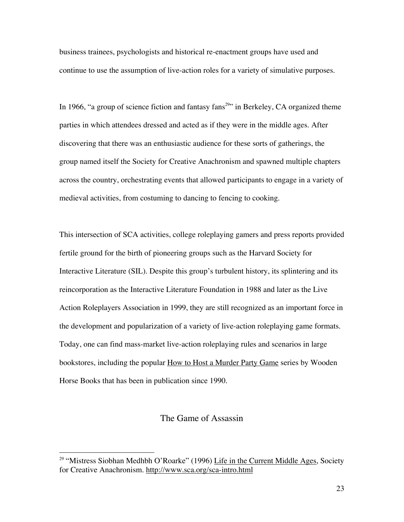business trainees, psychologists and historical re-enactment groups have used and continue to use the assumption of live-action roles for a variety of simulative purposes.

In 1966, "a group of science fiction and fantasy fans<sup>29</sup>" in Berkeley, CA organized theme parties in which attendees dressed and acted as if they were in the middle ages. After discovering that there was an enthusiastic audience for these sorts of gatherings, the group named itself the Society for Creative Anachronism and spawned multiple chapters across the country, orchestrating events that allowed participants to engage in a variety of medieval activities, from costuming to dancing to fencing to cooking.

This intersection of SCA activities, college roleplaying gamers and press reports provided fertile ground for the birth of pioneering groups such as the Harvard Society for Interactive Literature (SIL). Despite this group's turbulent history, its splintering and its reincorporation as the Interactive Literature Foundation in 1988 and later as the Live Action Roleplayers Association in 1999, they are still recognized as an important force in the development and popularization of a variety of live-action roleplaying game formats. Today, one can find mass-market live-action roleplaying rules and scenarios in large bookstores, including the popular How to Host a Murder Party Game series by Wooden Horse Books that has been in publication since 1990.

### The Game of Assassin

<sup>&</sup>lt;sup>29</sup> "Mistress Siobhan Medhbh O'Roarke" (1996) <u>Life in the Current Middle Ages</u>, Society for Creative Anachronism. http://www.sca.org/sca-intro.html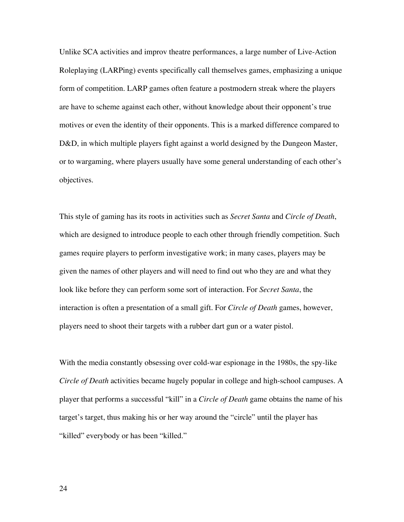Unlike SCA activities and improv theatre performances, a large number of Live-Action Roleplaying (LARPing) events specifically call themselves games, emphasizing a unique form of competition. LARP games often feature a postmodern streak where the players are have to scheme against each other, without knowledge about their opponent's true motives or even the identity of their opponents. This is a marked difference compared to D&D, in which multiple players fight against a world designed by the Dungeon Master, or to wargaming, where players usually have some general understanding of each other's objectives.

This style of gaming has its roots in activities such as *Secret Santa* and *Circle of Death*, which are designed to introduce people to each other through friendly competition. Such games require players to perform investigative work; in many cases, players may be given the names of other players and will need to find out who they are and what they look like before they can perform some sort of interaction. For *Secret Santa*, the interaction is often a presentation of a small gift. For *Circle of Death* games, however, players need to shoot their targets with a rubber dart gun or a water pistol.

With the media constantly obsessing over cold-war espionage in the 1980s, the spy-like *Circle of Death* activities became hugely popular in college and high-school campuses. A player that performs a successful "kill" in a *Circle of Death* game obtains the name of his target's target, thus making his or her way around the "circle" until the player has "killed" everybody or has been "killed."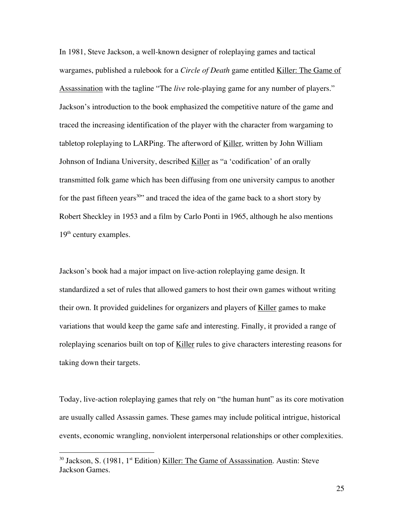In 1981, Steve Jackson, a well-known designer of roleplaying games and tactical wargames, published a rulebook for a *Circle of Death* game entitled Killer: The Game of Assassination with the tagline "The *live* role-playing game for any number of players." Jackson's introduction to the book emphasized the competitive nature of the game and traced the increasing identification of the player with the character from wargaming to tabletop roleplaying to LARPing. The afterword of Killer, written by John William Johnson of Indiana University, described Killer as "a 'codification' of an orally transmitted folk game which has been diffusing from one university campus to another for the past fifteen years<sup>30</sup>" and traced the idea of the game back to a short story by Robert Sheckley in 1953 and a film by Carlo Ponti in 1965, although he also mentions  $19<sup>th</sup>$  century examples.

Jackson's book had a major impact on live-action roleplaying game design. It standardized a set of rules that allowed gamers to host their own games without writing their own. It provided guidelines for organizers and players of Killer games to make variations that would keep the game safe and interesting. Finally, it provided a range of roleplaying scenarios built on top of Killer rules to give characters interesting reasons for taking down their targets.

Today, live-action roleplaying games that rely on "the human hunt" as its core motivation are usually called Assassin games. These games may include political intrigue, historical events, economic wrangling, nonviolent interpersonal relationships or other complexities.

<sup>&</sup>lt;sup>30</sup> Jackson, S. (1981, 1<sup>st</sup> Edition) <u>Killer: The Game of Assassination</u>. Austin: Steve Jackson Games.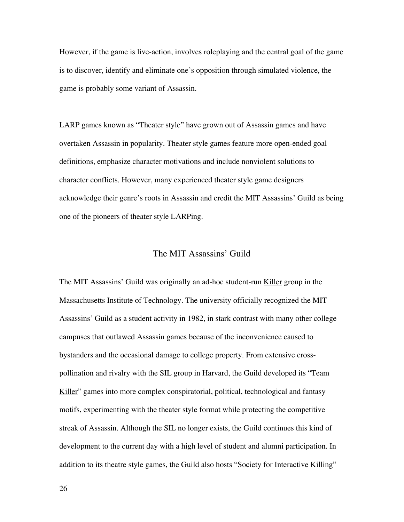However, if the game is live-action, involves roleplaying and the central goal of the game is to discover, identify and eliminate one's opposition through simulated violence, the game is probably some variant of Assassin.

LARP games known as "Theater style" have grown out of Assassin games and have overtaken Assassin in popularity. Theater style games feature more open-ended goal definitions, emphasize character motivations and include nonviolent solutions to character conflicts. However, many experienced theater style game designers acknowledge their genre's roots in Assassin and credit the MIT Assassins' Guild as being one of the pioneers of theater style LARPing.

### The MIT Assassins' Guild

The MIT Assassins' Guild was originally an ad-hoc student-run Killer group in the Massachusetts Institute of Technology. The university officially recognized the MIT Assassins' Guild as a student activity in 1982, in stark contrast with many other college campuses that outlawed Assassin games because of the inconvenience caused to bystanders and the occasional damage to college property. From extensive crosspollination and rivalry with the SIL group in Harvard, the Guild developed its "Team Killer" games into more complex conspiratorial, political, technological and fantasy motifs, experimenting with the theater style format while protecting the competitive streak of Assassin. Although the SIL no longer exists, the Guild continues this kind of development to the current day with a high level of student and alumni participation. In addition to its theatre style games, the Guild also hosts "Society for Interactive Killing"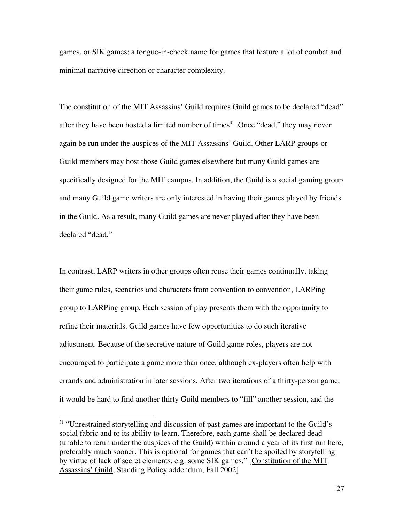games, or SIK games; a tongue-in-cheek name for games that feature a lot of combat and minimal narrative direction or character complexity.

The constitution of the MIT Assassins' Guild requires Guild games to be declared "dead" after they have been hosted a limited number of times $31$ . Once "dead," they may never again be run under the auspices of the MIT Assassins' Guild. Other LARP groups or Guild members may host those Guild games elsewhere but many Guild games are specifically designed for the MIT campus. In addition, the Guild is a social gaming group and many Guild game writers are only interested in having their games played by friends in the Guild. As a result, many Guild games are never played after they have been declared "dead."

In contrast, LARP writers in other groups often reuse their games continually, taking their game rules, scenarios and characters from convention to convention, LARPing group to LARPing group. Each session of play presents them with the opportunity to refine their materials. Guild games have few opportunities to do such iterative adjustment. Because of the secretive nature of Guild game roles, players are not encouraged to participate a game more than once, although ex-players often help with errands and administration in later sessions. After two iterations of a thirty-person game, it would be hard to find another thirty Guild members to "fill" another session, and the

<sup>&</sup>lt;sup>31</sup> "Unrestrained storytelling and discussion of past games are important to the Guild's social fabric and to its ability to learn. Therefore, each game shall be declared dead (unable to rerun under the auspices of the Guild) within around a year of its first run here, preferably much sooner. This is optional for games that can't be spoiled by storytelling by virtue of lack of secret elements, e.g. some SIK games." [Constitution of the MIT Assassins' Guild, Standing Policy addendum, Fall 2002]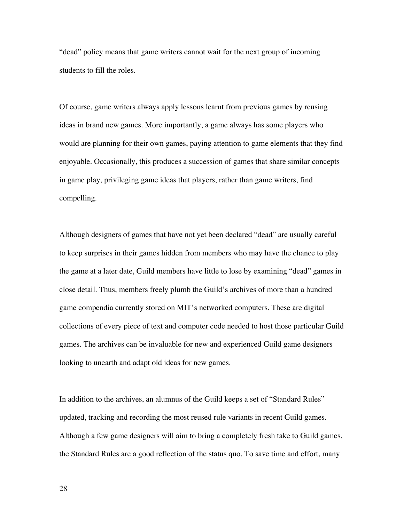"dead" policy means that game writers cannot wait for the next group of incoming students to fill the roles.

Of course, game writers always apply lessons learnt from previous games by reusing ideas in brand new games. More importantly, a game always has some players who would are planning for their own games, paying attention to game elements that they find enjoyable. Occasionally, this produces a succession of games that share similar concepts in game play, privileging game ideas that players, rather than game writers, find compelling.

Although designers of games that have not yet been declared "dead" are usually careful to keep surprises in their games hidden from members who may have the chance to play the game at a later date, Guild members have little to lose by examining "dead" games in close detail. Thus, members freely plumb the Guild's archives of more than a hundred game compendia currently stored on MIT's networked computers. These are digital collections of every piece of text and computer code needed to host those particular Guild games. The archives can be invaluable for new and experienced Guild game designers looking to unearth and adapt old ideas for new games.

In addition to the archives, an alumnus of the Guild keeps a set of "Standard Rules" updated, tracking and recording the most reused rule variants in recent Guild games. Although a few game designers will aim to bring a completely fresh take to Guild games, the Standard Rules are a good reflection of the status quo. To save time and effort, many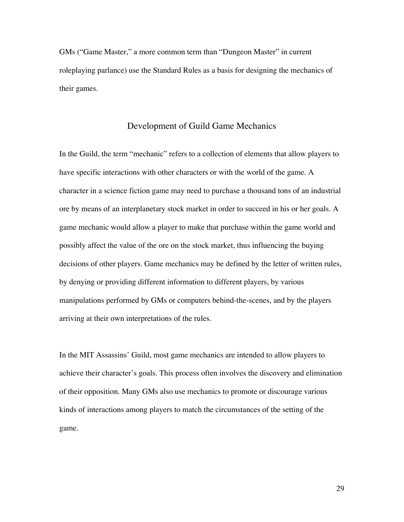GMs ("Game Master," a more common term than "Dungeon Master" in current roleplaying parlance) use the Standard Rules as a basis for designing the mechanics of their games.

#### Development of Guild Game Mechanics

In the Guild, the term "mechanic" refers to a collection of elements that allow players to have specific interactions with other characters or with the world of the game. A character in a science fiction game may need to purchase a thousand tons of an industrial ore by means of an interplanetary stock market in order to succeed in his or her goals. A game mechanic would allow a player to make that purchase within the game world and possibly affect the value of the ore on the stock market, thus influencing the buying decisions of other players. Game mechanics may be defined by the letter of written rules, by denying or providing different information to different players, by various manipulations performed by GMs or computers behind-the-scenes, and by the players arriving at their own interpretations of the rules.

In the MIT Assassins' Guild, most game mechanics are intended to allow players to achieve their character's goals. This process often involves the discovery and elimination of their opposition. Many GMs also use mechanics to promote or discourage various kinds of interactions among players to match the circumstances of the setting of the game.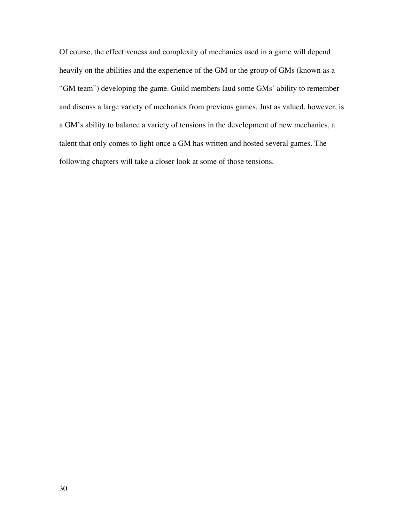Of course, the effectiveness and complexity of mechanics used in a game will depend heavily on the abilities and the experience of the GM or the group of GMs (known as a "GM team") developing the game. Guild members laud some GMs' ability to remember and discuss a large variety of mechanics from previous games. Just as valued, however, is a GM's ability to balance a variety of tensions in the development of new mechanics, a talent that only comes to light once a GM has written and hosted several games. The following chapters will take a closer look at some of those tensions.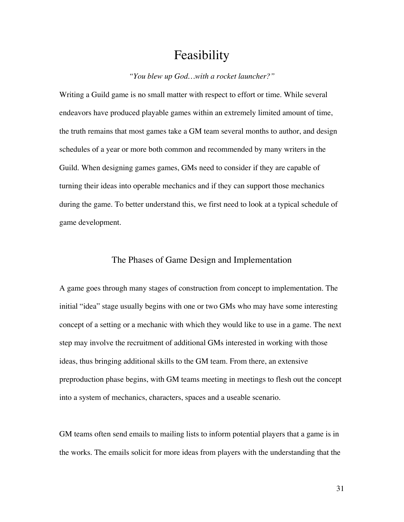# Feasibility

#### *"You blew up God…with a rocket launcher?"*

Writing a Guild game is no small matter with respect to effort or time. While several endeavors have produced playable games within an extremely limited amount of time, the truth remains that most games take a GM team several months to author, and design schedules of a year or more both common and recommended by many writers in the Guild. When designing games games, GMs need to consider if they are capable of turning their ideas into operable mechanics and if they can support those mechanics during the game. To better understand this, we first need to look at a typical schedule of game development.

#### The Phases of Game Design and Implementation

A game goes through many stages of construction from concept to implementation. The initial "idea" stage usually begins with one or two GMs who may have some interesting concept of a setting or a mechanic with which they would like to use in a game. The next step may involve the recruitment of additional GMs interested in working with those ideas, thus bringing additional skills to the GM team. From there, an extensive preproduction phase begins, with GM teams meeting in meetings to flesh out the concept into a system of mechanics, characters, spaces and a useable scenario.

GM teams often send emails to mailing lists to inform potential players that a game is in the works. The emails solicit for more ideas from players with the understanding that the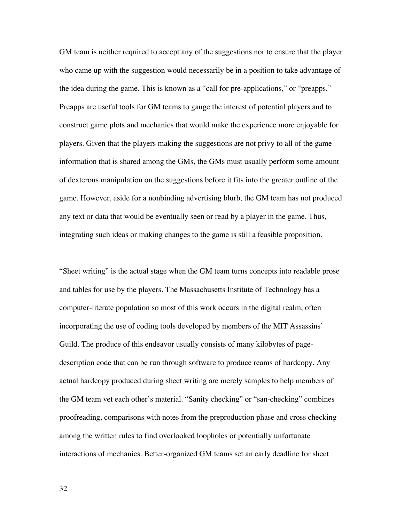GM team is neither required to accept any of the suggestions nor to ensure that the player who came up with the suggestion would necessarily be in a position to take advantage of the idea during the game. This is known as a "call for pre-applications," or "preapps." Preapps are useful tools for GM teams to gauge the interest of potential players and to construct game plots and mechanics that would make the experience more enjoyable for players. Given that the players making the suggestions are not privy to all of the game information that is shared among the GMs, the GMs must usually perform some amount of dexterous manipulation on the suggestions before it fits into the greater outline of the game. However, aside for a nonbinding advertising blurb, the GM team has not produced any text or data that would be eventually seen or read by a player in the game. Thus, integrating such ideas or making changes to the game is still a feasible proposition.

"Sheet writing" is the actual stage when the GM team turns concepts into readable prose and tables for use by the players. The Massachusetts Institute of Technology has a computer-literate population so most of this work occurs in the digital realm, often incorporating the use of coding tools developed by members of the MIT Assassins' Guild. The produce of this endeavor usually consists of many kilobytes of pagedescription code that can be run through software to produce reams of hardcopy. Any actual hardcopy produced during sheet writing are merely samples to help members of the GM team vet each other's material. "Sanity checking" or "san-checking" combines proofreading, comparisons with notes from the preproduction phase and cross checking among the written rules to find overlooked loopholes or potentially unfortunate interactions of mechanics. Better-organized GM teams set an early deadline for sheet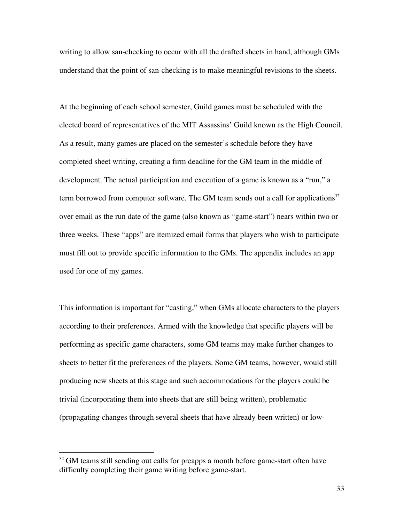writing to allow san-checking to occur with all the drafted sheets in hand, although GMs understand that the point of san-checking is to make meaningful revisions to the sheets.

At the beginning of each school semester, Guild games must be scheduled with the elected board of representatives of the MIT Assassins' Guild known as the High Council. As a result, many games are placed on the semester's schedule before they have completed sheet writing, creating a firm deadline for the GM team in the middle of development. The actual participation and execution of a game is known as a "run," a term borrowed from computer software. The GM team sends out a call for applications<sup>32</sup> over email as the run date of the game (also known as "game-start") nears within two or three weeks. These "apps" are itemized email forms that players who wish to participate must fill out to provide specific information to the GMs. The appendix includes an app used for one of my games.

This information is important for "casting," when GMs allocate characters to the players according to their preferences. Armed with the knowledge that specific players will be performing as specific game characters, some GM teams may make further changes to sheets to better fit the preferences of the players. Some GM teams, however, would still producing new sheets at this stage and such accommodations for the players could be trivial (incorporating them into sheets that are still being written), problematic (propagating changes through several sheets that have already been written) or low-

<sup>&</sup>lt;sup>32</sup> GM teams still sending out calls for preapps a month before game-start often have difficulty completing their game writing before game-start.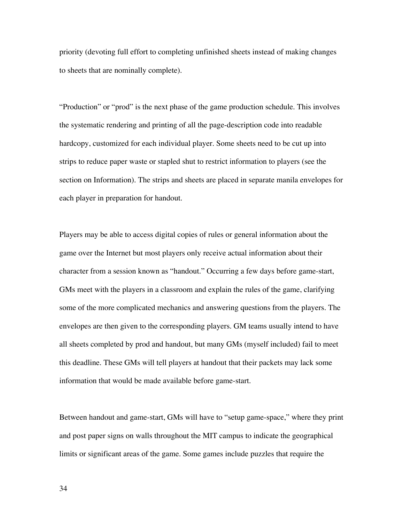priority (devoting full effort to completing unfinished sheets instead of making changes to sheets that are nominally complete).

"Production" or "prod" is the next phase of the game production schedule. This involves the systematic rendering and printing of all the page-description code into readable hardcopy, customized for each individual player. Some sheets need to be cut up into strips to reduce paper waste or stapled shut to restrict information to players (see the section on Information). The strips and sheets are placed in separate manila envelopes for each player in preparation for handout.

Players may be able to access digital copies of rules or general information about the game over the Internet but most players only receive actual information about their character from a session known as "handout." Occurring a few days before game-start, GMs meet with the players in a classroom and explain the rules of the game, clarifying some of the more complicated mechanics and answering questions from the players. The envelopes are then given to the corresponding players. GM teams usually intend to have all sheets completed by prod and handout, but many GMs (myself included) fail to meet this deadline. These GMs will tell players at handout that their packets may lack some information that would be made available before game-start.

Between handout and game-start, GMs will have to "setup game-space," where they print and post paper signs on walls throughout the MIT campus to indicate the geographical limits or significant areas of the game. Some games include puzzles that require the

34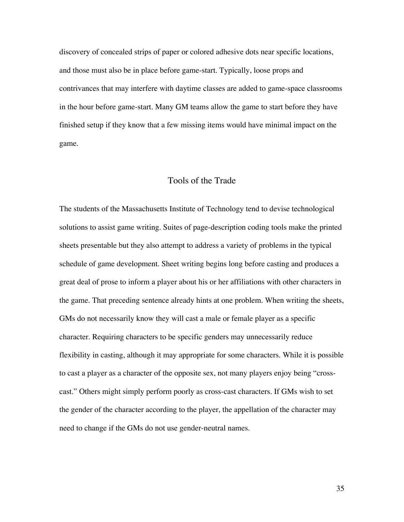discovery of concealed strips of paper or colored adhesive dots near specific locations, and those must also be in place before game-start. Typically, loose props and contrivances that may interfere with daytime classes are added to game-space classrooms in the hour before game-start. Many GM teams allow the game to start before they have finished setup if they know that a few missing items would have minimal impact on the game.

#### Tools of the Trade

The students of the Massachusetts Institute of Technology tend to devise technological solutions to assist game writing. Suites of page-description coding tools make the printed sheets presentable but they also attempt to address a variety of problems in the typical schedule of game development. Sheet writing begins long before casting and produces a great deal of prose to inform a player about his or her affiliations with other characters in the game. That preceding sentence already hints at one problem. When writing the sheets, GMs do not necessarily know they will cast a male or female player as a specific character. Requiring characters to be specific genders may unnecessarily reduce flexibility in casting, although it may appropriate for some characters. While it is possible to cast a player as a character of the opposite sex, not many players enjoy being "crosscast." Others might simply perform poorly as cross-cast characters. If GMs wish to set the gender of the character according to the player, the appellation of the character may need to change if the GMs do not use gender-neutral names.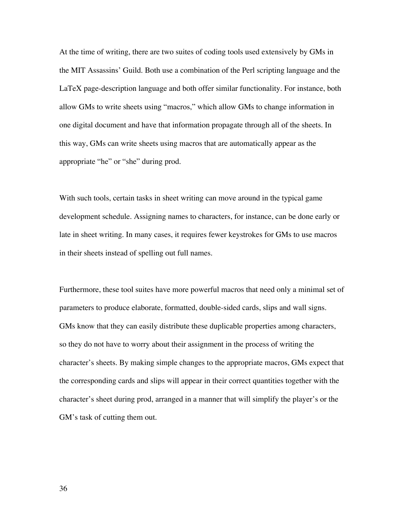At the time of writing, there are two suites of coding tools used extensively by GMs in the MIT Assassins' Guild. Both use a combination of the Perl scripting language and the LaTeX page-description language and both offer similar functionality. For instance, both allow GMs to write sheets using "macros," which allow GMs to change information in one digital document and have that information propagate through all of the sheets. In this way, GMs can write sheets using macros that are automatically appear as the appropriate "he" or "she" during prod.

With such tools, certain tasks in sheet writing can move around in the typical game development schedule. Assigning names to characters, for instance, can be done early or late in sheet writing. In many cases, it requires fewer keystrokes for GMs to use macros in their sheets instead of spelling out full names.

Furthermore, these tool suites have more powerful macros that need only a minimal set of parameters to produce elaborate, formatted, double-sided cards, slips and wall signs. GMs know that they can easily distribute these duplicable properties among characters, so they do not have to worry about their assignment in the process of writing the character's sheets. By making simple changes to the appropriate macros, GMs expect that the corresponding cards and slips will appear in their correct quantities together with the character's sheet during prod, arranged in a manner that will simplify the player's or the GM's task of cutting them out.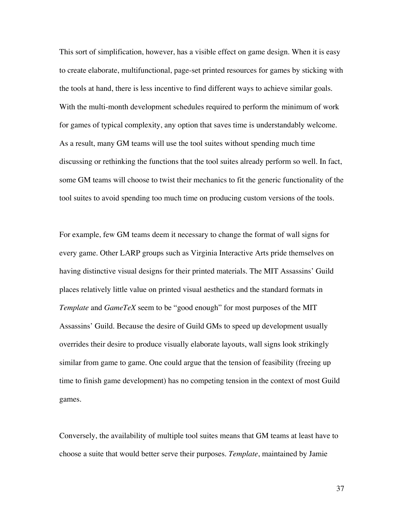This sort of simplification, however, has a visible effect on game design. When it is easy to create elaborate, multifunctional, page-set printed resources for games by sticking with the tools at hand, there is less incentive to find different ways to achieve similar goals. With the multi-month development schedules required to perform the minimum of work for games of typical complexity, any option that saves time is understandably welcome. As a result, many GM teams will use the tool suites without spending much time discussing or rethinking the functions that the tool suites already perform so well. In fact, some GM teams will choose to twist their mechanics to fit the generic functionality of the tool suites to avoid spending too much time on producing custom versions of the tools.

For example, few GM teams deem it necessary to change the format of wall signs for every game. Other LARP groups such as Virginia Interactive Arts pride themselves on having distinctive visual designs for their printed materials. The MIT Assassins' Guild places relatively little value on printed visual aesthetics and the standard formats in *Template* and *GameTeX* seem to be "good enough" for most purposes of the MIT Assassins' Guild. Because the desire of Guild GMs to speed up development usually overrides their desire to produce visually elaborate layouts, wall signs look strikingly similar from game to game. One could argue that the tension of feasibility (freeing up time to finish game development) has no competing tension in the context of most Guild games.

Conversely, the availability of multiple tool suites means that GM teams at least have to choose a suite that would better serve their purposes. *Template*, maintained by Jamie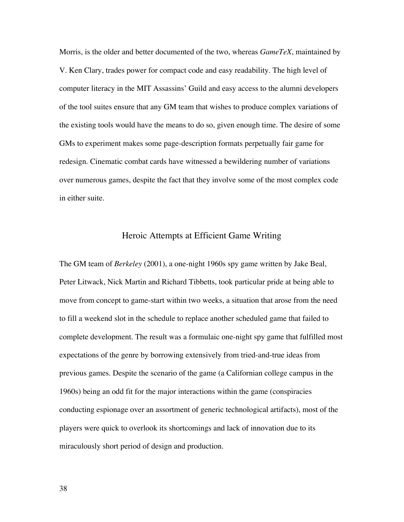Morris, is the older and better documented of the two, whereas *GameTeX*, maintained by V. Ken Clary, trades power for compact code and easy readability. The high level of computer literacy in the MIT Assassins' Guild and easy access to the alumni developers of the tool suites ensure that any GM team that wishes to produce complex variations of the existing tools would have the means to do so, given enough time. The desire of some GMs to experiment makes some page-description formats perpetually fair game for redesign. Cinematic combat cards have witnessed a bewildering number of variations over numerous games, despite the fact that they involve some of the most complex code in either suite.

## Heroic Attempts at Efficient Game Writing

The GM team of *Berkeley* (2001), a one-night 1960s spy game written by Jake Beal, Peter Litwack, Nick Martin and Richard Tibbetts, took particular pride at being able to move from concept to game-start within two weeks, a situation that arose from the need to fill a weekend slot in the schedule to replace another scheduled game that failed to complete development. The result was a formulaic one-night spy game that fulfilled most expectations of the genre by borrowing extensively from tried-and-true ideas from previous games. Despite the scenario of the game (a Californian college campus in the 1960s) being an odd fit for the major interactions within the game (conspiracies conducting espionage over an assortment of generic technological artifacts), most of the players were quick to overlook its shortcomings and lack of innovation due to its miraculously short period of design and production.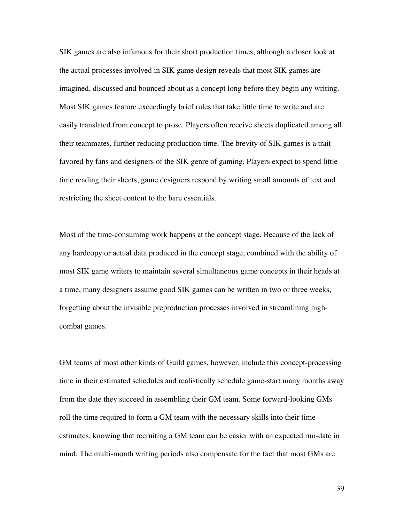SIK games are also infamous for their short production times, although a closer look at the actual processes involved in SIK game design reveals that most SIK games are imagined, discussed and bounced about as a concept long before they begin any writing. Most SIK games feature exceedingly brief rules that take little time to write and are easily translated from concept to prose. Players often receive sheets duplicated among all their teammates, further reducing production time. The brevity of SIK games is a trait favored by fans and designers of the SIK genre of gaming. Players expect to spend little time reading their sheets, game designers respond by writing small amounts of text and restricting the sheet content to the bare essentials.

Most of the time-consuming work happens at the concept stage. Because of the lack of any hardcopy or actual data produced in the concept stage, combined with the ability of most SIK game writers to maintain several simultaneous game concepts in their heads at a time, many designers assume good SIK games can be written in two or three weeks, forgetting about the invisible preproduction processes involved in streamlining highcombat games.

GM teams of most other kinds of Guild games, however, include this concept-processing time in their estimated schedules and realistically schedule game-start many months away from the date they succeed in assembling their GM team. Some forward-looking GMs roll the time required to form a GM team with the necessary skills into their time estimates, knowing that recruiting a GM team can be easier with an expected run-date in mind. The multi-month writing periods also compensate for the fact that most GMs are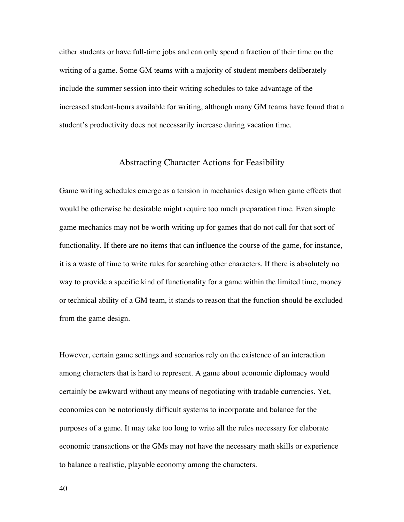either students or have full-time jobs and can only spend a fraction of their time on the writing of a game. Some GM teams with a majority of student members deliberately include the summer session into their writing schedules to take advantage of the increased student-hours available for writing, although many GM teams have found that a student's productivity does not necessarily increase during vacation time.

## Abstracting Character Actions for Feasibility

Game writing schedules emerge as a tension in mechanics design when game effects that would be otherwise be desirable might require too much preparation time. Even simple game mechanics may not be worth writing up for games that do not call for that sort of functionality. If there are no items that can influence the course of the game, for instance, it is a waste of time to write rules for searching other characters. If there is absolutely no way to provide a specific kind of functionality for a game within the limited time, money or technical ability of a GM team, it stands to reason that the function should be excluded from the game design.

However, certain game settings and scenarios rely on the existence of an interaction among characters that is hard to represent. A game about economic diplomacy would certainly be awkward without any means of negotiating with tradable currencies. Yet, economies can be notoriously difficult systems to incorporate and balance for the purposes of a game. It may take too long to write all the rules necessary for elaborate economic transactions or the GMs may not have the necessary math skills or experience to balance a realistic, playable economy among the characters.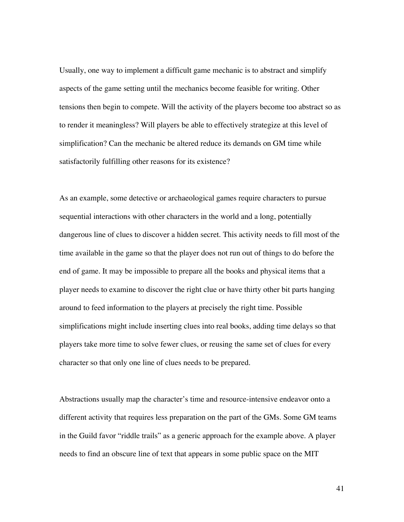Usually, one way to implement a difficult game mechanic is to abstract and simplify aspects of the game setting until the mechanics become feasible for writing. Other tensions then begin to compete. Will the activity of the players become too abstract so as to render it meaningless? Will players be able to effectively strategize at this level of simplification? Can the mechanic be altered reduce its demands on GM time while satisfactorily fulfilling other reasons for its existence?

As an example, some detective or archaeological games require characters to pursue sequential interactions with other characters in the world and a long, potentially dangerous line of clues to discover a hidden secret. This activity needs to fill most of the time available in the game so that the player does not run out of things to do before the end of game. It may be impossible to prepare all the books and physical items that a player needs to examine to discover the right clue or have thirty other bit parts hanging around to feed information to the players at precisely the right time. Possible simplifications might include inserting clues into real books, adding time delays so that players take more time to solve fewer clues, or reusing the same set of clues for every character so that only one line of clues needs to be prepared.

Abstractions usually map the character's time and resource-intensive endeavor onto a different activity that requires less preparation on the part of the GMs. Some GM teams in the Guild favor "riddle trails" as a generic approach for the example above. A player needs to find an obscure line of text that appears in some public space on the MIT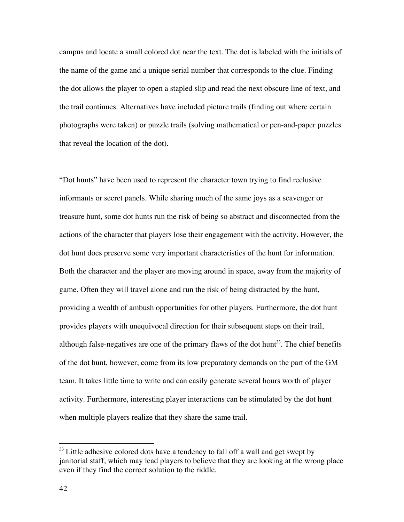campus and locate a small colored dot near the text. The dot is labeled with the initials of the name of the game and a unique serial number that corresponds to the clue. Finding the dot allows the player to open a stapled slip and read the next obscure line of text, and the trail continues. Alternatives have included picture trails (finding out where certain photographs were taken) or puzzle trails (solving mathematical or pen-and-paper puzzles that reveal the location of the dot).

"Dot hunts" have been used to represent the character town trying to find reclusive informants or secret panels. While sharing much of the same joys as a scavenger or treasure hunt, some dot hunts run the risk of being so abstract and disconnected from the actions of the character that players lose their engagement with the activity. However, the dot hunt does preserve some very important characteristics of the hunt for information. Both the character and the player are moving around in space, away from the majority of game. Often they will travel alone and run the risk of being distracted by the hunt, providing a wealth of ambush opportunities for other players. Furthermore, the dot hunt provides players with unequivocal direction for their subsequent steps on their trail, although false-negatives are one of the primary flaws of the dot hunt<sup>33</sup>. The chief benefits of the dot hunt, however, come from its low preparatory demands on the part of the GM team. It takes little time to write and can easily generate several hours worth of player activity. Furthermore, interesting player interactions can be stimulated by the dot hunt when multiple players realize that they share the same trail.

<sup>&</sup>lt;sup>33</sup> Little adhesive colored dots have a tendency to fall off a wall and get swept by janitorial staff, which may lead players to believe that they are looking at the wrong place even if they find the correct solution to the riddle.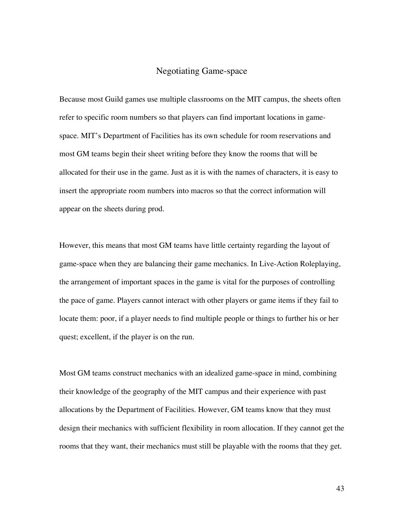## Negotiating Game-space

Because most Guild games use multiple classrooms on the MIT campus, the sheets often refer to specific room numbers so that players can find important locations in gamespace. MIT's Department of Facilities has its own schedule for room reservations and most GM teams begin their sheet writing before they know the rooms that will be allocated for their use in the game. Just as it is with the names of characters, it is easy to insert the appropriate room numbers into macros so that the correct information will appear on the sheets during prod.

However, this means that most GM teams have little certainty regarding the layout of game-space when they are balancing their game mechanics. In Live-Action Roleplaying, the arrangement of important spaces in the game is vital for the purposes of controlling the pace of game. Players cannot interact with other players or game items if they fail to locate them: poor, if a player needs to find multiple people or things to further his or her quest; excellent, if the player is on the run.

Most GM teams construct mechanics with an idealized game-space in mind, combining their knowledge of the geography of the MIT campus and their experience with past allocations by the Department of Facilities. However, GM teams know that they must design their mechanics with sufficient flexibility in room allocation. If they cannot get the rooms that they want, their mechanics must still be playable with the rooms that they get.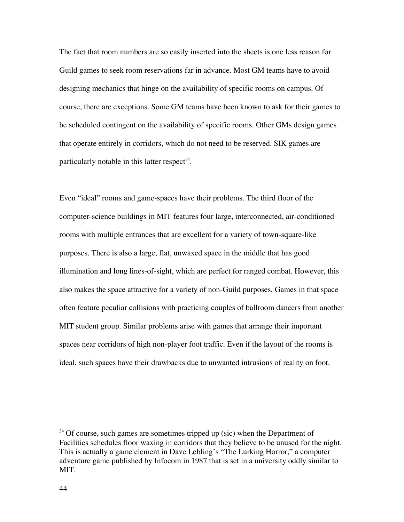The fact that room numbers are so easily inserted into the sheets is one less reason for Guild games to seek room reservations far in advance. Most GM teams have to avoid designing mechanics that hinge on the availability of specific rooms on campus. Of course, there are exceptions. Some GM teams have been known to ask for their games to be scheduled contingent on the availability of specific rooms. Other GMs design games that operate entirely in corridors, which do not need to be reserved. SIK games are particularly notable in this latter respect<sup>34</sup>.

Even "ideal" rooms and game-spaces have their problems. The third floor of the computer-science buildings in MIT features four large, interconnected, air-conditioned rooms with multiple entrances that are excellent for a variety of town-square-like purposes. There is also a large, flat, unwaxed space in the middle that has good illumination and long lines-of-sight, which are perfect for ranged combat. However, this also makes the space attractive for a variety of non-Guild purposes. Games in that space often feature peculiar collisions with practicing couples of ballroom dancers from another MIT student group. Similar problems arise with games that arrange their important spaces near corridors of high non-player foot traffic. Even if the layout of the rooms is ideal, such spaces have their drawbacks due to unwanted intrusions of reality on foot.

<sup>&</sup>lt;sup>34</sup> Of course, such games are sometimes tripped up (sic) when the Department of Facilities schedules floor waxing in corridors that they believe to be unused for the night. This is actually a game element in Dave Lebling's "The Lurking Horror," a computer adventure game published by Infocom in 1987 that is set in a university oddly similar to MIT.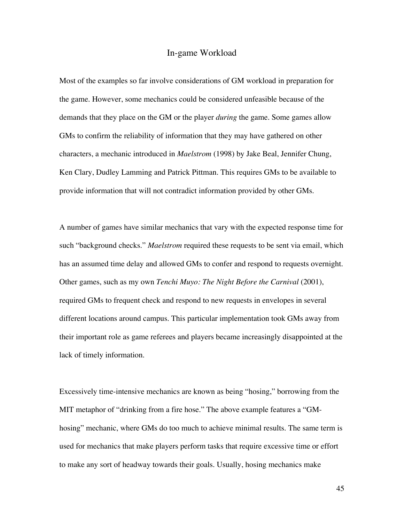### In-game Workload

Most of the examples so far involve considerations of GM workload in preparation for the game. However, some mechanics could be considered unfeasible because of the demands that they place on the GM or the player *during* the game. Some games allow GMs to confirm the reliability of information that they may have gathered on other characters, a mechanic introduced in *Maelstrom* (1998) by Jake Beal, Jennifer Chung, Ken Clary, Dudley Lamming and Patrick Pittman. This requires GMs to be available to provide information that will not contradict information provided by other GMs.

A number of games have similar mechanics that vary with the expected response time for such "background checks." *Maelstrom* required these requests to be sent via email, which has an assumed time delay and allowed GMs to confer and respond to requests overnight. Other games, such as my own *Tenchi Muyo: The Night Before the Carnival* (2001), required GMs to frequent check and respond to new requests in envelopes in several different locations around campus. This particular implementation took GMs away from their important role as game referees and players became increasingly disappointed at the lack of timely information.

Excessively time-intensive mechanics are known as being "hosing," borrowing from the MIT metaphor of "drinking from a fire hose." The above example features a "GMhosing" mechanic, where GMs do too much to achieve minimal results. The same term is used for mechanics that make players perform tasks that require excessive time or effort to make any sort of headway towards their goals. Usually, hosing mechanics make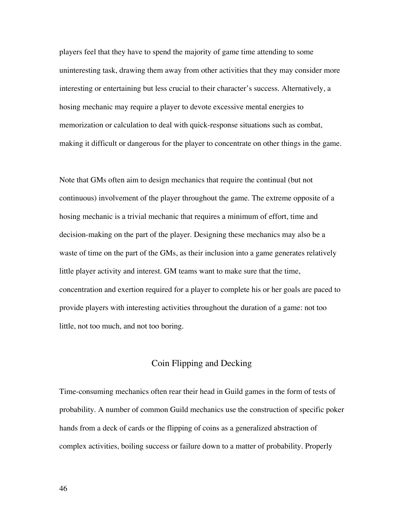players feel that they have to spend the majority of game time attending to some uninteresting task, drawing them away from other activities that they may consider more interesting or entertaining but less crucial to their character's success. Alternatively, a hosing mechanic may require a player to devote excessive mental energies to memorization or calculation to deal with quick-response situations such as combat, making it difficult or dangerous for the player to concentrate on other things in the game.

Note that GMs often aim to design mechanics that require the continual (but not continuous) involvement of the player throughout the game. The extreme opposite of a hosing mechanic is a trivial mechanic that requires a minimum of effort, time and decision-making on the part of the player. Designing these mechanics may also be a waste of time on the part of the GMs, as their inclusion into a game generates relatively little player activity and interest. GM teams want to make sure that the time, concentration and exertion required for a player to complete his or her goals are paced to provide players with interesting activities throughout the duration of a game: not too little, not too much, and not too boring.

## Coin Flipping and Decking

Time-consuming mechanics often rear their head in Guild games in the form of tests of probability. A number of common Guild mechanics use the construction of specific poker hands from a deck of cards or the flipping of coins as a generalized abstraction of complex activities, boiling success or failure down to a matter of probability. Properly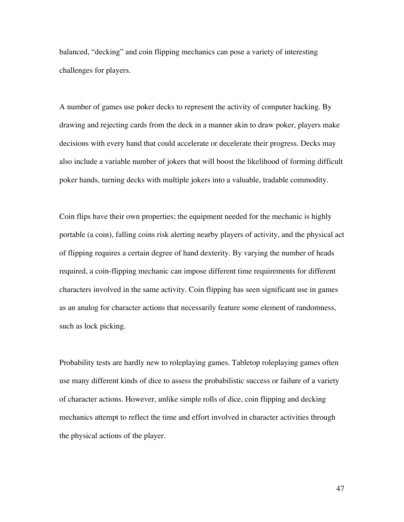balanced, "decking" and coin flipping mechanics can pose a variety of interesting challenges for players.

A number of games use poker decks to represent the activity of computer hacking. By drawing and rejecting cards from the deck in a manner akin to draw poker, players make decisions with every hand that could accelerate or decelerate their progress. Decks may also include a variable number of jokers that will boost the likelihood of forming difficult poker hands, turning decks with multiple jokers into a valuable, tradable commodity.

Coin flips have their own properties; the equipment needed for the mechanic is highly portable (a coin), falling coins risk alerting nearby players of activity, and the physical act of flipping requires a certain degree of hand dexterity. By varying the number of heads required, a coin-flipping mechanic can impose different time requirements for different characters involved in the same activity. Coin flipping has seen significant use in games as an analog for character actions that necessarily feature some element of randomness, such as lock picking.

Probability tests are hardly new to roleplaying games. Tabletop roleplaying games often use many different kinds of dice to assess the probabilistic success or failure of a variety of character actions. However, unlike simple rolls of dice, coin flipping and decking mechanics attempt to reflect the time and effort involved in character activities through the physical actions of the player.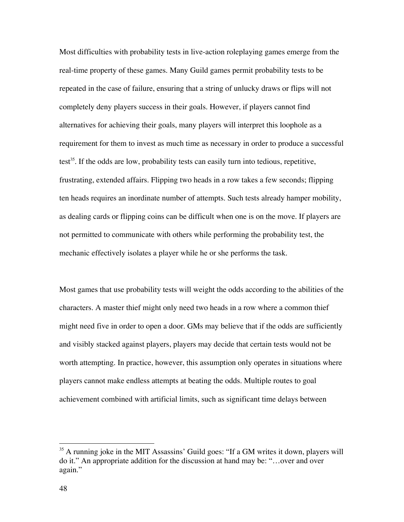Most difficulties with probability tests in live-action roleplaying games emerge from the real-time property of these games. Many Guild games permit probability tests to be repeated in the case of failure, ensuring that a string of unlucky draws or flips will not completely deny players success in their goals. However, if players cannot find alternatives for achieving their goals, many players will interpret this loophole as a requirement for them to invest as much time as necessary in order to produce a successful test<sup>35</sup>. If the odds are low, probability tests can easily turn into tedious, repetitive, frustrating, extended affairs. Flipping two heads in a row takes a few seconds; flipping ten heads requires an inordinate number of attempts. Such tests already hamper mobility, as dealing cards or flipping coins can be difficult when one is on the move. If players are not permitted to communicate with others while performing the probability test, the mechanic effectively isolates a player while he or she performs the task.

Most games that use probability tests will weight the odds according to the abilities of the characters. A master thief might only need two heads in a row where a common thief might need five in order to open a door. GMs may believe that if the odds are sufficiently and visibly stacked against players, players may decide that certain tests would not be worth attempting. In practice, however, this assumption only operates in situations where players cannot make endless attempts at beating the odds. Multiple routes to goal achievement combined with artificial limits, such as significant time delays between

<sup>&</sup>lt;sup>35</sup> A running joke in the MIT Assassins' Guild goes: "If a GM writes it down, players will do it." An appropriate addition for the discussion at hand may be: "…over and over again."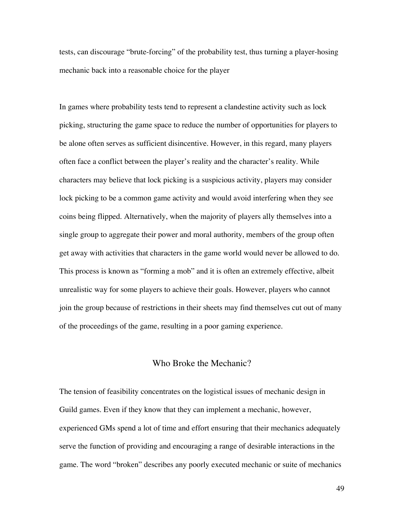tests, can discourage "brute-forcing" of the probability test, thus turning a player-hosing mechanic back into a reasonable choice for the player

In games where probability tests tend to represent a clandestine activity such as lock picking, structuring the game space to reduce the number of opportunities for players to be alone often serves as sufficient disincentive. However, in this regard, many players often face a conflict between the player's reality and the character's reality. While characters may believe that lock picking is a suspicious activity, players may consider lock picking to be a common game activity and would avoid interfering when they see coins being flipped. Alternatively, when the majority of players ally themselves into a single group to aggregate their power and moral authority, members of the group often get away with activities that characters in the game world would never be allowed to do. This process is known as "forming a mob" and it is often an extremely effective, albeit unrealistic way for some players to achieve their goals. However, players who cannot join the group because of restrictions in their sheets may find themselves cut out of many of the proceedings of the game, resulting in a poor gaming experience.

## Who Broke the Mechanic?

The tension of feasibility concentrates on the logistical issues of mechanic design in Guild games. Even if they know that they can implement a mechanic, however, experienced GMs spend a lot of time and effort ensuring that their mechanics adequately serve the function of providing and encouraging a range of desirable interactions in the game. The word "broken" describes any poorly executed mechanic or suite of mechanics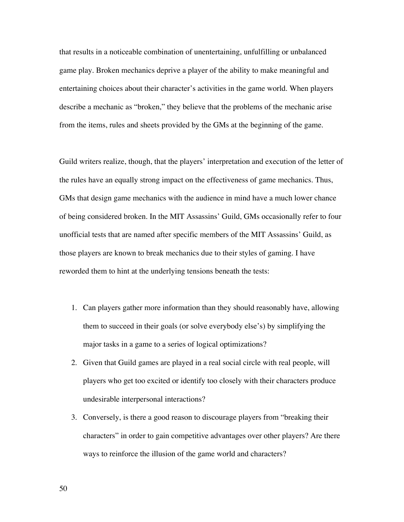that results in a noticeable combination of unentertaining, unfulfilling or unbalanced game play. Broken mechanics deprive a player of the ability to make meaningful and entertaining choices about their character's activities in the game world. When players describe a mechanic as "broken," they believe that the problems of the mechanic arise from the items, rules and sheets provided by the GMs at the beginning of the game.

Guild writers realize, though, that the players' interpretation and execution of the letter of the rules have an equally strong impact on the effectiveness of game mechanics. Thus, GMs that design game mechanics with the audience in mind have a much lower chance of being considered broken. In the MIT Assassins' Guild, GMs occasionally refer to four unofficial tests that are named after specific members of the MIT Assassins' Guild, as those players are known to break mechanics due to their styles of gaming. I have reworded them to hint at the underlying tensions beneath the tests:

- 1. Can players gather more information than they should reasonably have, allowing them to succeed in their goals (or solve everybody else's) by simplifying the major tasks in a game to a series of logical optimizations?
- 2. Given that Guild games are played in a real social circle with real people, will players who get too excited or identify too closely with their characters produce undesirable interpersonal interactions?
- 3. Conversely, is there a good reason to discourage players from "breaking their characters" in order to gain competitive advantages over other players? Are there ways to reinforce the illusion of the game world and characters?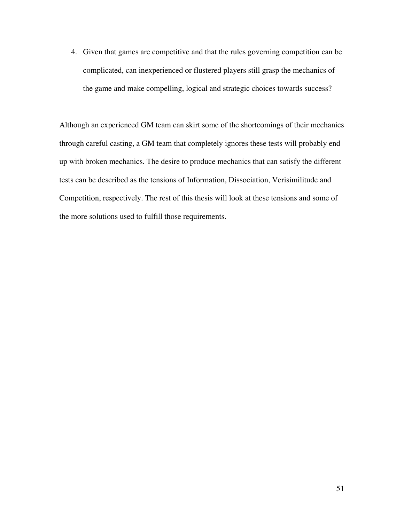4. Given that games are competitive and that the rules governing competition can be complicated, can inexperienced or flustered players still grasp the mechanics of the game and make compelling, logical and strategic choices towards success?

Although an experienced GM team can skirt some of the shortcomings of their mechanics through careful casting, a GM team that completely ignores these tests will probably end up with broken mechanics. The desire to produce mechanics that can satisfy the different tests can be described as the tensions of Information, Dissociation, Verisimilitude and Competition, respectively. The rest of this thesis will look at these tensions and some of the more solutions used to fulfill those requirements.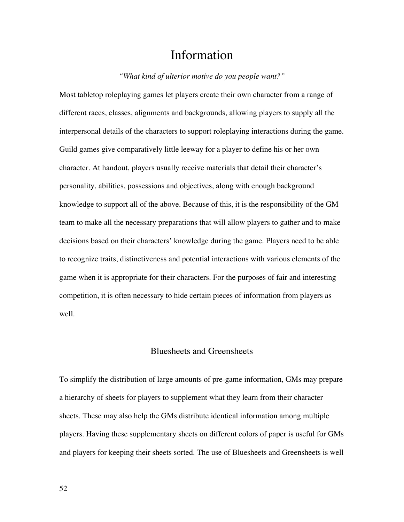# Information

#### *"What kind of ulterior motive do you people want?"*

Most tabletop roleplaying games let players create their own character from a range of different races, classes, alignments and backgrounds, allowing players to supply all the interpersonal details of the characters to support roleplaying interactions during the game. Guild games give comparatively little leeway for a player to define his or her own character. At handout, players usually receive materials that detail their character's personality, abilities, possessions and objectives, along with enough background knowledge to support all of the above. Because of this, it is the responsibility of the GM team to make all the necessary preparations that will allow players to gather and to make decisions based on their characters' knowledge during the game. Players need to be able to recognize traits, distinctiveness and potential interactions with various elements of the game when it is appropriate for their characters. For the purposes of fair and interesting competition, it is often necessary to hide certain pieces of information from players as well.

# Bluesheets and Greensheets

To simplify the distribution of large amounts of pre-game information, GMs may prepare a hierarchy of sheets for players to supplement what they learn from their character sheets. These may also help the GMs distribute identical information among multiple players. Having these supplementary sheets on different colors of paper is useful for GMs and players for keeping their sheets sorted. The use of Bluesheets and Greensheets is well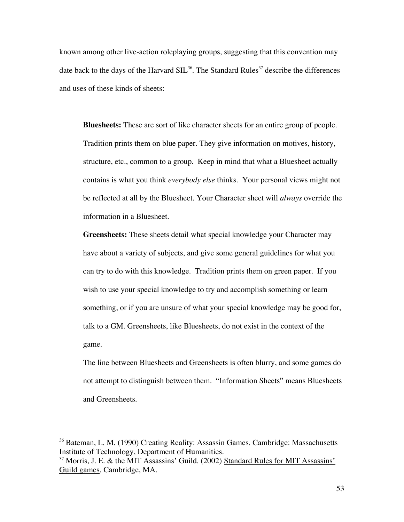known among other live-action roleplaying groups, suggesting that this convention may date back to the days of the Harvard SIL<sup>36</sup>. The Standard Rules<sup>37</sup> describe the differences and uses of these kinds of sheets:

**Bluesheets:** These are sort of like character sheets for an entire group of people. Tradition prints them on blue paper. They give information on motives, history, structure, etc., common to a group. Keep in mind that what a Bluesheet actually contains is what you think *everybody else* thinks. Your personal views might not be reflected at all by the Bluesheet. Your Character sheet will *always* override the information in a Bluesheet.

**Greensheets:** These sheets detail what special knowledge your Character may have about a variety of subjects, and give some general guidelines for what you can try to do with this knowledge. Tradition prints them on green paper. If you wish to use your special knowledge to try and accomplish something or learn something, or if you are unsure of what your special knowledge may be good for, talk to a GM. Greensheets, like Bluesheets, do not exist in the context of the game.

The line between Bluesheets and Greensheets is often blurry, and some games do not attempt to distinguish between them. "Information Sheets" means Bluesheets and Greensheets.

<sup>&</sup>lt;sup>36</sup> Bateman, L. M. (1990) Creating Reality: Assassin Games. Cambridge: Massachusetts Institute of Technology, Department of Humanities.

<sup>&</sup>lt;sup>37</sup> Morris, J. E. & the MIT Assassins' Guild. (2002) Standard Rules for MIT Assassins' Guild games. Cambridge, MA.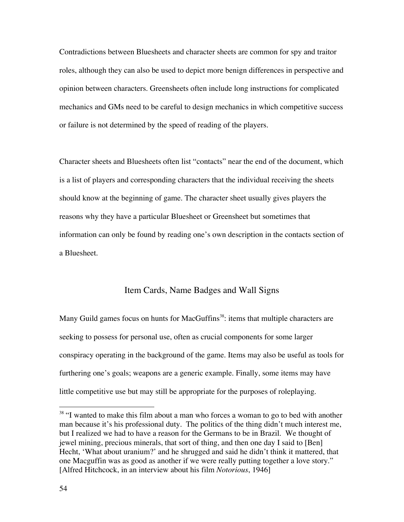Contradictions between Bluesheets and character sheets are common for spy and traitor roles, although they can also be used to depict more benign differences in perspective and opinion between characters. Greensheets often include long instructions for complicated mechanics and GMs need to be careful to design mechanics in which competitive success or failure is not determined by the speed of reading of the players.

Character sheets and Bluesheets often list "contacts" near the end of the document, which is a list of players and corresponding characters that the individual receiving the sheets should know at the beginning of game. The character sheet usually gives players the reasons why they have a particular Bluesheet or Greensheet but sometimes that information can only be found by reading one's own description in the contacts section of a Bluesheet.

## Item Cards, Name Badges and Wall Signs

Many Guild games focus on hunts for MacGuffins<sup>38</sup>: items that multiple characters are seeking to possess for personal use, often as crucial components for some larger conspiracy operating in the background of the game. Items may also be useful as tools for furthering one's goals; weapons are a generic example. Finally, some items may have little competitive use but may still be appropriate for the purposes of roleplaying.

<sup>&</sup>lt;sup>38</sup> "I wanted to make this film about a man who forces a woman to go to bed with another man because it's his professional duty. The politics of the thing didn't much interest me, but I realized we had to have a reason for the Germans to be in Brazil. We thought of jewel mining, precious minerals, that sort of thing, and then one day I said to [Ben] Hecht, 'What about uranium?' and he shrugged and said he didn't think it mattered, that one Macguffin was as good as another if we were really putting together a love story." [Alfred Hitchcock, in an interview about his film *Notorious*, 1946]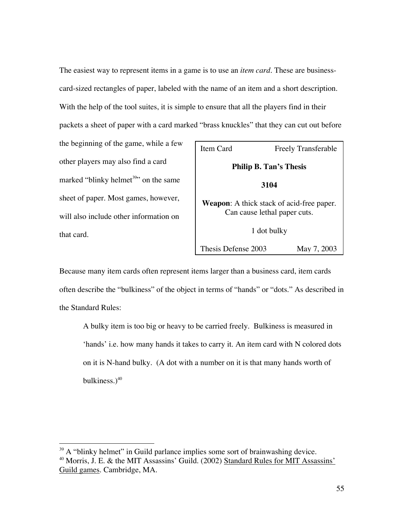The easiest way to represent items in a game is to use an *item card*. These are businesscard-sized rectangles of paper, labeled with the name of an item and a short description. With the help of the tool suites, it is simple to ensure that all the players find in their packets a sheet of paper with a card marked "brass knuckles" that they can cut out before

the beginning of the game, while a few other players may also find a card marked "blinky helmet<sup>39</sup>" on the same sheet of paper. Most games, however, will also include other information on that card.

| Item Card                                                                        | <b>Freely Transferable</b> |
|----------------------------------------------------------------------------------|----------------------------|
| <b>Philip B. Tan's Thesis</b>                                                    |                            |
| 3104                                                                             |                            |
| <b>Weapon:</b> A thick stack of acid-free paper.<br>Can cause lethal paper cuts. |                            |
| 1 dot bulky                                                                      |                            |
| Thesis Defense 2003                                                              | May 7, 2003                |

Because many item cards often represent items larger than a business card, item cards often describe the "bulkiness" of the object in terms of "hands" or "dots." As described in the Standard Rules:

A bulky item is too big or heavy to be carried freely. Bulkiness is measured in 'hands' i.e. how many hands it takes to carry it. An item card with N colored dots on it is N-hand bulky. (A dot with a number on it is that many hands worth of bulkiness. $)^{40}$ 

<sup>&</sup>lt;sup>39</sup> A "blinky helmet" in Guild parlance implies some sort of brainwashing device.

<sup>&</sup>lt;sup>40</sup> Morris, J. E. & the MIT Assassins' Guild. (2002) Standard Rules for MIT Assassins' Guild games. Cambridge, MA.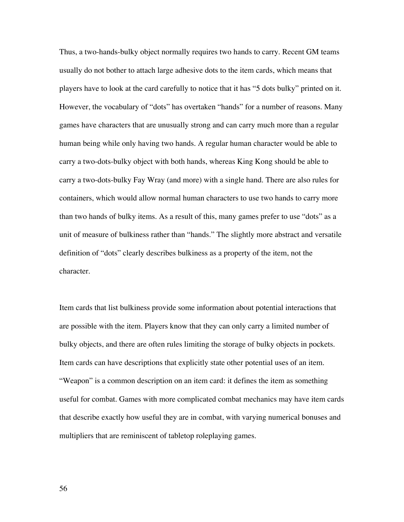Thus, a two-hands-bulky object normally requires two hands to carry. Recent GM teams usually do not bother to attach large adhesive dots to the item cards, which means that players have to look at the card carefully to notice that it has "5 dots bulky" printed on it. However, the vocabulary of "dots" has overtaken "hands" for a number of reasons. Many games have characters that are unusually strong and can carry much more than a regular human being while only having two hands. A regular human character would be able to carry a two-dots-bulky object with both hands, whereas King Kong should be able to carry a two-dots-bulky Fay Wray (and more) with a single hand. There are also rules for containers, which would allow normal human characters to use two hands to carry more than two hands of bulky items. As a result of this, many games prefer to use "dots" as a unit of measure of bulkiness rather than "hands." The slightly more abstract and versatile definition of "dots" clearly describes bulkiness as a property of the item, not the character.

Item cards that list bulkiness provide some information about potential interactions that are possible with the item. Players know that they can only carry a limited number of bulky objects, and there are often rules limiting the storage of bulky objects in pockets. Item cards can have descriptions that explicitly state other potential uses of an item. "Weapon" is a common description on an item card: it defines the item as something useful for combat. Games with more complicated combat mechanics may have item cards that describe exactly how useful they are in combat, with varying numerical bonuses and multipliers that are reminiscent of tabletop roleplaying games.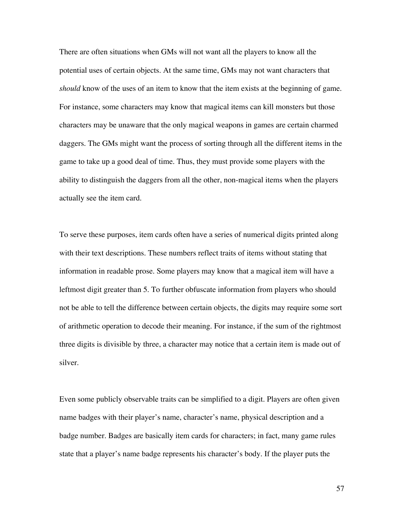There are often situations when GMs will not want all the players to know all the potential uses of certain objects. At the same time, GMs may not want characters that *should* know of the uses of an item to know that the item exists at the beginning of game. For instance, some characters may know that magical items can kill monsters but those characters may be unaware that the only magical weapons in games are certain charmed daggers. The GMs might want the process of sorting through all the different items in the game to take up a good deal of time. Thus, they must provide some players with the ability to distinguish the daggers from all the other, non-magical items when the players actually see the item card.

To serve these purposes, item cards often have a series of numerical digits printed along with their text descriptions. These numbers reflect traits of items without stating that information in readable prose. Some players may know that a magical item will have a leftmost digit greater than 5. To further obfuscate information from players who should not be able to tell the difference between certain objects, the digits may require some sort of arithmetic operation to decode their meaning. For instance, if the sum of the rightmost three digits is divisible by three, a character may notice that a certain item is made out of silver.

Even some publicly observable traits can be simplified to a digit. Players are often given name badges with their player's name, character's name, physical description and a badge number. Badges are basically item cards for characters; in fact, many game rules state that a player's name badge represents his character's body. If the player puts the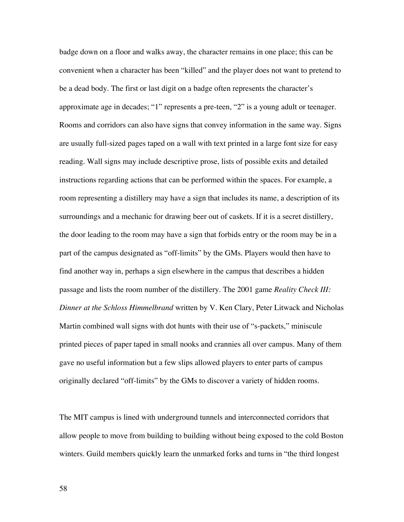badge down on a floor and walks away, the character remains in one place; this can be convenient when a character has been "killed" and the player does not want to pretend to be a dead body. The first or last digit on a badge often represents the character's approximate age in decades; "1" represents a pre-teen, "2" is a young adult or teenager. Rooms and corridors can also have signs that convey information in the same way. Signs are usually full-sized pages taped on a wall with text printed in a large font size for easy reading. Wall signs may include descriptive prose, lists of possible exits and detailed instructions regarding actions that can be performed within the spaces. For example, a room representing a distillery may have a sign that includes its name, a description of its surroundings and a mechanic for drawing beer out of caskets. If it is a secret distillery, the door leading to the room may have a sign that forbids entry or the room may be in a part of the campus designated as "off-limits" by the GMs. Players would then have to find another way in, perhaps a sign elsewhere in the campus that describes a hidden passage and lists the room number of the distillery. The 2001 game *Reality Check III: Dinner at the Schloss Himmelbrand* written by V. Ken Clary, Peter Litwack and Nicholas Martin combined wall signs with dot hunts with their use of "s-packets," miniscule printed pieces of paper taped in small nooks and crannies all over campus. Many of them gave no useful information but a few slips allowed players to enter parts of campus originally declared "off-limits" by the GMs to discover a variety of hidden rooms.

The MIT campus is lined with underground tunnels and interconnected corridors that allow people to move from building to building without being exposed to the cold Boston winters. Guild members quickly learn the unmarked forks and turns in "the third longest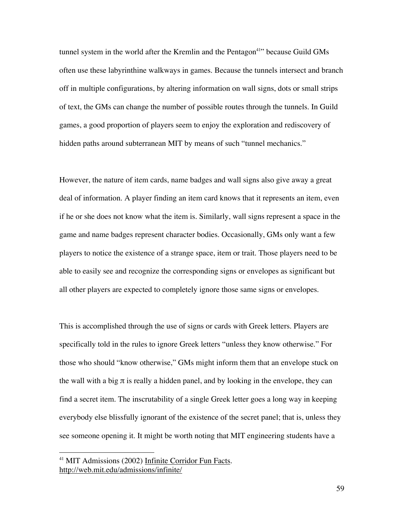tunnel system in the world after the Kremlin and the Pentagon<sup>41</sup>" because Guild GMs often use these labyrinthine walkways in games. Because the tunnels intersect and branch off in multiple configurations, by altering information on wall signs, dots or small strips of text, the GMs can change the number of possible routes through the tunnels. In Guild games, a good proportion of players seem to enjoy the exploration and rediscovery of hidden paths around subterranean MIT by means of such "tunnel mechanics."

However, the nature of item cards, name badges and wall signs also give away a great deal of information. A player finding an item card knows that it represents an item, even if he or she does not know what the item is. Similarly, wall signs represent a space in the game and name badges represent character bodies. Occasionally, GMs only want a few players to notice the existence of a strange space, item or trait. Those players need to be able to easily see and recognize the corresponding signs or envelopes as significant but all other players are expected to completely ignore those same signs or envelopes.

This is accomplished through the use of signs or cards with Greek letters. Players are specifically told in the rules to ignore Greek letters "unless they know otherwise." For those who should "know otherwise," GMs might inform them that an envelope stuck on the wall with a big  $\pi$  is really a hidden panel, and by looking in the envelope, they can find a secret item. The inscrutability of a single Greek letter goes a long way in keeping everybody else blissfully ignorant of the existence of the secret panel; that is, unless they see someone opening it. It might be worth noting that MIT engineering students have a

 <sup>41</sup> MIT Admissions (2002) Infinite Corridor Fun Facts. http://web.mit.edu/admissions/infinite/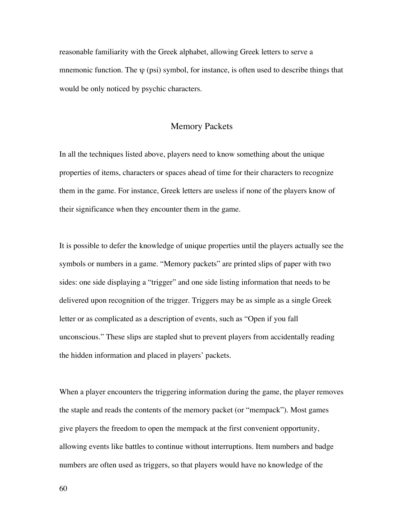reasonable familiarity with the Greek alphabet, allowing Greek letters to serve a mnemonic function. The  $\psi$  (psi) symbol, for instance, is often used to describe things that would be only noticed by psychic characters.

### Memory Packets

In all the techniques listed above, players need to know something about the unique properties of items, characters or spaces ahead of time for their characters to recognize them in the game. For instance, Greek letters are useless if none of the players know of their significance when they encounter them in the game.

It is possible to defer the knowledge of unique properties until the players actually see the symbols or numbers in a game. "Memory packets" are printed slips of paper with two sides: one side displaying a "trigger" and one side listing information that needs to be delivered upon recognition of the trigger. Triggers may be as simple as a single Greek letter or as complicated as a description of events, such as "Open if you fall unconscious." These slips are stapled shut to prevent players from accidentally reading the hidden information and placed in players' packets.

When a player encounters the triggering information during the game, the player removes the staple and reads the contents of the memory packet (or "mempack"). Most games give players the freedom to open the mempack at the first convenient opportunity, allowing events like battles to continue without interruptions. Item numbers and badge numbers are often used as triggers, so that players would have no knowledge of the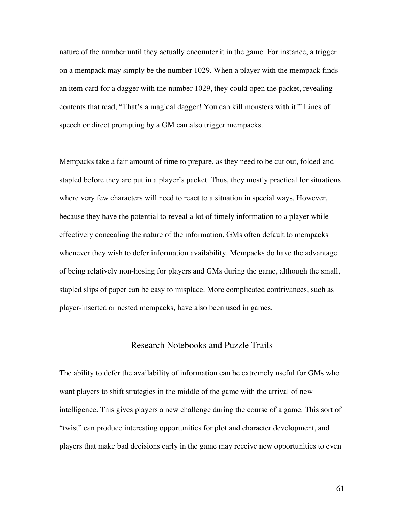nature of the number until they actually encounter it in the game. For instance, a trigger on a mempack may simply be the number 1029. When a player with the mempack finds an item card for a dagger with the number 1029, they could open the packet, revealing contents that read, "That's a magical dagger! You can kill monsters with it!" Lines of speech or direct prompting by a GM can also trigger mempacks.

Mempacks take a fair amount of time to prepare, as they need to be cut out, folded and stapled before they are put in a player's packet. Thus, they mostly practical for situations where very few characters will need to react to a situation in special ways. However, because they have the potential to reveal a lot of timely information to a player while effectively concealing the nature of the information, GMs often default to mempacks whenever they wish to defer information availability. Mempacks do have the advantage of being relatively non-hosing for players and GMs during the game, although the small, stapled slips of paper can be easy to misplace. More complicated contrivances, such as player-inserted or nested mempacks, have also been used in games.

## Research Notebooks and Puzzle Trails

The ability to defer the availability of information can be extremely useful for GMs who want players to shift strategies in the middle of the game with the arrival of new intelligence. This gives players a new challenge during the course of a game. This sort of "twist" can produce interesting opportunities for plot and character development, and players that make bad decisions early in the game may receive new opportunities to even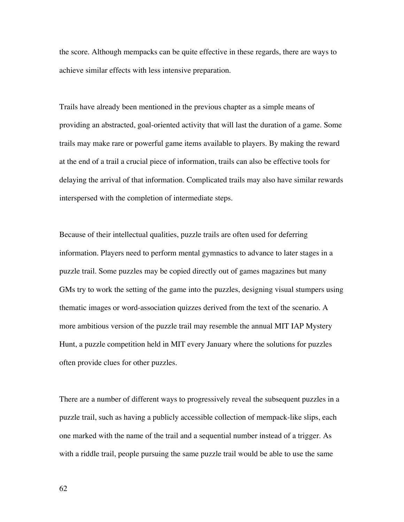the score. Although mempacks can be quite effective in these regards, there are ways to achieve similar effects with less intensive preparation.

Trails have already been mentioned in the previous chapter as a simple means of providing an abstracted, goal-oriented activity that will last the duration of a game. Some trails may make rare or powerful game items available to players. By making the reward at the end of a trail a crucial piece of information, trails can also be effective tools for delaying the arrival of that information. Complicated trails may also have similar rewards interspersed with the completion of intermediate steps.

Because of their intellectual qualities, puzzle trails are often used for deferring information. Players need to perform mental gymnastics to advance to later stages in a puzzle trail. Some puzzles may be copied directly out of games magazines but many GMs try to work the setting of the game into the puzzles, designing visual stumpers using thematic images or word-association quizzes derived from the text of the scenario. A more ambitious version of the puzzle trail may resemble the annual MIT IAP Mystery Hunt, a puzzle competition held in MIT every January where the solutions for puzzles often provide clues for other puzzles.

There are a number of different ways to progressively reveal the subsequent puzzles in a puzzle trail, such as having a publicly accessible collection of mempack-like slips, each one marked with the name of the trail and a sequential number instead of a trigger. As with a riddle trail, people pursuing the same puzzle trail would be able to use the same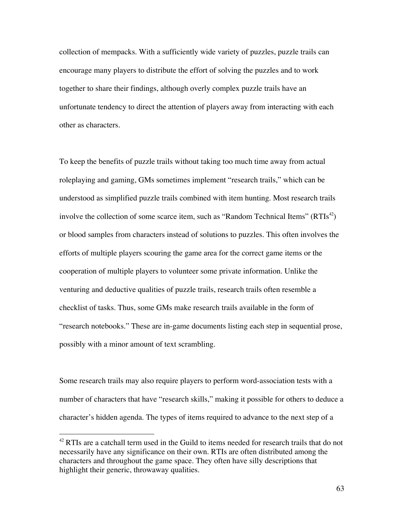collection of mempacks. With a sufficiently wide variety of puzzles, puzzle trails can encourage many players to distribute the effort of solving the puzzles and to work together to share their findings, although overly complex puzzle trails have an unfortunate tendency to direct the attention of players away from interacting with each other as characters.

To keep the benefits of puzzle trails without taking too much time away from actual roleplaying and gaming, GMs sometimes implement "research trails," which can be understood as simplified puzzle trails combined with item hunting. Most research trails involve the collection of some scarce item, such as "Random Technical Items" (RTIs<sup>42</sup>) or blood samples from characters instead of solutions to puzzles. This often involves the efforts of multiple players scouring the game area for the correct game items or the cooperation of multiple players to volunteer some private information. Unlike the venturing and deductive qualities of puzzle trails, research trails often resemble a checklist of tasks. Thus, some GMs make research trails available in the form of "research notebooks." These are in-game documents listing each step in sequential prose, possibly with a minor amount of text scrambling.

Some research trails may also require players to perform word-association tests with a number of characters that have "research skills," making it possible for others to deduce a character's hidden agenda. The types of items required to advance to the next step of a

<sup>&</sup>lt;sup>42</sup> RTIs are a catchall term used in the Guild to items needed for research trails that do not necessarily have any significance on their own. RTIs are often distributed among the characters and throughout the game space. They often have silly descriptions that highlight their generic, throwaway qualities.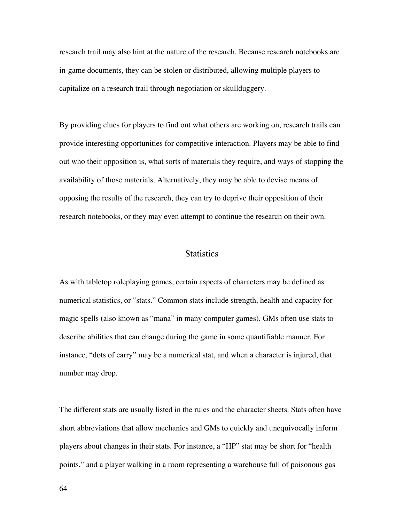research trail may also hint at the nature of the research. Because research notebooks are in-game documents, they can be stolen or distributed, allowing multiple players to capitalize on a research trail through negotiation or skullduggery.

By providing clues for players to find out what others are working on, research trails can provide interesting opportunities for competitive interaction. Players may be able to find out who their opposition is, what sorts of materials they require, and ways of stopping the availability of those materials. Alternatively, they may be able to devise means of opposing the results of the research, they can try to deprive their opposition of their research notebooks, or they may even attempt to continue the research on their own.

# **Statistics**

As with tabletop roleplaying games, certain aspects of characters may be defined as numerical statistics, or "stats." Common stats include strength, health and capacity for magic spells (also known as "mana" in many computer games). GMs often use stats to describe abilities that can change during the game in some quantifiable manner. For instance, "dots of carry" may be a numerical stat, and when a character is injured, that number may drop.

The different stats are usually listed in the rules and the character sheets. Stats often have short abbreviations that allow mechanics and GMs to quickly and unequivocally inform players about changes in their stats. For instance, a "HP" stat may be short for "health points," and a player walking in a room representing a warehouse full of poisonous gas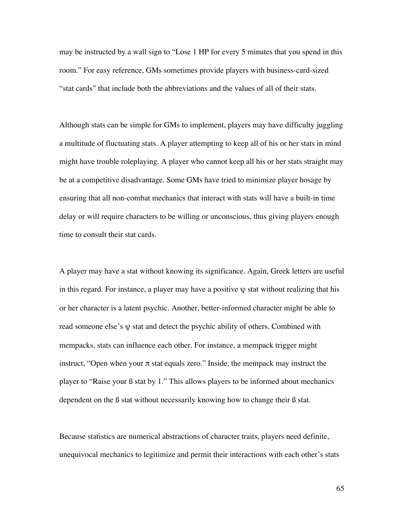may be instructed by a wall sign to "Lose 1 HP for every 5 minutes that you spend in this room." For easy reference, GMs sometimes provide players with business-card-sized "stat cards" that include both the abbreviations and the values of all of their stats.

Although stats can be simple for GMs to implement, players may have difficulty juggling a multitude of fluctuating stats. A player attempting to keep all of his or her stats in mind might have trouble roleplaying. A player who cannot keep all his or her stats straight may be at a competitive disadvantage. Some GMs have tried to minimize player hosage by ensuring that all non-combat mechanics that interact with stats will have a built-in time delay or will require characters to be willing or unconscious, thus giving players enough time to consult their stat cards.

A player may have a stat without knowing its significance. Again, Greek letters are useful in this regard. For instance, a player may have a positive  $\psi$  stat without realizing that his or her character is a latent psychic. Another, better-informed character might be able to read someone else's  $\psi$  stat and detect the psychic ability of others. Combined with mempacks, stats can influence each other. For instance, a mempack trigger might instruct, "Open when your  $\pi$  stat equals zero." Inside, the mempack may instruct the player to "Raise your ß stat by 1." This allows players to be informed about mechanics dependent on the ß stat without necessarily knowing how to change their ß stat.

Because statistics are numerical abstractions of character traits, players need definite, unequivocal mechanics to legitimize and permit their interactions with each other's stats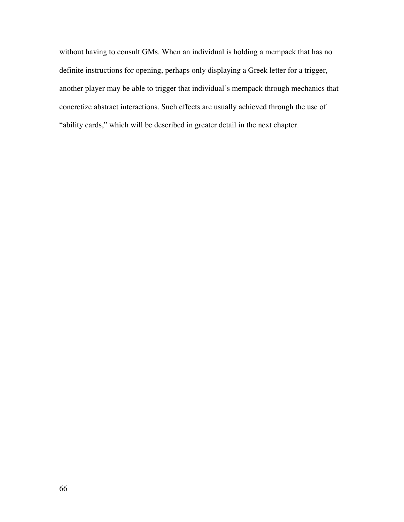without having to consult GMs. When an individual is holding a mempack that has no definite instructions for opening, perhaps only displaying a Greek letter for a trigger, another player may be able to trigger that individual's mempack through mechanics that concretize abstract interactions. Such effects are usually achieved through the use of "ability cards," which will be described in greater detail in the next chapter.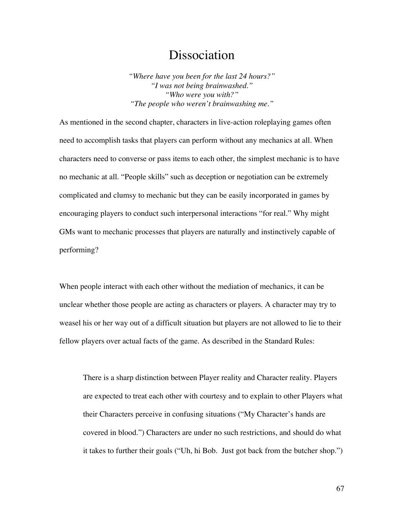# Dissociation

*"Where have you been for the last 24 hours?" "I was not being brainwashed." "Who were you with?" "The people who weren't brainwashing me."*

As mentioned in the second chapter, characters in live-action roleplaying games often need to accomplish tasks that players can perform without any mechanics at all. When characters need to converse or pass items to each other, the simplest mechanic is to have no mechanic at all. "People skills" such as deception or negotiation can be extremely complicated and clumsy to mechanic but they can be easily incorporated in games by encouraging players to conduct such interpersonal interactions "for real." Why might GMs want to mechanic processes that players are naturally and instinctively capable of performing?

When people interact with each other without the mediation of mechanics, it can be unclear whether those people are acting as characters or players. A character may try to weasel his or her way out of a difficult situation but players are not allowed to lie to their fellow players over actual facts of the game. As described in the Standard Rules:

There is a sharp distinction between Player reality and Character reality. Players are expected to treat each other with courtesy and to explain to other Players what their Characters perceive in confusing situations ("My Character's hands are covered in blood.") Characters are under no such restrictions, and should do what it takes to further their goals ("Uh, hi Bob. Just got back from the butcher shop.")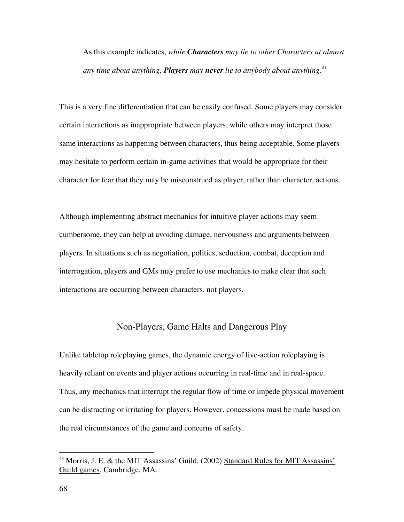As this example indicates, *while Characters may lie to other Characters at almost any time about anything, Players may never lie to anybody about anything.43*

This is a very fine differentiation that can be easily confused. Some players may consider certain interactions as inappropriate between players, while others may interpret those same interactions as happening between characters, thus being acceptable. Some players may hesitate to perform certain in-game activities that would be appropriate for their character for fear that they may be misconstrued as player, rather than character, actions.

Although implementing abstract mechanics for intuitive player actions may seem cumbersome, they can help at avoiding damage, nervousness and arguments between players. In situations such as negotiation, politics, seduction, combat, deception and interrogation, players and GMs may prefer to use mechanics to make clear that such interactions are occurring between characters, not players.

## Non-Players, Game Halts and Dangerous Play

Unlike tabletop roleplaying games, the dynamic energy of live-action roleplaying is heavily reliant on events and player actions occurring in real-time and in real-space. Thus, any mechanics that interrupt the regular flow of time or impede physical movement can be distracting or irritating for players. However, concessions must be made based on the real circumstances of the game and concerns of safety.

 <sup>43</sup> Morris, J. E. & the MIT Assassins' Guild. (2002) Standard Rules for MIT Assassins' Guild games. Cambridge, MA.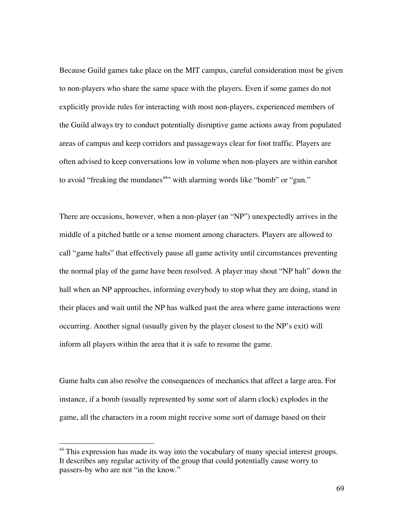Because Guild games take place on the MIT campus, careful consideration must be given to non-players who share the same space with the players. Even if some games do not explicitly provide rules for interacting with most non-players, experienced members of the Guild always try to conduct potentially disruptive game actions away from populated areas of campus and keep corridors and passageways clear for foot traffic. Players are often advised to keep conversations low in volume when non-players are within earshot to avoid "freaking the mundanes<sup>44</sup>" with alarming words like "bomb" or "gun."

There are occasions, however, when a non-player (an "NP") unexpectedly arrives in the middle of a pitched battle or a tense moment among characters. Players are allowed to call "game halts" that effectively pause all game activity until circumstances preventing the normal play of the game have been resolved. A player may shout "NP halt" down the hall when an NP approaches, informing everybody to stop what they are doing, stand in their places and wait until the NP has walked past the area where game interactions were occurring. Another signal (usually given by the player closest to the NP's exit) will inform all players within the area that it is safe to resume the game.

Game halts can also resolve the consequences of mechanics that affect a large area. For instance, if a bomb (usually represented by some sort of alarm clock) explodes in the game, all the characters in a room might receive some sort of damage based on their

 <sup>44</sup> This expression has made its way into the vocabulary of many special interest groups. It describes any regular activity of the group that could potentially cause worry to passers-by who are not "in the know."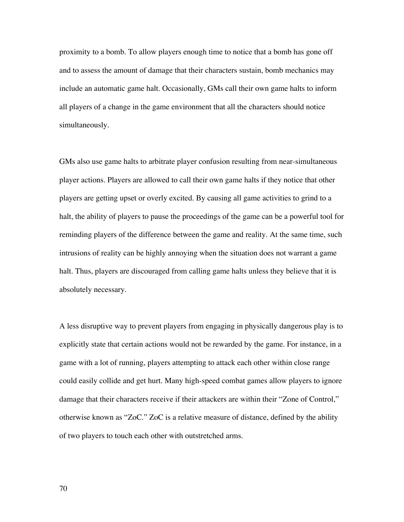proximity to a bomb. To allow players enough time to notice that a bomb has gone off and to assess the amount of damage that their characters sustain, bomb mechanics may include an automatic game halt. Occasionally, GMs call their own game halts to inform all players of a change in the game environment that all the characters should notice simultaneously.

GMs also use game halts to arbitrate player confusion resulting from near-simultaneous player actions. Players are allowed to call their own game halts if they notice that other players are getting upset or overly excited. By causing all game activities to grind to a halt, the ability of players to pause the proceedings of the game can be a powerful tool for reminding players of the difference between the game and reality. At the same time, such intrusions of reality can be highly annoying when the situation does not warrant a game halt. Thus, players are discouraged from calling game halts unless they believe that it is absolutely necessary.

A less disruptive way to prevent players from engaging in physically dangerous play is to explicitly state that certain actions would not be rewarded by the game. For instance, in a game with a lot of running, players attempting to attack each other within close range could easily collide and get hurt. Many high-speed combat games allow players to ignore damage that their characters receive if their attackers are within their "Zone of Control," otherwise known as "ZoC." ZoC is a relative measure of distance, defined by the ability of two players to touch each other with outstretched arms.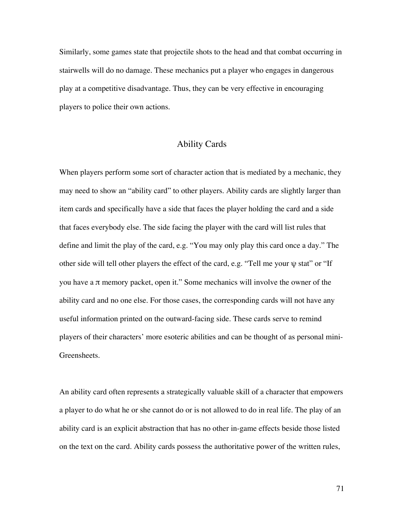Similarly, some games state that projectile shots to the head and that combat occurring in stairwells will do no damage. These mechanics put a player who engages in dangerous play at a competitive disadvantage. Thus, they can be very effective in encouraging players to police their own actions.

## Ability Cards

When players perform some sort of character action that is mediated by a mechanic, they may need to show an "ability card" to other players. Ability cards are slightly larger than item cards and specifically have a side that faces the player holding the card and a side that faces everybody else. The side facing the player with the card will list rules that define and limit the play of the card, e.g. "You may only play this card once a day." The other side will tell other players the effect of the card, e.g. "Tell me your ψ stat" or "If you have a π memory packet, open it." Some mechanics will involve the owner of the ability card and no one else. For those cases, the corresponding cards will not have any useful information printed on the outward-facing side. These cards serve to remind players of their characters' more esoteric abilities and can be thought of as personal mini-Greensheets.

An ability card often represents a strategically valuable skill of a character that empowers a player to do what he or she cannot do or is not allowed to do in real life. The play of an ability card is an explicit abstraction that has no other in-game effects beside those listed on the text on the card. Ability cards possess the authoritative power of the written rules,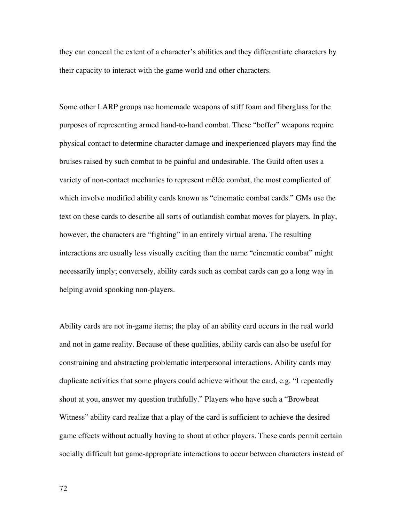they can conceal the extent of a character's abilities and they differentiate characters by their capacity to interact with the game world and other characters.

Some other LARP groups use homemade weapons of stiff foam and fiberglass for the purposes of representing armed hand-to-hand combat. These "boffer" weapons require physical contact to determine character damage and inexperienced players may find the bruises raised by such combat to be painful and undesirable. The Guild often uses a variety of non-contact mechanics to represent mêlée combat, the most complicated of which involve modified ability cards known as "cinematic combat cards." GMs use the text on these cards to describe all sorts of outlandish combat moves for players. In play, however, the characters are "fighting" in an entirely virtual arena. The resulting interactions are usually less visually exciting than the name "cinematic combat" might necessarily imply; conversely, ability cards such as combat cards can go a long way in helping avoid spooking non-players.

Ability cards are not in-game items; the play of an ability card occurs in the real world and not in game reality. Because of these qualities, ability cards can also be useful for constraining and abstracting problematic interpersonal interactions. Ability cards may duplicate activities that some players could achieve without the card, e.g. "I repeatedly shout at you, answer my question truthfully." Players who have such a "Browbeat Witness" ability card realize that a play of the card is sufficient to achieve the desired game effects without actually having to shout at other players. These cards permit certain socially difficult but game-appropriate interactions to occur between characters instead of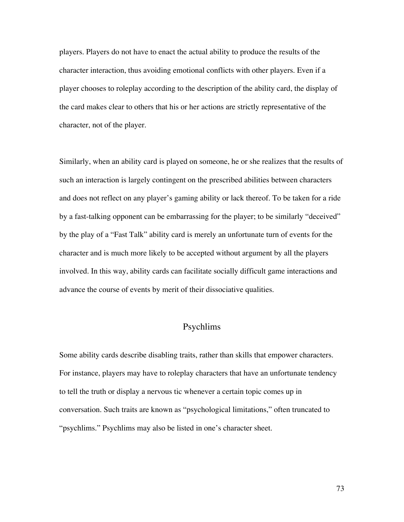players. Players do not have to enact the actual ability to produce the results of the character interaction, thus avoiding emotional conflicts with other players. Even if a player chooses to roleplay according to the description of the ability card, the display of the card makes clear to others that his or her actions are strictly representative of the character, not of the player.

Similarly, when an ability card is played on someone, he or she realizes that the results of such an interaction is largely contingent on the prescribed abilities between characters and does not reflect on any player's gaming ability or lack thereof. To be taken for a ride by a fast-talking opponent can be embarrassing for the player; to be similarly "deceived" by the play of a "Fast Talk" ability card is merely an unfortunate turn of events for the character and is much more likely to be accepted without argument by all the players involved. In this way, ability cards can facilitate socially difficult game interactions and advance the course of events by merit of their dissociative qualities.

# Psychlims

Some ability cards describe disabling traits, rather than skills that empower characters. For instance, players may have to roleplay characters that have an unfortunate tendency to tell the truth or display a nervous tic whenever a certain topic comes up in conversation. Such traits are known as "psychological limitations," often truncated to "psychlims." Psychlims may also be listed in one's character sheet.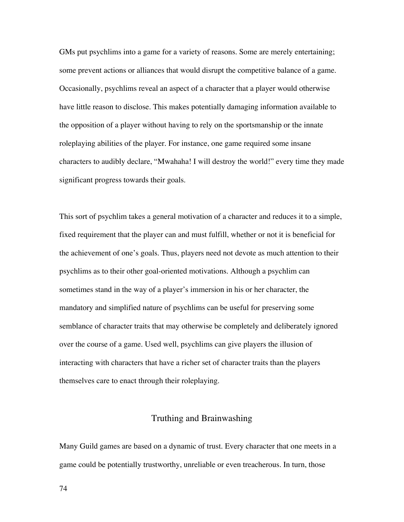GMs put psychlims into a game for a variety of reasons. Some are merely entertaining; some prevent actions or alliances that would disrupt the competitive balance of a game. Occasionally, psychlims reveal an aspect of a character that a player would otherwise have little reason to disclose. This makes potentially damaging information available to the opposition of a player without having to rely on the sportsmanship or the innate roleplaying abilities of the player. For instance, one game required some insane characters to audibly declare, "Mwahaha! I will destroy the world!" every time they made significant progress towards their goals.

This sort of psychlim takes a general motivation of a character and reduces it to a simple, fixed requirement that the player can and must fulfill, whether or not it is beneficial for the achievement of one's goals. Thus, players need not devote as much attention to their psychlims as to their other goal-oriented motivations. Although a psychlim can sometimes stand in the way of a player's immersion in his or her character, the mandatory and simplified nature of psychlims can be useful for preserving some semblance of character traits that may otherwise be completely and deliberately ignored over the course of a game. Used well, psychlims can give players the illusion of interacting with characters that have a richer set of character traits than the players themselves care to enact through their roleplaying.

### Truthing and Brainwashing

Many Guild games are based on a dynamic of trust. Every character that one meets in a game could be potentially trustworthy, unreliable or even treacherous. In turn, those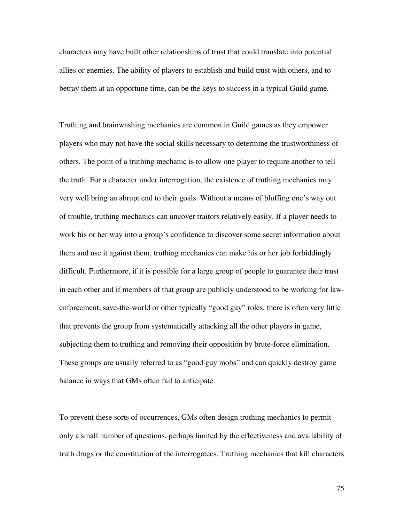characters may have built other relationships of trust that could translate into potential allies or enemies. The ability of players to establish and build trust with others, and to betray them at an opportune time, can be the keys to success in a typical Guild game.

Truthing and brainwashing mechanics are common in Guild games as they empower players who may not have the social skills necessary to determine the trustworthiness of others. The point of a truthing mechanic is to allow one player to require another to tell the truth. For a character under interrogation, the existence of truthing mechanics may very well bring an abrupt end to their goals. Without a means of bluffing one's way out of trouble, truthing mechanics can uncover traitors relatively easily. If a player needs to work his or her way into a group's confidence to discover some secret information about them and use it against them, truthing mechanics can make his or her job forbiddingly difficult. Furthermore, if it is possible for a large group of people to guarantee their trust in each other and if members of that group are publicly understood to be working for lawenforcement, save-the-world or other typically "good guy" roles, there is often very little that prevents the group from systematically attacking all the other players in game, subjecting them to truthing and removing their opposition by brute-force elimination. These groups are usually referred to as "good guy mobs" and can quickly destroy game balance in ways that GMs often fail to anticipate.

To prevent these sorts of occurrences, GMs often design truthing mechanics to permit only a small number of questions, perhaps limited by the effectiveness and availability of truth drugs or the constitution of the interrogatees. Truthing mechanics that kill characters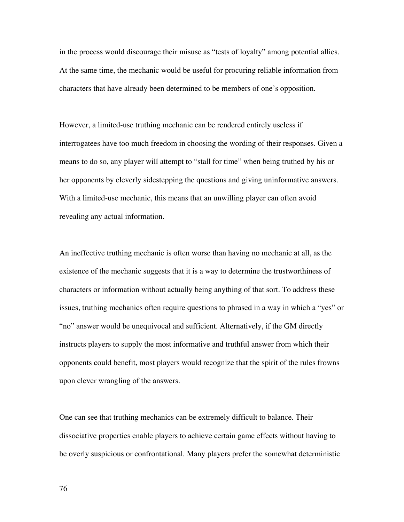in the process would discourage their misuse as "tests of loyalty" among potential allies. At the same time, the mechanic would be useful for procuring reliable information from characters that have already been determined to be members of one's opposition.

However, a limited-use truthing mechanic can be rendered entirely useless if interrogatees have too much freedom in choosing the wording of their responses. Given a means to do so, any player will attempt to "stall for time" when being truthed by his or her opponents by cleverly sidestepping the questions and giving uninformative answers. With a limited-use mechanic, this means that an unwilling player can often avoid revealing any actual information.

An ineffective truthing mechanic is often worse than having no mechanic at all, as the existence of the mechanic suggests that it is a way to determine the trustworthiness of characters or information without actually being anything of that sort. To address these issues, truthing mechanics often require questions to phrased in a way in which a "yes" or "no" answer would be unequivocal and sufficient. Alternatively, if the GM directly instructs players to supply the most informative and truthful answer from which their opponents could benefit, most players would recognize that the spirit of the rules frowns upon clever wrangling of the answers.

One can see that truthing mechanics can be extremely difficult to balance. Their dissociative properties enable players to achieve certain game effects without having to be overly suspicious or confrontational. Many players prefer the somewhat deterministic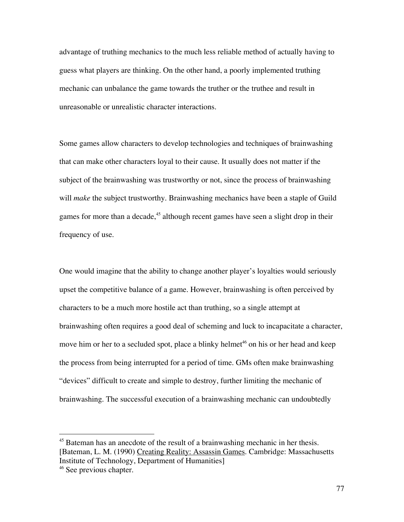advantage of truthing mechanics to the much less reliable method of actually having to guess what players are thinking. On the other hand, a poorly implemented truthing mechanic can unbalance the game towards the truther or the truthee and result in unreasonable or unrealistic character interactions.

Some games allow characters to develop technologies and techniques of brainwashing that can make other characters loyal to their cause. It usually does not matter if the subject of the brainwashing was trustworthy or not, since the process of brainwashing will *make* the subject trustworthy. Brainwashing mechanics have been a staple of Guild games for more than a decade,<sup>45</sup> although recent games have seen a slight drop in their frequency of use.

One would imagine that the ability to change another player's loyalties would seriously upset the competitive balance of a game. However, brainwashing is often perceived by characters to be a much more hostile act than truthing, so a single attempt at brainwashing often requires a good deal of scheming and luck to incapacitate a character, move him or her to a secluded spot, place a blinky helmet<sup>46</sup> on his or her head and keep the process from being interrupted for a period of time. GMs often make brainwashing "devices" difficult to create and simple to destroy, further limiting the mechanic of brainwashing. The successful execution of a brainwashing mechanic can undoubtedly

 <sup>45</sup> Bateman has an anecdote of the result of a brainwashing mechanic in her thesis. [Bateman, L. M. (1990) Creating Reality: Assassin Games. Cambridge: Massachusetts Institute of Technology, Department of Humanities]

<sup>&</sup>lt;sup>46</sup> See previous chapter.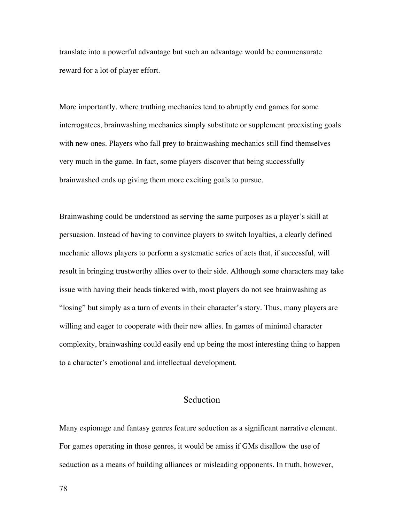translate into a powerful advantage but such an advantage would be commensurate reward for a lot of player effort.

More importantly, where truthing mechanics tend to abruptly end games for some interrogatees, brainwashing mechanics simply substitute or supplement preexisting goals with new ones. Players who fall prey to brainwashing mechanics still find themselves very much in the game. In fact, some players discover that being successfully brainwashed ends up giving them more exciting goals to pursue.

Brainwashing could be understood as serving the same purposes as a player's skill at persuasion. Instead of having to convince players to switch loyalties, a clearly defined mechanic allows players to perform a systematic series of acts that, if successful, will result in bringing trustworthy allies over to their side. Although some characters may take issue with having their heads tinkered with, most players do not see brainwashing as "losing" but simply as a turn of events in their character's story. Thus, many players are willing and eager to cooperate with their new allies. In games of minimal character complexity, brainwashing could easily end up being the most interesting thing to happen to a character's emotional and intellectual development.

# Seduction

Many espionage and fantasy genres feature seduction as a significant narrative element. For games operating in those genres, it would be amiss if GMs disallow the use of seduction as a means of building alliances or misleading opponents. In truth, however,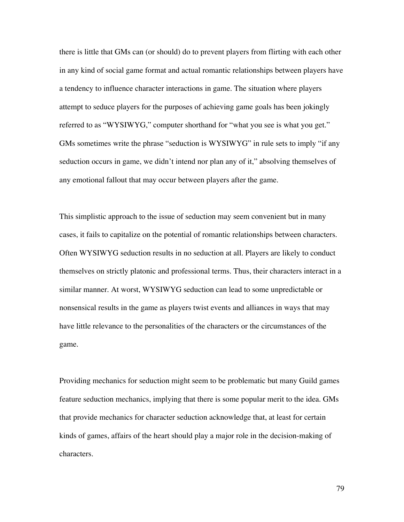there is little that GMs can (or should) do to prevent players from flirting with each other in any kind of social game format and actual romantic relationships between players have a tendency to influence character interactions in game. The situation where players attempt to seduce players for the purposes of achieving game goals has been jokingly referred to as "WYSIWYG," computer shorthand for "what you see is what you get." GMs sometimes write the phrase "seduction is WYSIWYG" in rule sets to imply "if any seduction occurs in game, we didn't intend nor plan any of it," absolving themselves of any emotional fallout that may occur between players after the game.

This simplistic approach to the issue of seduction may seem convenient but in many cases, it fails to capitalize on the potential of romantic relationships between characters. Often WYSIWYG seduction results in no seduction at all. Players are likely to conduct themselves on strictly platonic and professional terms. Thus, their characters interact in a similar manner. At worst, WYSIWYG seduction can lead to some unpredictable or nonsensical results in the game as players twist events and alliances in ways that may have little relevance to the personalities of the characters or the circumstances of the game.

Providing mechanics for seduction might seem to be problematic but many Guild games feature seduction mechanics, implying that there is some popular merit to the idea. GMs that provide mechanics for character seduction acknowledge that, at least for certain kinds of games, affairs of the heart should play a major role in the decision-making of characters.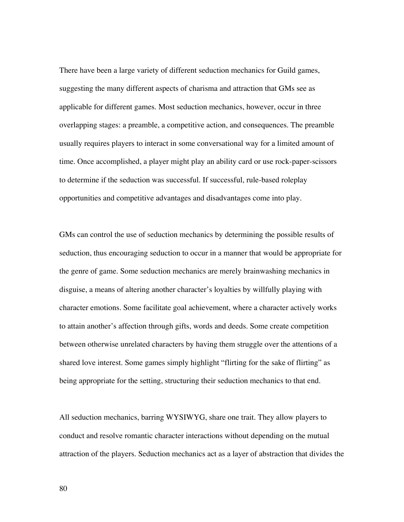There have been a large variety of different seduction mechanics for Guild games, suggesting the many different aspects of charisma and attraction that GMs see as applicable for different games. Most seduction mechanics, however, occur in three overlapping stages: a preamble, a competitive action, and consequences. The preamble usually requires players to interact in some conversational way for a limited amount of time. Once accomplished, a player might play an ability card or use rock-paper-scissors to determine if the seduction was successful. If successful, rule-based roleplay opportunities and competitive advantages and disadvantages come into play.

GMs can control the use of seduction mechanics by determining the possible results of seduction, thus encouraging seduction to occur in a manner that would be appropriate for the genre of game. Some seduction mechanics are merely brainwashing mechanics in disguise, a means of altering another character's loyalties by willfully playing with character emotions. Some facilitate goal achievement, where a character actively works to attain another's affection through gifts, words and deeds. Some create competition between otherwise unrelated characters by having them struggle over the attentions of a shared love interest. Some games simply highlight "flirting for the sake of flirting" as being appropriate for the setting, structuring their seduction mechanics to that end.

All seduction mechanics, barring WYSIWYG, share one trait. They allow players to conduct and resolve romantic character interactions without depending on the mutual attraction of the players. Seduction mechanics act as a layer of abstraction that divides the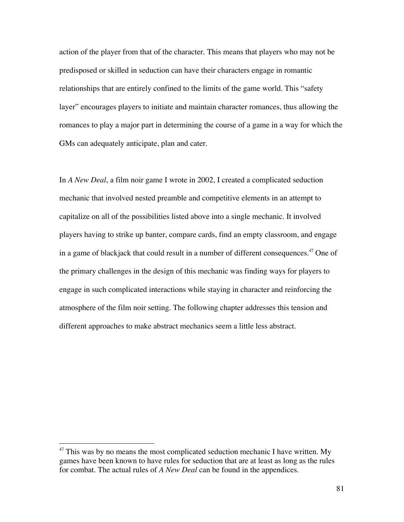action of the player from that of the character. This means that players who may not be predisposed or skilled in seduction can have their characters engage in romantic relationships that are entirely confined to the limits of the game world. This "safety layer" encourages players to initiate and maintain character romances, thus allowing the romances to play a major part in determining the course of a game in a way for which the GMs can adequately anticipate, plan and cater.

In *A New Deal*, a film noir game I wrote in 2002, I created a complicated seduction mechanic that involved nested preamble and competitive elements in an attempt to capitalize on all of the possibilities listed above into a single mechanic. It involved players having to strike up banter, compare cards, find an empty classroom, and engage in a game of blackjack that could result in a number of different consequences. $^{47}$  One of the primary challenges in the design of this mechanic was finding ways for players to engage in such complicated interactions while staying in character and reinforcing the atmosphere of the film noir setting. The following chapter addresses this tension and different approaches to make abstract mechanics seem a little less abstract.

<sup>&</sup>lt;sup>47</sup> This was by no means the most complicated seduction mechanic I have written. My games have been known to have rules for seduction that are at least as long as the rules for combat. The actual rules of *A New Deal* can be found in the appendices.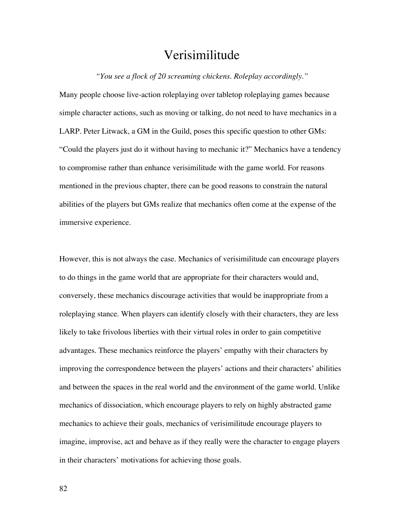# Verisimilitude

*"You see a flock of 20 screaming chickens. Roleplay accordingly."*

Many people choose live-action roleplaying over tabletop roleplaying games because simple character actions, such as moving or talking, do not need to have mechanics in a LARP. Peter Litwack, a GM in the Guild, poses this specific question to other GMs: "Could the players just do it without having to mechanic it?" Mechanics have a tendency to compromise rather than enhance verisimilitude with the game world. For reasons mentioned in the previous chapter, there can be good reasons to constrain the natural abilities of the players but GMs realize that mechanics often come at the expense of the immersive experience.

However, this is not always the case. Mechanics of verisimilitude can encourage players to do things in the game world that are appropriate for their characters would and, conversely, these mechanics discourage activities that would be inappropriate from a roleplaying stance. When players can identify closely with their characters, they are less likely to take frivolous liberties with their virtual roles in order to gain competitive advantages. These mechanics reinforce the players' empathy with their characters by improving the correspondence between the players' actions and their characters' abilities and between the spaces in the real world and the environment of the game world. Unlike mechanics of dissociation, which encourage players to rely on highly abstracted game mechanics to achieve their goals, mechanics of verisimilitude encourage players to imagine, improvise, act and behave as if they really were the character to engage players in their characters' motivations for achieving those goals.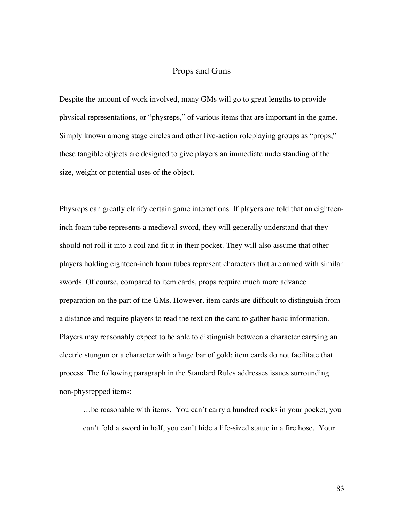### Props and Guns

Despite the amount of work involved, many GMs will go to great lengths to provide physical representations, or "physreps," of various items that are important in the game. Simply known among stage circles and other live-action roleplaying groups as "props," these tangible objects are designed to give players an immediate understanding of the size, weight or potential uses of the object.

Physreps can greatly clarify certain game interactions. If players are told that an eighteeninch foam tube represents a medieval sword, they will generally understand that they should not roll it into a coil and fit it in their pocket. They will also assume that other players holding eighteen-inch foam tubes represent characters that are armed with similar swords. Of course, compared to item cards, props require much more advance preparation on the part of the GMs. However, item cards are difficult to distinguish from a distance and require players to read the text on the card to gather basic information. Players may reasonably expect to be able to distinguish between a character carrying an electric stungun or a character with a huge bar of gold; item cards do not facilitate that process. The following paragraph in the Standard Rules addresses issues surrounding non-physrepped items:

…be reasonable with items. You can't carry a hundred rocks in your pocket, you can't fold a sword in half, you can't hide a life-sized statue in a fire hose. Your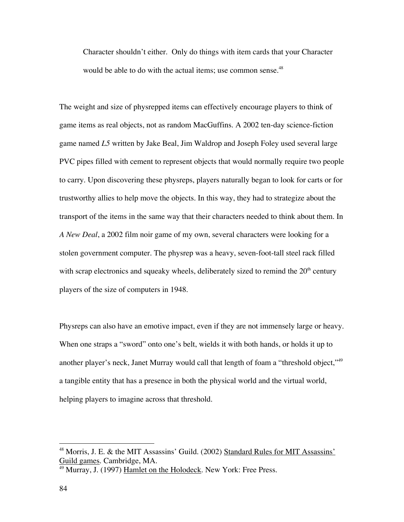Character shouldn't either. Only do things with item cards that your Character would be able to do with the actual items; use common sense.<sup>48</sup>

The weight and size of physrepped items can effectively encourage players to think of game items as real objects, not as random MacGuffins. A 2002 ten-day science-fiction game named *L5* written by Jake Beal, Jim Waldrop and Joseph Foley used several large PVC pipes filled with cement to represent objects that would normally require two people to carry. Upon discovering these physreps, players naturally began to look for carts or for trustworthy allies to help move the objects. In this way, they had to strategize about the transport of the items in the same way that their characters needed to think about them. In *A New Deal*, a 2002 film noir game of my own, several characters were looking for a stolen government computer. The physrep was a heavy, seven-foot-tall steel rack filled with scrap electronics and squeaky wheels, deliberately sized to remind the  $20<sup>th</sup>$  century players of the size of computers in 1948.

Physreps can also have an emotive impact, even if they are not immensely large or heavy. When one straps a "sword" onto one's belt, wields it with both hands, or holds it up to another player's neck, Janet Murray would call that length of foam a "threshold object,"49 a tangible entity that has a presence in both the physical world and the virtual world, helping players to imagine across that threshold.

 <sup>48</sup> Morris, J. E. & the MIT Assassins' Guild. (2002) Standard Rules for MIT Assassins' Guild games. Cambridge, MA.

<sup>&</sup>lt;sup>49</sup> Murray, J. (1997) <u>Hamlet on the Holodeck</u>. New York: Free Press.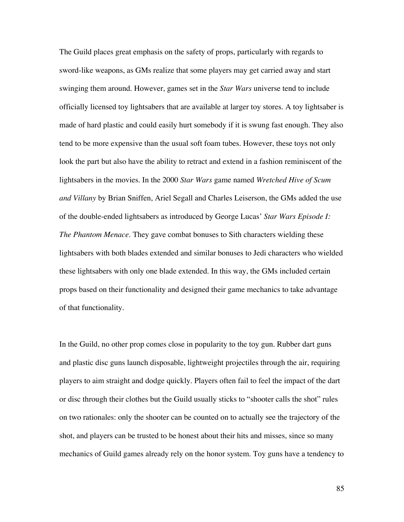The Guild places great emphasis on the safety of props, particularly with regards to sword-like weapons, as GMs realize that some players may get carried away and start swinging them around. However, games set in the *Star Wars* universe tend to include officially licensed toy lightsabers that are available at larger toy stores. A toy lightsaber is made of hard plastic and could easily hurt somebody if it is swung fast enough. They also tend to be more expensive than the usual soft foam tubes. However, these toys not only look the part but also have the ability to retract and extend in a fashion reminiscent of the lightsabers in the movies. In the 2000 *Star Wars* game named *Wretched Hive of Scum and Villany* by Brian Sniffen, Ariel Segall and Charles Leiserson, the GMs added the use of the double-ended lightsabers as introduced by George Lucas' *Star Wars Episode I: The Phantom Menace*. They gave combat bonuses to Sith characters wielding these lightsabers with both blades extended and similar bonuses to Jedi characters who wielded these lightsabers with only one blade extended. In this way, the GMs included certain props based on their functionality and designed their game mechanics to take advantage of that functionality.

In the Guild, no other prop comes close in popularity to the toy gun. Rubber dart guns and plastic disc guns launch disposable, lightweight projectiles through the air, requiring players to aim straight and dodge quickly. Players often fail to feel the impact of the dart or disc through their clothes but the Guild usually sticks to "shooter calls the shot" rules on two rationales: only the shooter can be counted on to actually see the trajectory of the shot, and players can be trusted to be honest about their hits and misses, since so many mechanics of Guild games already rely on the honor system. Toy guns have a tendency to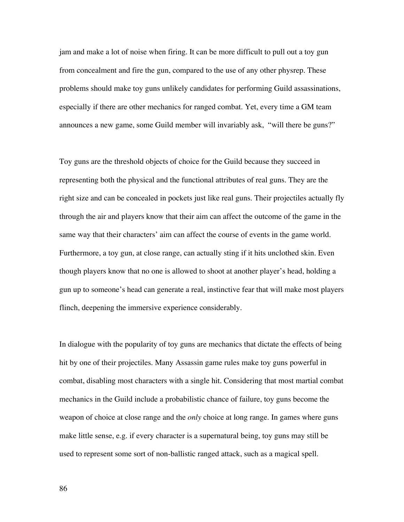jam and make a lot of noise when firing. It can be more difficult to pull out a toy gun from concealment and fire the gun, compared to the use of any other physrep. These problems should make toy guns unlikely candidates for performing Guild assassinations, especially if there are other mechanics for ranged combat. Yet, every time a GM team announces a new game, some Guild member will invariably ask, "will there be guns?"

Toy guns are the threshold objects of choice for the Guild because they succeed in representing both the physical and the functional attributes of real guns. They are the right size and can be concealed in pockets just like real guns. Their projectiles actually fly through the air and players know that their aim can affect the outcome of the game in the same way that their characters' aim can affect the course of events in the game world. Furthermore, a toy gun, at close range, can actually sting if it hits unclothed skin. Even though players know that no one is allowed to shoot at another player's head, holding a gun up to someone's head can generate a real, instinctive fear that will make most players flinch, deepening the immersive experience considerably.

In dialogue with the popularity of toy guns are mechanics that dictate the effects of being hit by one of their projectiles. Many Assassin game rules make toy guns powerful in combat, disabling most characters with a single hit. Considering that most martial combat mechanics in the Guild include a probabilistic chance of failure, toy guns become the weapon of choice at close range and the *only* choice at long range. In games where guns make little sense, e.g. if every character is a supernatural being, toy guns may still be used to represent some sort of non-ballistic ranged attack, such as a magical spell.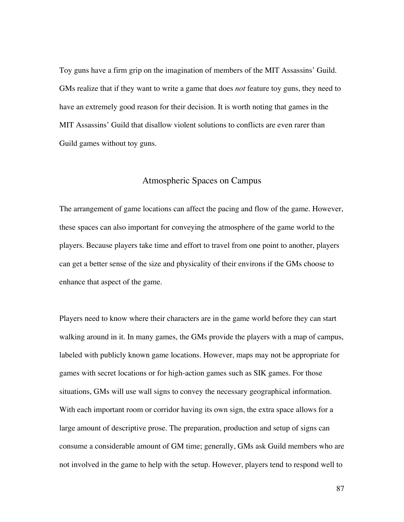Toy guns have a firm grip on the imagination of members of the MIT Assassins' Guild. GMs realize that if they want to write a game that does *not* feature toy guns, they need to have an extremely good reason for their decision. It is worth noting that games in the MIT Assassins' Guild that disallow violent solutions to conflicts are even rarer than Guild games without toy guns.

### Atmospheric Spaces on Campus

The arrangement of game locations can affect the pacing and flow of the game. However, these spaces can also important for conveying the atmosphere of the game world to the players. Because players take time and effort to travel from one point to another, players can get a better sense of the size and physicality of their environs if the GMs choose to enhance that aspect of the game.

Players need to know where their characters are in the game world before they can start walking around in it. In many games, the GMs provide the players with a map of campus, labeled with publicly known game locations. However, maps may not be appropriate for games with secret locations or for high-action games such as SIK games. For those situations, GMs will use wall signs to convey the necessary geographical information. With each important room or corridor having its own sign, the extra space allows for a large amount of descriptive prose. The preparation, production and setup of signs can consume a considerable amount of GM time; generally, GMs ask Guild members who are not involved in the game to help with the setup. However, players tend to respond well to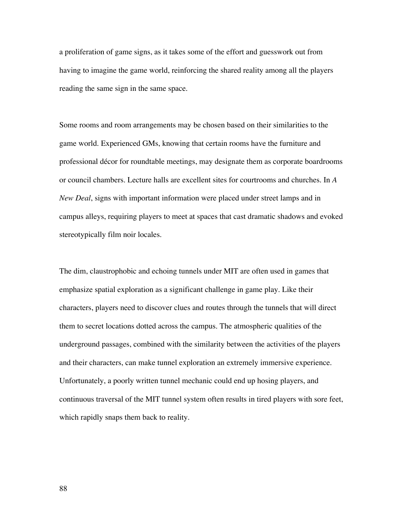a proliferation of game signs, as it takes some of the effort and guesswork out from having to imagine the game world, reinforcing the shared reality among all the players reading the same sign in the same space.

Some rooms and room arrangements may be chosen based on their similarities to the game world. Experienced GMs, knowing that certain rooms have the furniture and professional décor for roundtable meetings, may designate them as corporate boardrooms or council chambers. Lecture halls are excellent sites for courtrooms and churches. In *A New Deal*, signs with important information were placed under street lamps and in campus alleys, requiring players to meet at spaces that cast dramatic shadows and evoked stereotypically film noir locales.

The dim, claustrophobic and echoing tunnels under MIT are often used in games that emphasize spatial exploration as a significant challenge in game play. Like their characters, players need to discover clues and routes through the tunnels that will direct them to secret locations dotted across the campus. The atmospheric qualities of the underground passages, combined with the similarity between the activities of the players and their characters, can make tunnel exploration an extremely immersive experience. Unfortunately, a poorly written tunnel mechanic could end up hosing players, and continuous traversal of the MIT tunnel system often results in tired players with sore feet, which rapidly snaps them back to reality.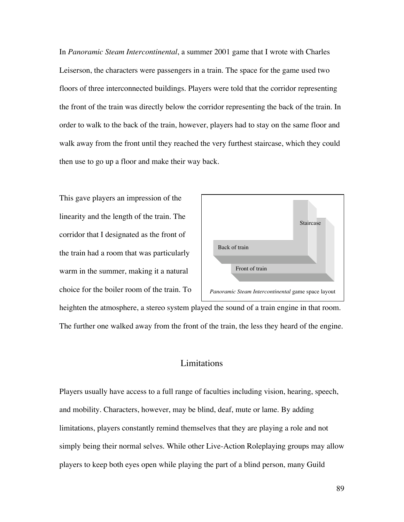In *Panoramic Steam Intercontinental*, a summer 2001 game that I wrote with Charles Leiserson, the characters were passengers in a train. The space for the game used two floors of three interconnected buildings. Players were told that the corridor representing the front of the train was directly below the corridor representing the back of the train. In order to walk to the back of the train, however, players had to stay on the same floor and walk away from the front until they reached the very furthest staircase, which they could then use to go up a floor and make their way back.

This gave players an impression of the linearity and the length of the train. The corridor that I designated as the front of the train had a room that was particularly warm in the summer, making it a natural choice for the boiler room of the train. To



heighten the atmosphere, a stereo system played the sound of a train engine in that room. The further one walked away from the front of the train, the less they heard of the engine.

# Limitations

Players usually have access to a full range of faculties including vision, hearing, speech, and mobility. Characters, however, may be blind, deaf, mute or lame. By adding limitations, players constantly remind themselves that they are playing a role and not simply being their normal selves. While other Live-Action Roleplaying groups may allow players to keep both eyes open while playing the part of a blind person, many Guild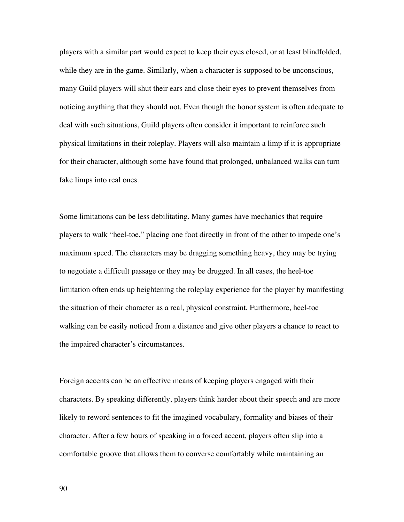players with a similar part would expect to keep their eyes closed, or at least blindfolded, while they are in the game. Similarly, when a character is supposed to be unconscious, many Guild players will shut their ears and close their eyes to prevent themselves from noticing anything that they should not. Even though the honor system is often adequate to deal with such situations, Guild players often consider it important to reinforce such physical limitations in their roleplay. Players will also maintain a limp if it is appropriate for their character, although some have found that prolonged, unbalanced walks can turn fake limps into real ones.

Some limitations can be less debilitating. Many games have mechanics that require players to walk "heel-toe," placing one foot directly in front of the other to impede one's maximum speed. The characters may be dragging something heavy, they may be trying to negotiate a difficult passage or they may be drugged. In all cases, the heel-toe limitation often ends up heightening the roleplay experience for the player by manifesting the situation of their character as a real, physical constraint. Furthermore, heel-toe walking can be easily noticed from a distance and give other players a chance to react to the impaired character's circumstances.

Foreign accents can be an effective means of keeping players engaged with their characters. By speaking differently, players think harder about their speech and are more likely to reword sentences to fit the imagined vocabulary, formality and biases of their character. After a few hours of speaking in a forced accent, players often slip into a comfortable groove that allows them to converse comfortably while maintaining an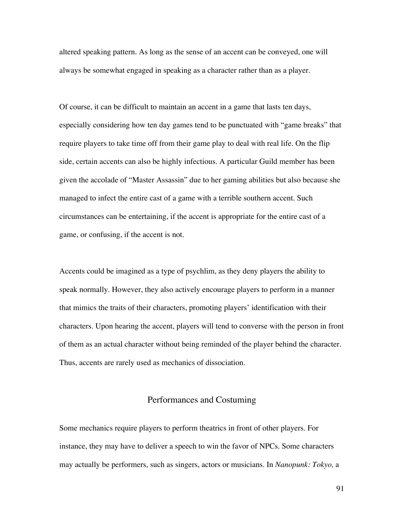altered speaking pattern. As long as the sense of an accent can be conveyed, one will always be somewhat engaged in speaking as a character rather than as a player.

Of course, it can be difficult to maintain an accent in a game that lasts ten days, especially considering how ten day games tend to be punctuated with "game breaks" that require players to take time off from their game play to deal with real life. On the flip side, certain accents can also be highly infectious. A particular Guild member has been given the accolade of "Master Assassin" due to her gaming abilities but also because she managed to infect the entire cast of a game with a terrible southern accent. Such circumstances can be entertaining, if the accent is appropriate for the entire cast of a game, or confusing, if the accent is not.

Accents could be imagined as a type of psychlim, as they deny players the ability to speak normally. However, they also actively encourage players to perform in a manner that mimics the traits of their characters, promoting players' identification with their characters. Upon hearing the accent, players will tend to converse with the person in front of them as an actual character without being reminded of the player behind the character. Thus, accents are rarely used as mechanics of dissociation.

## Performances and Costuming

Some mechanics require players to perform theatrics in front of other players. For instance, they may have to deliver a speech to win the favor of NPCs. Some characters may actually be performers, such as singers, actors or musicians. In *Nanopunk: Tokyo,* a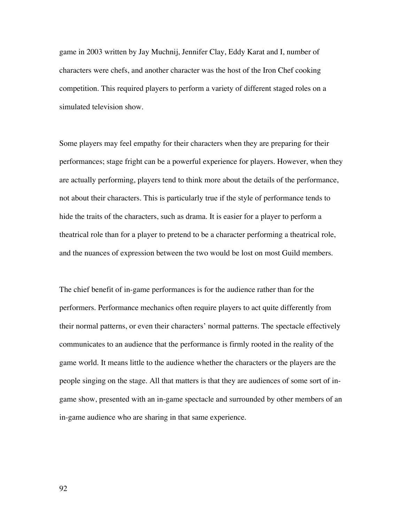game in 2003 written by Jay Muchnij, Jennifer Clay, Eddy Karat and I, number of characters were chefs, and another character was the host of the Iron Chef cooking competition. This required players to perform a variety of different staged roles on a simulated television show.

Some players may feel empathy for their characters when they are preparing for their performances; stage fright can be a powerful experience for players. However, when they are actually performing, players tend to think more about the details of the performance, not about their characters. This is particularly true if the style of performance tends to hide the traits of the characters, such as drama. It is easier for a player to perform a theatrical role than for a player to pretend to be a character performing a theatrical role, and the nuances of expression between the two would be lost on most Guild members.

The chief benefit of in-game performances is for the audience rather than for the performers. Performance mechanics often require players to act quite differently from their normal patterns, or even their characters' normal patterns. The spectacle effectively communicates to an audience that the performance is firmly rooted in the reality of the game world. It means little to the audience whether the characters or the players are the people singing on the stage. All that matters is that they are audiences of some sort of ingame show, presented with an in-game spectacle and surrounded by other members of an in-game audience who are sharing in that same experience.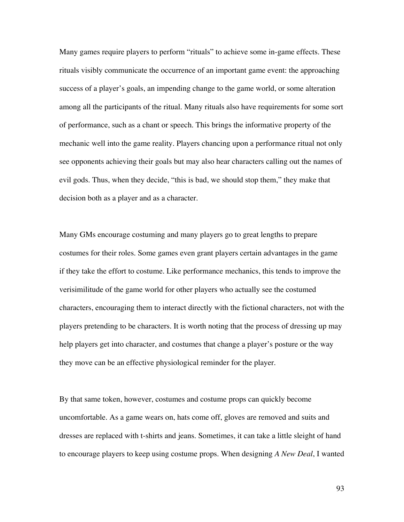Many games require players to perform "rituals" to achieve some in-game effects. These rituals visibly communicate the occurrence of an important game event: the approaching success of a player's goals, an impending change to the game world, or some alteration among all the participants of the ritual. Many rituals also have requirements for some sort of performance, such as a chant or speech. This brings the informative property of the mechanic well into the game reality. Players chancing upon a performance ritual not only see opponents achieving their goals but may also hear characters calling out the names of evil gods. Thus, when they decide, "this is bad, we should stop them," they make that decision both as a player and as a character.

Many GMs encourage costuming and many players go to great lengths to prepare costumes for their roles. Some games even grant players certain advantages in the game if they take the effort to costume. Like performance mechanics, this tends to improve the verisimilitude of the game world for other players who actually see the costumed characters, encouraging them to interact directly with the fictional characters, not with the players pretending to be characters. It is worth noting that the process of dressing up may help players get into character, and costumes that change a player's posture or the way they move can be an effective physiological reminder for the player.

By that same token, however, costumes and costume props can quickly become uncomfortable. As a game wears on, hats come off, gloves are removed and suits and dresses are replaced with t-shirts and jeans. Sometimes, it can take a little sleight of hand to encourage players to keep using costume props. When designing *A New Deal*, I wanted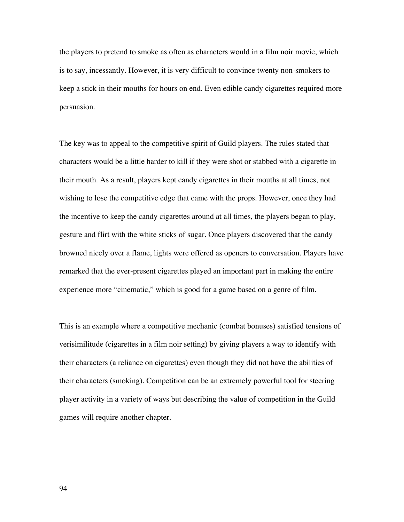the players to pretend to smoke as often as characters would in a film noir movie, which is to say, incessantly. However, it is very difficult to convince twenty non-smokers to keep a stick in their mouths for hours on end. Even edible candy cigarettes required more persuasion.

The key was to appeal to the competitive spirit of Guild players. The rules stated that characters would be a little harder to kill if they were shot or stabbed with a cigarette in their mouth. As a result, players kept candy cigarettes in their mouths at all times, not wishing to lose the competitive edge that came with the props. However, once they had the incentive to keep the candy cigarettes around at all times, the players began to play, gesture and flirt with the white sticks of sugar. Once players discovered that the candy browned nicely over a flame, lights were offered as openers to conversation. Players have remarked that the ever-present cigarettes played an important part in making the entire experience more "cinematic," which is good for a game based on a genre of film.

This is an example where a competitive mechanic (combat bonuses) satisfied tensions of verisimilitude (cigarettes in a film noir setting) by giving players a way to identify with their characters (a reliance on cigarettes) even though they did not have the abilities of their characters (smoking). Competition can be an extremely powerful tool for steering player activity in a variety of ways but describing the value of competition in the Guild games will require another chapter.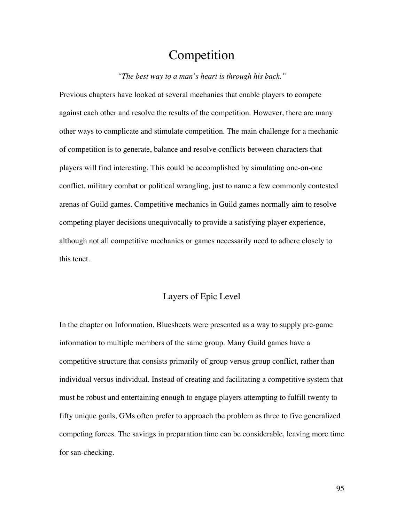# Competition

*"The best way to a man's heart is through his back."*

Previous chapters have looked at several mechanics that enable players to compete against each other and resolve the results of the competition. However, there are many other ways to complicate and stimulate competition. The main challenge for a mechanic of competition is to generate, balance and resolve conflicts between characters that players will find interesting. This could be accomplished by simulating one-on-one conflict, military combat or political wrangling, just to name a few commonly contested arenas of Guild games. Competitive mechanics in Guild games normally aim to resolve competing player decisions unequivocally to provide a satisfying player experience, although not all competitive mechanics or games necessarily need to adhere closely to this tenet.

# Layers of Epic Level

In the chapter on Information, Bluesheets were presented as a way to supply pre-game information to multiple members of the same group. Many Guild games have a competitive structure that consists primarily of group versus group conflict, rather than individual versus individual. Instead of creating and facilitating a competitive system that must be robust and entertaining enough to engage players attempting to fulfill twenty to fifty unique goals, GMs often prefer to approach the problem as three to five generalized competing forces. The savings in preparation time can be considerable, leaving more time for san-checking.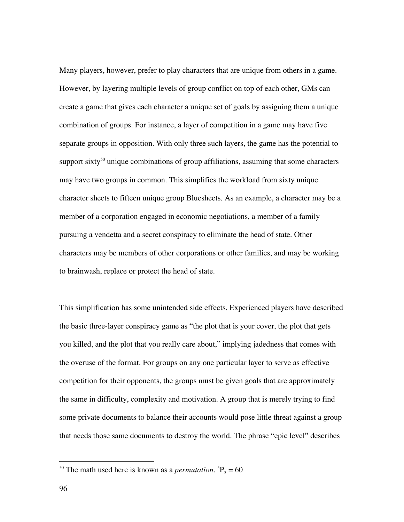Many players, however, prefer to play characters that are unique from others in a game. However, by layering multiple levels of group conflict on top of each other, GMs can create a game that gives each character a unique set of goals by assigning them a unique combination of groups. For instance, a layer of competition in a game may have five separate groups in opposition. With only three such layers, the game has the potential to support sixty<sup>50</sup> unique combinations of group affiliations, assuming that some characters may have two groups in common. This simplifies the workload from sixty unique character sheets to fifteen unique group Bluesheets. As an example, a character may be a member of a corporation engaged in economic negotiations, a member of a family pursuing a vendetta and a secret conspiracy to eliminate the head of state. Other characters may be members of other corporations or other families, and may be working to brainwash, replace or protect the head of state.

This simplification has some unintended side effects. Experienced players have described the basic three-layer conspiracy game as "the plot that is your cover, the plot that gets you killed, and the plot that you really care about," implying jadedness that comes with the overuse of the format. For groups on any one particular layer to serve as effective competition for their opponents, the groups must be given goals that are approximately the same in difficulty, complexity and motivation. A group that is merely trying to find some private documents to balance their accounts would pose little threat against a group that needs those same documents to destroy the world. The phrase "epic level" describes

<sup>&</sup>lt;sup>50</sup> The math used here is known as a *permutation*. <sup>5</sup> $P_3 = 60$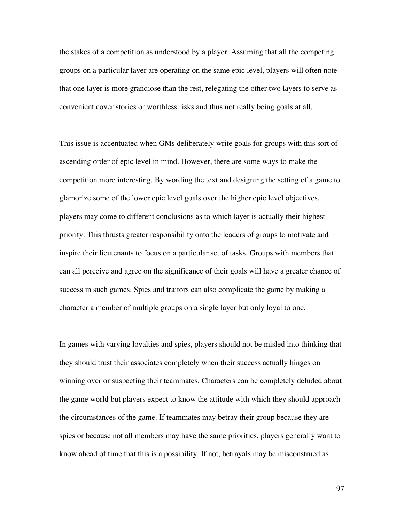the stakes of a competition as understood by a player. Assuming that all the competing groups on a particular layer are operating on the same epic level, players will often note that one layer is more grandiose than the rest, relegating the other two layers to serve as convenient cover stories or worthless risks and thus not really being goals at all.

This issue is accentuated when GMs deliberately write goals for groups with this sort of ascending order of epic level in mind. However, there are some ways to make the competition more interesting. By wording the text and designing the setting of a game to glamorize some of the lower epic level goals over the higher epic level objectives, players may come to different conclusions as to which layer is actually their highest priority. This thrusts greater responsibility onto the leaders of groups to motivate and inspire their lieutenants to focus on a particular set of tasks. Groups with members that can all perceive and agree on the significance of their goals will have a greater chance of success in such games. Spies and traitors can also complicate the game by making a character a member of multiple groups on a single layer but only loyal to one.

In games with varying loyalties and spies, players should not be misled into thinking that they should trust their associates completely when their success actually hinges on winning over or suspecting their teammates. Characters can be completely deluded about the game world but players expect to know the attitude with which they should approach the circumstances of the game. If teammates may betray their group because they are spies or because not all members may have the same priorities, players generally want to know ahead of time that this is a possibility. If not, betrayals may be misconstrued as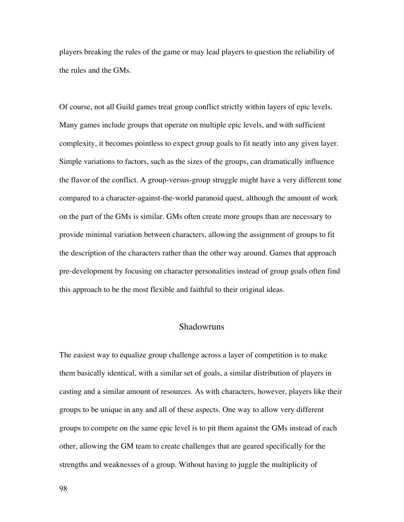players breaking the rules of the game or may lead players to question the reliability of the rules and the GMs.

Of course, not all Guild games treat group conflict strictly within layers of epic levels. Many games include groups that operate on multiple epic levels, and with sufficient complexity, it becomes pointless to expect group goals to fit neatly into any given layer. Simple variations to factors, such as the sizes of the groups, can dramatically influence the flavor of the conflict. A group-versus-group struggle might have a very different tone compared to a character-against-the-world paranoid quest, although the amount of work on the part of the GMs is similar. GMs often create more groups than are necessary to provide minimal variation between characters, allowing the assignment of groups to fit the description of the characters rather than the other way around. Games that approach pre-development by focusing on character personalities instead of group goals often find this approach to be the most flexible and faithful to their original ideas.

### Shadowruns

The easiest way to equalize group challenge across a layer of competition is to make them basically identical, with a similar set of goals, a similar distribution of players in casting and a similar amount of resources. As with characters, however, players like their groups to be unique in any and all of these aspects. One way to allow very different groups to compete on the same epic level is to pit them against the GMs instead of each other, allowing the GM team to create challenges that are geared specifically for the strengths and weaknesses of a group. Without having to juggle the multiplicity of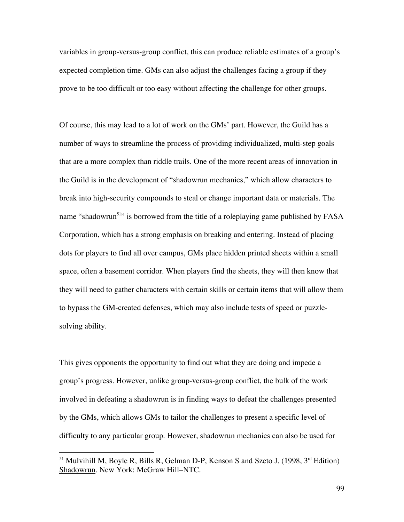variables in group-versus-group conflict, this can produce reliable estimates of a group's expected completion time. GMs can also adjust the challenges facing a group if they prove to be too difficult or too easy without affecting the challenge for other groups.

Of course, this may lead to a lot of work on the GMs' part. However, the Guild has a number of ways to streamline the process of providing individualized, multi-step goals that are a more complex than riddle trails. One of the more recent areas of innovation in the Guild is in the development of "shadowrun mechanics," which allow characters to break into high-security compounds to steal or change important data or materials. The name "shadowrun<sup>51</sup>" is borrowed from the title of a roleplaying game published by FASA Corporation, which has a strong emphasis on breaking and entering. Instead of placing dots for players to find all over campus, GMs place hidden printed sheets within a small space, often a basement corridor. When players find the sheets, they will then know that they will need to gather characters with certain skills or certain items that will allow them to bypass the GM-created defenses, which may also include tests of speed or puzzlesolving ability.

This gives opponents the opportunity to find out what they are doing and impede a group's progress. However, unlike group-versus-group conflict, the bulk of the work involved in defeating a shadowrun is in finding ways to defeat the challenges presented by the GMs, which allows GMs to tailor the challenges to present a specific level of difficulty to any particular group. However, shadowrun mechanics can also be used for

 <sup>51</sup> Mulvihill M, Boyle R, Bills R, Gelman D-P, Kenson S and Szeto J. (1998, 3rd Edition) Shadowrun. New York: McGraw Hill–NTC.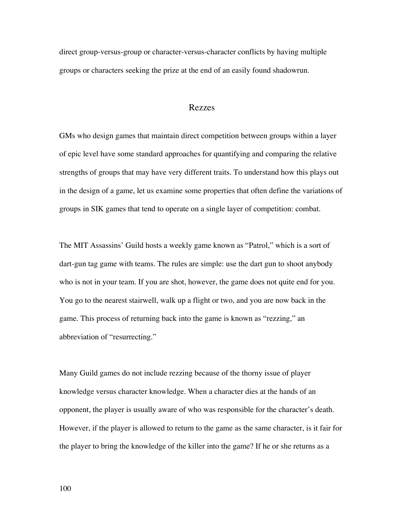direct group-versus-group or character-versus-character conflicts by having multiple groups or characters seeking the prize at the end of an easily found shadowrun.

#### Rezzes

GMs who design games that maintain direct competition between groups within a layer of epic level have some standard approaches for quantifying and comparing the relative strengths of groups that may have very different traits. To understand how this plays out in the design of a game, let us examine some properties that often define the variations of groups in SIK games that tend to operate on a single layer of competition: combat.

The MIT Assassins' Guild hosts a weekly game known as "Patrol," which is a sort of dart-gun tag game with teams. The rules are simple: use the dart gun to shoot anybody who is not in your team. If you are shot, however, the game does not quite end for you. You go to the nearest stairwell, walk up a flight or two, and you are now back in the game. This process of returning back into the game is known as "rezzing," an abbreviation of "resurrecting."

Many Guild games do not include rezzing because of the thorny issue of player knowledge versus character knowledge. When a character dies at the hands of an opponent, the player is usually aware of who was responsible for the character's death. However, if the player is allowed to return to the game as the same character, is it fair for the player to bring the knowledge of the killer into the game? If he or she returns as a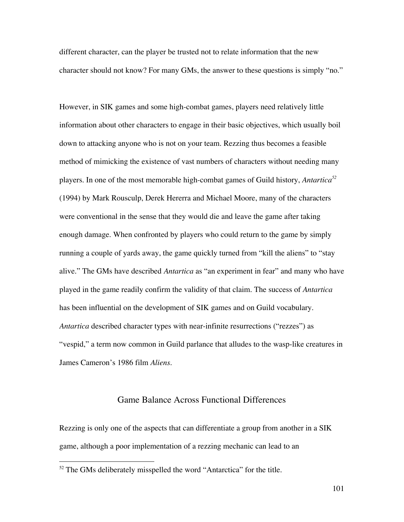different character, can the player be trusted not to relate information that the new character should not know? For many GMs, the answer to these questions is simply "no."

However, in SIK games and some high-combat games, players need relatively little information about other characters to engage in their basic objectives, which usually boil down to attacking anyone who is not on your team. Rezzing thus becomes a feasible method of mimicking the existence of vast numbers of characters without needing many players. In one of the most memorable high-combat games of Guild history, *Antartica<sup>52</sup>* (1994) by Mark Rousculp, Derek Hererra and Michael Moore, many of the characters were conventional in the sense that they would die and leave the game after taking enough damage. When confronted by players who could return to the game by simply running a couple of yards away, the game quickly turned from "kill the aliens" to "stay alive." The GMs have described *Antartica* as "an experiment in fear" and many who have played in the game readily confirm the validity of that claim. The success of *Antartica* has been influential on the development of SIK games and on Guild vocabulary. *Antartica* described character types with near-infinite resurrections ("rezzes") as "vespid," a term now common in Guild parlance that alludes to the wasp-like creatures in James Cameron's 1986 film *Aliens*.

## Game Balance Across Functional Differences

Rezzing is only one of the aspects that can differentiate a group from another in a SIK game, although a poor implementation of a rezzing mechanic can lead to an

<sup>&</sup>lt;sup>52</sup> The GMs deliberately misspelled the word "Antarctica" for the title.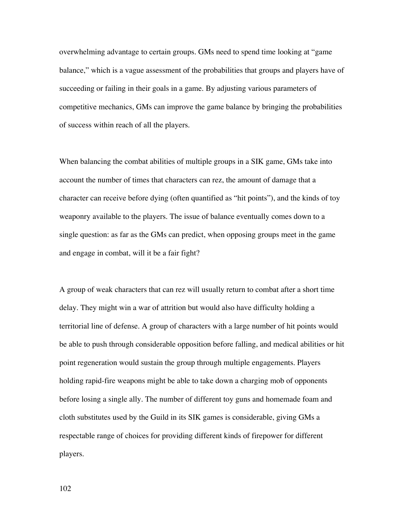overwhelming advantage to certain groups. GMs need to spend time looking at "game balance," which is a vague assessment of the probabilities that groups and players have of succeeding or failing in their goals in a game. By adjusting various parameters of competitive mechanics, GMs can improve the game balance by bringing the probabilities of success within reach of all the players.

When balancing the combat abilities of multiple groups in a SIK game, GMs take into account the number of times that characters can rez, the amount of damage that a character can receive before dying (often quantified as "hit points"), and the kinds of toy weaponry available to the players. The issue of balance eventually comes down to a single question: as far as the GMs can predict, when opposing groups meet in the game and engage in combat, will it be a fair fight?

A group of weak characters that can rez will usually return to combat after a short time delay. They might win a war of attrition but would also have difficulty holding a territorial line of defense. A group of characters with a large number of hit points would be able to push through considerable opposition before falling, and medical abilities or hit point regeneration would sustain the group through multiple engagements. Players holding rapid-fire weapons might be able to take down a charging mob of opponents before losing a single ally. The number of different toy guns and homemade foam and cloth substitutes used by the Guild in its SIK games is considerable, giving GMs a respectable range of choices for providing different kinds of firepower for different players.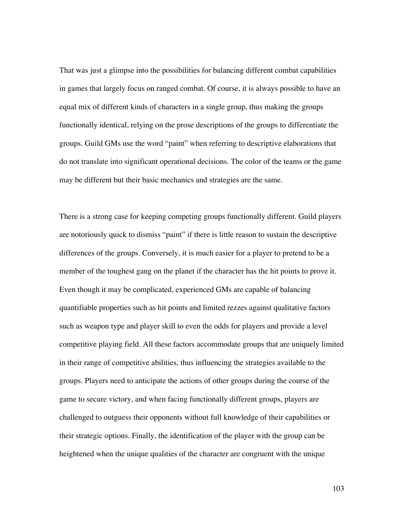That was just a glimpse into the possibilities for balancing different combat capabilities in games that largely focus on ranged combat. Of course, it is always possible to have an equal mix of different kinds of characters in a single group, thus making the groups functionally identical, relying on the prose descriptions of the groups to differentiate the groups. Guild GMs use the word "paint" when referring to descriptive elaborations that do not translate into significant operational decisions. The color of the teams or the game may be different but their basic mechanics and strategies are the same.

There is a strong case for keeping competing groups functionally different. Guild players are notoriously quick to dismiss "paint" if there is little reason to sustain the descriptive differences of the groups. Conversely, it is much easier for a player to pretend to be a member of the toughest gang on the planet if the character has the hit points to prove it. Even though it may be complicated, experienced GMs are capable of balancing quantifiable properties such as hit points and limited rezzes against qualitative factors such as weapon type and player skill to even the odds for players and provide a level competitive playing field. All these factors accommodate groups that are uniquely limited in their range of competitive abilities, thus influencing the strategies available to the groups. Players need to anticipate the actions of other groups during the course of the game to secure victory, and when facing functionally different groups, players are challenged to outguess their opponents without full knowledge of their capabilities or their strategic options. Finally, the identification of the player with the group can be heightened when the unique qualities of the character are congruent with the unique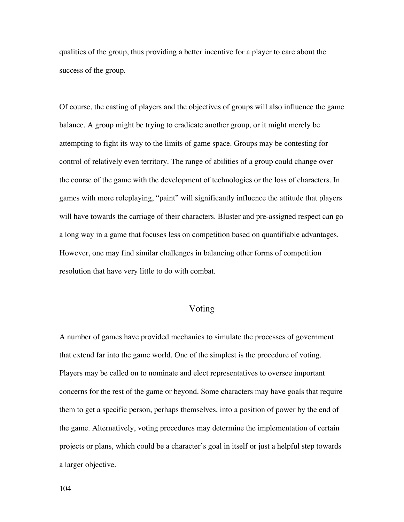qualities of the group, thus providing a better incentive for a player to care about the success of the group.

Of course, the casting of players and the objectives of groups will also influence the game balance. A group might be trying to eradicate another group, or it might merely be attempting to fight its way to the limits of game space. Groups may be contesting for control of relatively even territory. The range of abilities of a group could change over the course of the game with the development of technologies or the loss of characters. In games with more roleplaying, "paint" will significantly influence the attitude that players will have towards the carriage of their characters. Bluster and pre-assigned respect can go a long way in a game that focuses less on competition based on quantifiable advantages. However, one may find similar challenges in balancing other forms of competition resolution that have very little to do with combat.

## Voting

A number of games have provided mechanics to simulate the processes of government that extend far into the game world. One of the simplest is the procedure of voting. Players may be called on to nominate and elect representatives to oversee important concerns for the rest of the game or beyond. Some characters may have goals that require them to get a specific person, perhaps themselves, into a position of power by the end of the game. Alternatively, voting procedures may determine the implementation of certain projects or plans, which could be a character's goal in itself or just a helpful step towards a larger objective.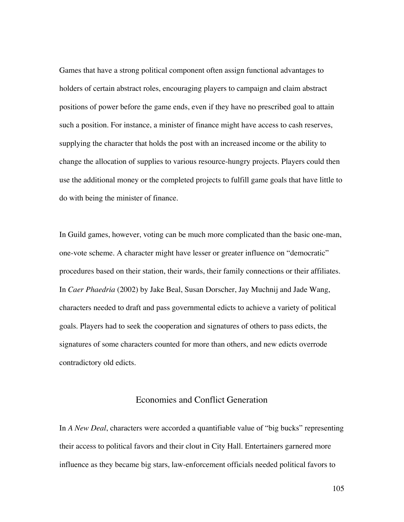Games that have a strong political component often assign functional advantages to holders of certain abstract roles, encouraging players to campaign and claim abstract positions of power before the game ends, even if they have no prescribed goal to attain such a position. For instance, a minister of finance might have access to cash reserves, supplying the character that holds the post with an increased income or the ability to change the allocation of supplies to various resource-hungry projects. Players could then use the additional money or the completed projects to fulfill game goals that have little to do with being the minister of finance.

In Guild games, however, voting can be much more complicated than the basic one-man, one-vote scheme. A character might have lesser or greater influence on "democratic" procedures based on their station, their wards, their family connections or their affiliates. In *Caer Phaedria* (2002) by Jake Beal, Susan Dorscher, Jay Muchnij and Jade Wang, characters needed to draft and pass governmental edicts to achieve a variety of political goals. Players had to seek the cooperation and signatures of others to pass edicts, the signatures of some characters counted for more than others, and new edicts overrode contradictory old edicts.

# Economies and Conflict Generation

In *A New Deal*, characters were accorded a quantifiable value of "big bucks" representing their access to political favors and their clout in City Hall. Entertainers garnered more influence as they became big stars, law-enforcement officials needed political favors to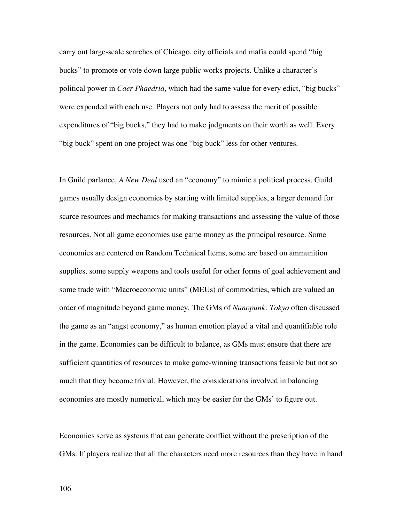carry out large-scale searches of Chicago, city officials and mafia could spend "big bucks" to promote or vote down large public works projects. Unlike a character's political power in *Caer Phaedria*, which had the same value for every edict, "big bucks" were expended with each use. Players not only had to assess the merit of possible expenditures of "big bucks," they had to make judgments on their worth as well. Every "big buck" spent on one project was one "big buck" less for other ventures.

In Guild parlance, *A New Deal* used an "economy" to mimic a political process. Guild games usually design economies by starting with limited supplies, a larger demand for scarce resources and mechanics for making transactions and assessing the value of those resources. Not all game economies use game money as the principal resource. Some economies are centered on Random Technical Items, some are based on ammunition supplies, some supply weapons and tools useful for other forms of goal achievement and some trade with "Macroeconomic units" (MEUs) of commodities, which are valued an order of magnitude beyond game money. The GMs of *Nanopunk: Tokyo* often discussed the game as an "angst economy," as human emotion played a vital and quantifiable role in the game. Economies can be difficult to balance, as GMs must ensure that there are sufficient quantities of resources to make game-winning transactions feasible but not so much that they become trivial. However, the considerations involved in balancing economies are mostly numerical, which may be easier for the GMs' to figure out.

Economies serve as systems that can generate conflict without the prescription of the GMs. If players realize that all the characters need more resources than they have in hand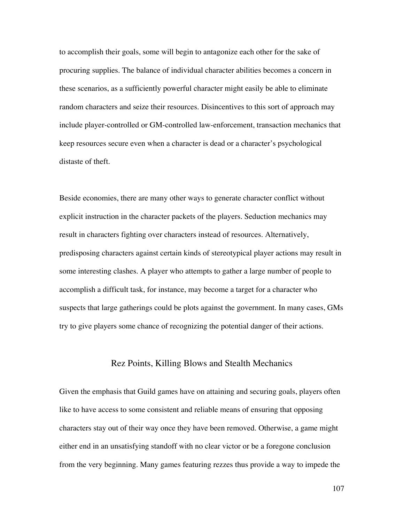to accomplish their goals, some will begin to antagonize each other for the sake of procuring supplies. The balance of individual character abilities becomes a concern in these scenarios, as a sufficiently powerful character might easily be able to eliminate random characters and seize their resources. Disincentives to this sort of approach may include player-controlled or GM-controlled law-enforcement, transaction mechanics that keep resources secure even when a character is dead or a character's psychological distaste of theft.

Beside economies, there are many other ways to generate character conflict without explicit instruction in the character packets of the players. Seduction mechanics may result in characters fighting over characters instead of resources. Alternatively, predisposing characters against certain kinds of stereotypical player actions may result in some interesting clashes. A player who attempts to gather a large number of people to accomplish a difficult task, for instance, may become a target for a character who suspects that large gatherings could be plots against the government. In many cases, GMs try to give players some chance of recognizing the potential danger of their actions.

#### Rez Points, Killing Blows and Stealth Mechanics

Given the emphasis that Guild games have on attaining and securing goals, players often like to have access to some consistent and reliable means of ensuring that opposing characters stay out of their way once they have been removed. Otherwise, a game might either end in an unsatisfying standoff with no clear victor or be a foregone conclusion from the very beginning. Many games featuring rezzes thus provide a way to impede the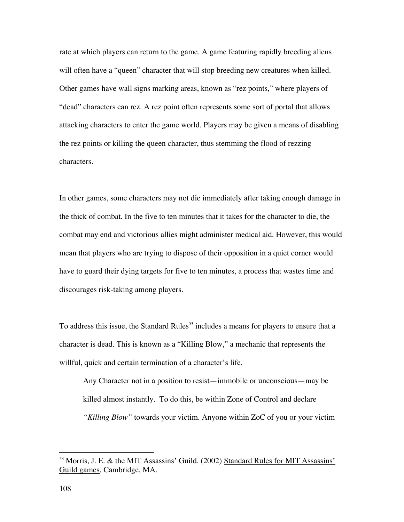rate at which players can return to the game. A game featuring rapidly breeding aliens will often have a "queen" character that will stop breeding new creatures when killed. Other games have wall signs marking areas, known as "rez points," where players of "dead" characters can rez. A rez point often represents some sort of portal that allows attacking characters to enter the game world. Players may be given a means of disabling the rez points or killing the queen character, thus stemming the flood of rezzing characters.

In other games, some characters may not die immediately after taking enough damage in the thick of combat. In the five to ten minutes that it takes for the character to die, the combat may end and victorious allies might administer medical aid. However, this would mean that players who are trying to dispose of their opposition in a quiet corner would have to guard their dying targets for five to ten minutes, a process that wastes time and discourages risk-taking among players.

To address this issue, the Standard Rules<sup>53</sup> includes a means for players to ensure that a character is dead. This is known as a "Killing Blow," a mechanic that represents the willful, quick and certain termination of a character's life.

Any Character not in a position to resist—immobile or unconscious—may be killed almost instantly. To do this, be within Zone of Control and declare *"Killing Blow"* towards your victim. Anyone within ZoC of you or your victim

<sup>&</sup>lt;sup>53</sup> Morris, J. E. & the MIT Assassins' Guild. (2002) Standard Rules for MIT Assassins' Guild games. Cambridge, MA.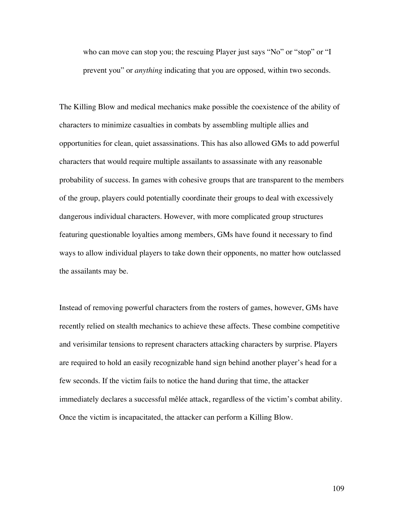who can move can stop you; the rescuing Player just says "No" or "stop" or "I prevent you" or *anything* indicating that you are opposed, within two seconds.

The Killing Blow and medical mechanics make possible the coexistence of the ability of characters to minimize casualties in combats by assembling multiple allies and opportunities for clean, quiet assassinations. This has also allowed GMs to add powerful characters that would require multiple assailants to assassinate with any reasonable probability of success. In games with cohesive groups that are transparent to the members of the group, players could potentially coordinate their groups to deal with excessively dangerous individual characters. However, with more complicated group structures featuring questionable loyalties among members, GMs have found it necessary to find ways to allow individual players to take down their opponents, no matter how outclassed the assailants may be.

Instead of removing powerful characters from the rosters of games, however, GMs have recently relied on stealth mechanics to achieve these affects. These combine competitive and verisimilar tensions to represent characters attacking characters by surprise. Players are required to hold an easily recognizable hand sign behind another player's head for a few seconds. If the victim fails to notice the hand during that time, the attacker immediately declares a successful mêlée attack, regardless of the victim's combat ability. Once the victim is incapacitated, the attacker can perform a Killing Blow.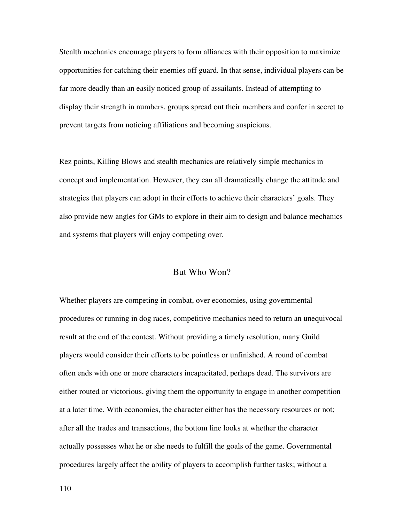Stealth mechanics encourage players to form alliances with their opposition to maximize opportunities for catching their enemies off guard. In that sense, individual players can be far more deadly than an easily noticed group of assailants. Instead of attempting to display their strength in numbers, groups spread out their members and confer in secret to prevent targets from noticing affiliations and becoming suspicious.

Rez points, Killing Blows and stealth mechanics are relatively simple mechanics in concept and implementation. However, they can all dramatically change the attitude and strategies that players can adopt in their efforts to achieve their characters' goals. They also provide new angles for GMs to explore in their aim to design and balance mechanics and systems that players will enjoy competing over.

## But Who Won?

Whether players are competing in combat, over economies, using governmental procedures or running in dog races, competitive mechanics need to return an unequivocal result at the end of the contest. Without providing a timely resolution, many Guild players would consider their efforts to be pointless or unfinished. A round of combat often ends with one or more characters incapacitated, perhaps dead. The survivors are either routed or victorious, giving them the opportunity to engage in another competition at a later time. With economies, the character either has the necessary resources or not; after all the trades and transactions, the bottom line looks at whether the character actually possesses what he or she needs to fulfill the goals of the game. Governmental procedures largely affect the ability of players to accomplish further tasks; without a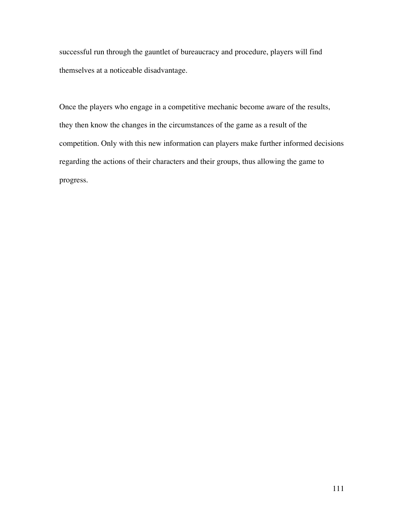successful run through the gauntlet of bureaucracy and procedure, players will find themselves at a noticeable disadvantage.

Once the players who engage in a competitive mechanic become aware of the results, they then know the changes in the circumstances of the game as a result of the competition. Only with this new information can players make further informed decisions regarding the actions of their characters and their groups, thus allowing the game to progress.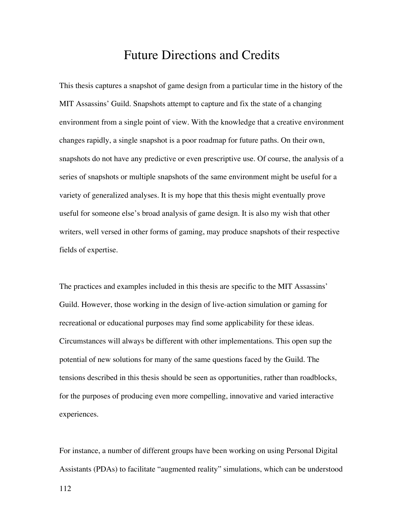## Future Directions and Credits

This thesis captures a snapshot of game design from a particular time in the history of the MIT Assassins' Guild. Snapshots attempt to capture and fix the state of a changing environment from a single point of view. With the knowledge that a creative environment changes rapidly, a single snapshot is a poor roadmap for future paths. On their own, snapshots do not have any predictive or even prescriptive use. Of course, the analysis of a series of snapshots or multiple snapshots of the same environment might be useful for a variety of generalized analyses. It is my hope that this thesis might eventually prove useful for someone else's broad analysis of game design. It is also my wish that other writers, well versed in other forms of gaming, may produce snapshots of their respective fields of expertise.

The practices and examples included in this thesis are specific to the MIT Assassins' Guild. However, those working in the design of live-action simulation or gaming for recreational or educational purposes may find some applicability for these ideas. Circumstances will always be different with other implementations. This open sup the potential of new solutions for many of the same questions faced by the Guild. The tensions described in this thesis should be seen as opportunities, rather than roadblocks, for the purposes of producing even more compelling, innovative and varied interactive experiences.

For instance, a number of different groups have been working on using Personal Digital Assistants (PDAs) to facilitate "augmented reality" simulations, which can be understood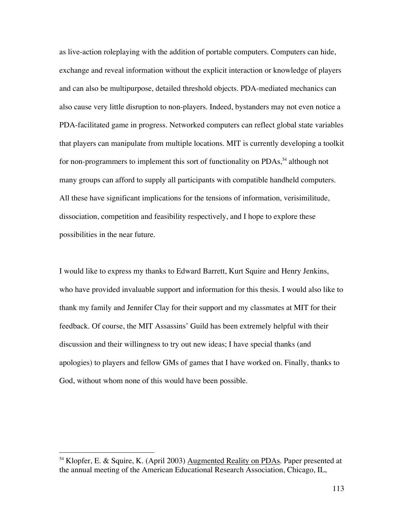as live-action roleplaying with the addition of portable computers. Computers can hide, exchange and reveal information without the explicit interaction or knowledge of players and can also be multipurpose, detailed threshold objects. PDA-mediated mechanics can also cause very little disruption to non-players. Indeed, bystanders may not even notice a PDA-facilitated game in progress. Networked computers can reflect global state variables that players can manipulate from multiple locations. MIT is currently developing a toolkit for non-programmers to implement this sort of functionality on PDAs,<sup>54</sup> although not many groups can afford to supply all participants with compatible handheld computers. All these have significant implications for the tensions of information, verisimilitude, dissociation, competition and feasibility respectively, and I hope to explore these possibilities in the near future.

I would like to express my thanks to Edward Barrett, Kurt Squire and Henry Jenkins, who have provided invaluable support and information for this thesis. I would also like to thank my family and Jennifer Clay for their support and my classmates at MIT for their feedback. Of course, the MIT Assassins' Guild has been extremely helpful with their discussion and their willingness to try out new ideas; I have special thanks (and apologies) to players and fellow GMs of games that I have worked on. Finally, thanks to God, without whom none of this would have been possible.

 <sup>54</sup> Klopfer, E. & Squire, K. (April 2003) Augmented Reality on PDAs. Paper presented at the annual meeting of the American Educational Research Association, Chicago, IL,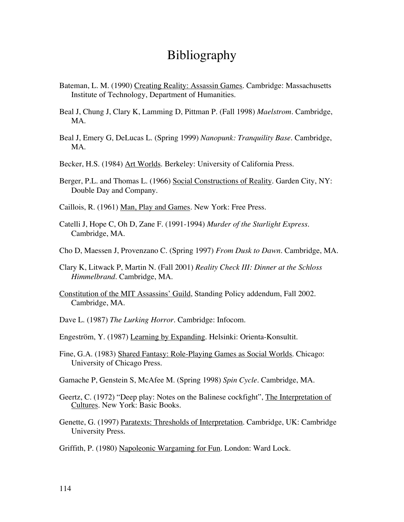## Bibliography

- Bateman, L. M. (1990) Creating Reality: Assassin Games. Cambridge: Massachusetts Institute of Technology, Department of Humanities.
- Beal J, Chung J, Clary K, Lamming D, Pittman P. (Fall 1998) *Maelstrom*. Cambridge, MA.
- Beal J, Emery G, DeLucas L. (Spring 1999) *Nanopunk: Tranquility Base*. Cambridge, MA.
- Becker, H.S. (1984) Art Worlds. Berkeley: University of California Press.
- Berger, P.L. and Thomas L. (1966) Social Constructions of Reality. Garden City, NY: Double Day and Company.
- Caillois, R. (1961) Man, Play and Games. New York: Free Press.
- Catelli J, Hope C, Oh D, Zane F. (1991-1994) *Murder of the Starlight Express*. Cambridge, MA.
- Cho D, Maessen J, Provenzano C. (Spring 1997) *From Dusk to Dawn*. Cambridge, MA.
- Clary K, Litwack P, Martin N. (Fall 2001) *Reality Check III: Dinner at the Schloss Himmelbrand.* Cambridge, MA.
- Constitution of the MIT Assassins' Guild, Standing Policy addendum, Fall 2002. Cambridge, MA.
- Dave L. (1987) *The Lurking Horror*. Cambridge: Infocom.
- Engeström, Y. (1987) Learning by Expanding. Helsinki: Orienta-Konsultit.
- Fine, G.A. (1983) Shared Fantasy: Role-Playing Games as Social Worlds. Chicago: University of Chicago Press.
- Gamache P, Genstein S, McAfee M. (Spring 1998) *Spin Cycle*. Cambridge, MA.
- Geertz, C. (1972) "Deep play: Notes on the Balinese cockfight", The Interpretation of Cultures. New York: Basic Books.
- Genette, G. (1997) Paratexts: Thresholds of Interpretation. Cambridge, UK: Cambridge University Press.
- Griffith, P. (1980) Napoleonic Wargaming for Fun. London: Ward Lock.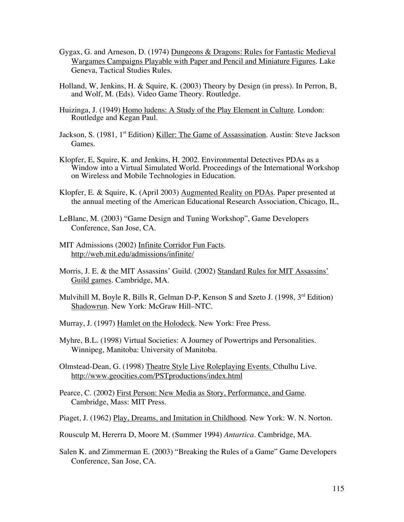- Gygax, G. and Arneson, D. (1974) Dungeons & Dragons: Rules for Fantastic Medieval Wargames Campaigns Playable with Paper and Pencil and Miniature Figures. Lake Geneva, Tactical Studies Rules.
- Holland, W, Jenkins, H. & Squire, K. (2003) Theory by Design (in press). In Perron, B, and Wolf, M. (Eds). Video Game Theory. Routledge.
- Huizinga, J. (1949) Homo ludens: A Study of the Play Element in Culture. London: Routledge and Kegan Paul.
- Jackson, S. (1981, 1<sup>st</sup> Edition) Killer: The Game of Assassination. Austin: Steve Jackson Games.
- Klopfer, E, Squire, K. and Jenkins, H. 2002. Environmental Detectives PDAs as a Window into a Virtual Simulated World. Proceedings of the International Workshop on Wireless and Mobile Technologies in Education.
- Klopfer, E. & Squire, K. (April 2003) Augmented Reality on PDAs. Paper presented at the annual meeting of the American Educational Research Association, Chicago, IL,
- LeBlanc, M. (2003) "Game Design and Tuning Workshop", Game Developers Conference, San Jose, CA.
- MIT Admissions (2002) Infinite Corridor Fun Facts. http://web.mit.edu/admissions/infinite/
- Morris, J. E. & the MIT Assassins' Guild. (2002) Standard Rules for MIT Assassins' Guild games. Cambridge, MA.
- Mulvihill M, Boyle R, Bills R, Gelman D-P, Kenson S and Szeto J. (1998, 3<sup>rd</sup> Edition) Shadowrun. New York: McGraw Hill–NTC.
- Murray, J. (1997) Hamlet on the Holodeck. New York: Free Press.
- Myhre, B.L. (1998) Virtual Societies: A Journey of Powertrips and Personalities. Winnipeg, Manitoba: University of Manitoba.
- Olmstead-Dean, G. (1998) Theatre Style Live Roleplaying Events. Cthulhu Live. http://www.geocities.com/PSTproductions/index.html
- Pearce, C. (2002) First Person: New Media as Story, Performance, and Game. Cambridge, Mass: MIT Press.
- Piaget, J. (1962) Play, Dreams, and Imitation in Childhood. New York: W. N. Norton.
- Rousculp M, Hererra D, Moore M. (Summer 1994) *Antartica*. Cambridge, MA.
- Salen K. and Zimmerman E. (2003) "Breaking the Rules of a Game" Game Developers Conference, San Jose, CA.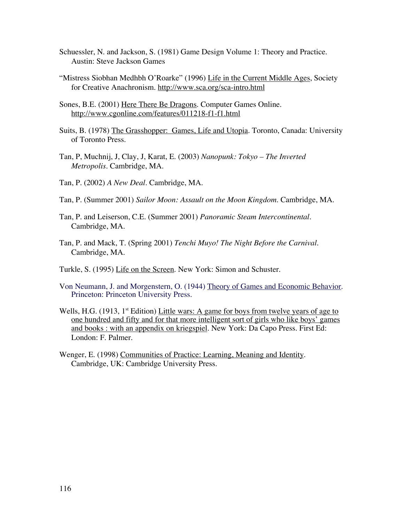- Schuessler, N. and Jackson, S. (1981) Game Design Volume 1: Theory and Practice. Austin: Steve Jackson Games
- "Mistress Siobhan Medhbh O'Roarke" (1996) Life in the Current Middle Ages, Society for Creative Anachronism. http://www.sca.org/sca-intro.html
- Sones, B.E. (2001) Here There Be Dragons. Computer Games Online. http://www.cgonline.com/features/011218-f1-f1.html
- Suits, B. (1978) The Grasshopper: Games, Life and Utopia. Toronto, Canada: University of Toronto Press.
- Tan, P, Muchnij, J, Clay, J, Karat, E. (2003) *Nanopunk: Tokyo The Inverted Metropolis.* Cambridge, MA.
- Tan, P. (2002) *A New Deal*. Cambridge, MA.
- Tan, P. (Summer 2001) *Sailor Moon: Assault on the Moon Kingdom.* Cambridge, MA.
- Tan, P. and Leiserson, C.E. (Summer 2001) *Panoramic Steam Intercontinental.* Cambridge, MA.
- Tan, P. and Mack, T. (Spring 2001) *Tenchi Muyo! The Night Before the Carnival*. Cambridge, MA.
- Turkle, S. (1995) Life on the Screen. New York: Simon and Schuster.
- Von Neumann, J. and Morgenstern, O. (1944) Theory of Games and Economic Behavior. Princeton: Princeton University Press.
- Wells, H.G.  $(1913, 1<sup>st</sup> Edition)$  Little wars: A game for boys from twelve years of age to one hundred and fifty and for that more intelligent sort of girls who like boys' games and books : with an appendix on kriegspiel. New York: Da Capo Press. First Ed: London: F. Palmer.
- Wenger, E. (1998) Communities of Practice: Learning, Meaning and Identity. Cambridge, UK: Cambridge University Press.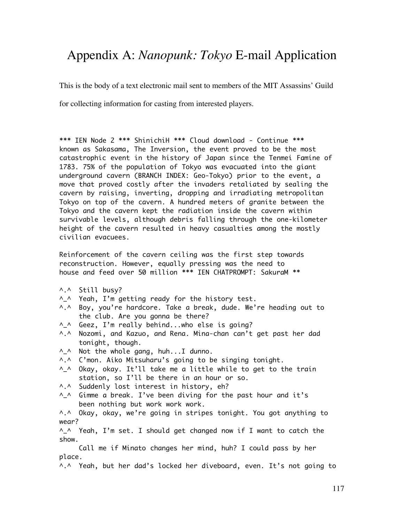# Appendix A: *Nanopunk: Tokyo* E-mail Application

This is the body of a text electronic mail sent to members of the MIT Assassins' Guild

for collecting information for casting from interested players.

\*\*\* IEN Node 2 \*\*\* ShinichiH \*\*\* Cloud download - Continue \*\*\* known as Sakasama, The Inversion, the event proved to be the most catastrophic event in the history of Japan since the Tenmei Famine of 1783. 75% of the population of Tokyo was evacuated into the giant underground cavern (BRANCH INDEX: Geo-Tokyo) prior to the event, a move that proved costly after the invaders retaliated by sealing the cavern by raising, inverting, dropping and irradiating metropolitan Tokyo on top of the cavern. A hundred meters of granite between the Tokyo and the cavern kept the radiation inside the cavern within survivable levels, although debris falling through the one-kilometer height of the cavern resulted in heavy casualties among the mostly civilian evacuees.

Reinforcement of the cavern ceiling was the first step towards reconstruction. However, equally pressing was the need to house and feed over 50 million \*\*\* IEN CHATPROMPT: SakuraM \*\*

- ^.^ Still busy?
- ^\_^ Yeah, I'm getting ready for the history test.
- ^.^ Boy, you're hardcore. Take a break, dude. We're heading out to the club. Are you gonna be there?
- ^\_^ Geez, I'm really behind...who else is going?
- ^.^ Nozomi, and Kazuo, and Rena. Mina-chan can't get past her dad tonight, though.
- ^\_^ Not the whole gang, huh...I dunno.
- ^.^ C'mon. Aiko Mitsuharu's going to be singing tonight.
- ^\_^ Okay, okay. It'll take me a little while to get to the train station, so I'll be there in an hour or so.
- ^.^ Suddenly lost interest in history, eh?
- $\Lambda$  Gimme a break. I've been diving for the past hour and it's been nothing but work work work.

^.^ Okay, okay, we're going in stripes tonight. You got anything to wear?

^\_^ Yeah, I'm set. I should get changed now if I want to catch the show.

 Call me if Minato changes her mind, huh? I could pass by her place.

A.A Yeah, but her dad's locked her diveboard, even. It's not going to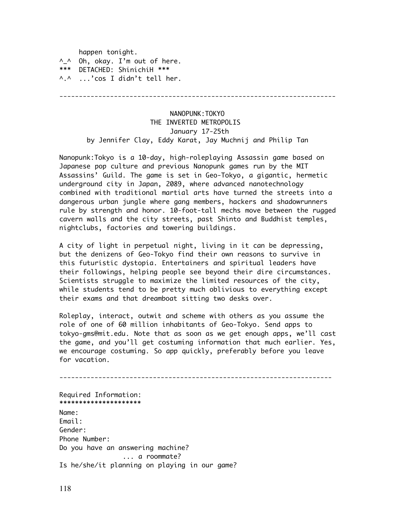happen tonight. ^\_^ Oh, okay. I'm out of here. \*\*\* DETACHED: ShinichiH \*\*\* ^.^ ...'cos I didn't tell her.

-----------------------------------------------------------------------

## NANOPUNK:TOKYO THE INVERTED METROPOLIS January 17-25th by Jennifer Clay, Eddy Karat, Jay Muchnij and Philip Tan

Nanopunk:Tokyo is a 10-day, high-roleplaying Assassin game based on Japanese pop culture and previous Nanopunk games run by the MIT Assassins' Guild. The game is set in Geo-Tokyo, a gigantic, hermetic underground city in Japan, 2089, where advanced nanotechnology combined with traditional martial arts have turned the streets into a dangerous urban jungle where gang members, hackers and shadowrunners rule by strength and honor. 10-foot-tall mechs move between the rugged cavern walls and the city streets, past Shinto and Buddhist temples, nightclubs, factories and towering buildings.

A city of light in perpetual night, living in it can be depressing, but the denizens of Geo-Tokyo find their own reasons to survive in this futuristic dystopia. Entertainers and spiritual leaders have their followings, helping people see beyond their dire circumstances. Scientists struggle to maximize the limited resources of the city, while students tend to be pretty much oblivious to everything except their exams and that dreamboat sitting two desks over.

Roleplay, interact, outwit and scheme with others as you assume the role of one of 60 million inhabitants of Geo-Tokyo. Send apps to tokyo-gms@mit.edu. Note that as soon as we get enough apps, we'll cast the game, and you'll get costuming information that much earlier. Yes, we encourage costuming. So app quickly, preferably before you leave for vacation.

---------------------------------------------------------------------- Required Information: \*\*\*\*\*\*\*\*\*\*\*\*\*\*\*\*\*\*\*\*\* Name: Email: Gender: Phone Number: Do you have an answering machine? ... a roommate? Is he/she/it planning on playing in our game?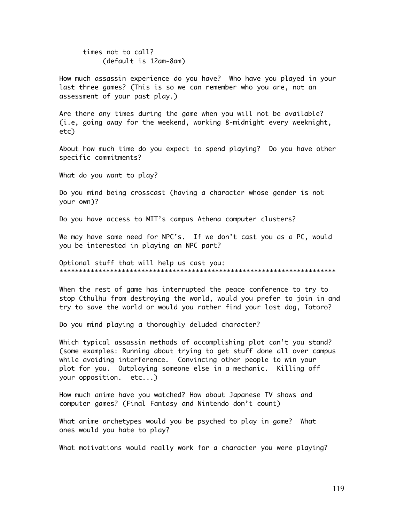times not to call? (default is 12am-8am)

How much assassin experience do you have? Who have you played in your last three games? (This is so we can remember who you are, not an assessment of your past play.)

Are there any times during the game when you will not be available? (i.e, going away for the weekend, working 8-midnight every weeknight, etc)

About how much time do you expect to spend playing? Do you have other specific commitments?

What do you want to play?

Do you mind being crosscast (having a character whose gender is not your own)?

Do you have access to MIT's campus Athena computer clusters?

We may have some need for NPC's. If we don't cast you as a PC, would you be interested in playing an NPC part?

Optional stuff that will help us cast you: \*\*\*\*\*\*\*\*\*\*\*\*\*\*\*\*\*\*\*\*\*\*\*\*\*\*\*\*\*\*\*\*\*\*\*\*\*\*\*\*\*\*\*\*\*\*\*\*\*\*\*\*\*\*\*\*\*\*\*\*\*\*\*\*\*\*\*\*\*\*\*

When the rest of game has interrupted the peace conference to try to stop Cthulhu from destroying the world, would you prefer to join in and try to save the world or would you rather find your lost dog, Totoro?

Do you mind playing a thoroughly deluded character?

Which typical assassin methods of accomplishing plot can't you stand? (some examples: Running about trying to get stuff done all over campus while avoiding interference. Convincing other people to win your plot for you. Outplaying someone else in a mechanic. Killing off your opposition. etc...)

How much anime have you watched? How about Japanese TV shows and computer games? (Final Fantasy and Nintendo don't count)

What anime archetypes would you be psyched to play in game? What ones would you hate to play?

What motivations would really work for a character you were playing?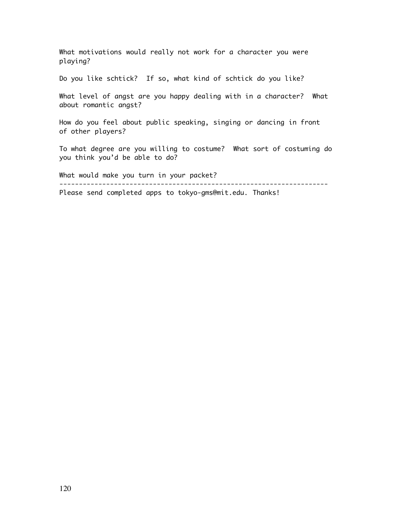What motivations would really not work for a character you were playing?

Do you like schtick? If so, what kind of schtick do you like?

What level of angst are you happy dealing with in a character? What about romantic angst?

How do you feel about public speaking, singing or dancing in front of other players?

To what degree are you willing to costume? What sort of costuming do you think you'd be able to do?

What would make you turn in your packet? ---------------------------------------------------------------------

Please send completed apps to tokyo-gms@mit.edu. Thanks!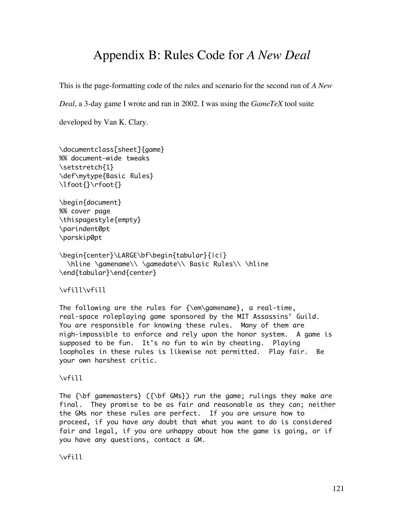## Appendix B: Rules Code for *A New Deal*

This is the page-formatting code of the rules and scenario for the second run of *A New*

*Deal*, a 3-day game I wrote and ran in 2002. I was using the *GameTeX* tool suite

developed by Van K. Clary.

```
\documentclass[sheet]{game}
%% document-wide tweaks
\setstretch{1}
\def\mytype{Basic Rules}
\lfoot{}\rfoot{}
```

```
\begin{document}
%% cover page
\thispagestyle{empty}
\parindent0pt
\parskip0pt
```

```
\begin{center}\LARGE\bf\begin{tabular}{|c|}
  \hline \gamename\\ \gamedate\\ Basic Rules\\ \hline
\end{tabular}\end{center}
```
### \vfill\vfill

The following are the rules for {\em\gamename}, a real-time, real-space roleplaying game sponsored by the MIT Assassins' Guild. You are responsible for knowing these rules. Many of them are nigh-impossible to enforce and rely upon the honor system. A game is supposed to be fun. It's no fun to win by cheating. Playing loopholes in these rules is likewise not permitted. Play fair. Be your own harshest critic.

#### \vfill

The  ${\bf f}$  gamemasters} ( ${\bf f}$  GMs}) run the game; rulings they make are final. They promise to be as fair and reasonable as they can; neither the GMs nor these rules are perfect. If you are unsure how to proceed, if you have any doubt that what you want to do is considered fair and legal, if you are unhappy about how the game is going, or if you have any questions, contact a GM.

\vfill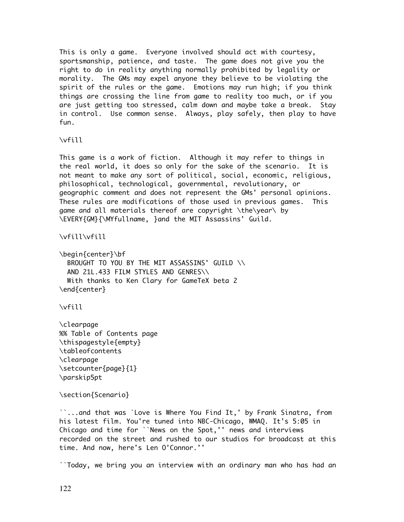This is only a game. Everyone involved should act with courtesy, sportsmanship, patience, and taste. The game does not give you the right to do in reality anything normally prohibited by legality or morality. The GMs may expel anyone they believe to be violating the spirit of the rules or the game. Emotions may run high; if you think things are crossing the line from game to reality too much, or if you are just getting too stressed, calm down and maybe take a break. Stay in control. Use common sense. Always, play safely, then play to have fun.

\vfill

This game is a work of fiction. Although it may refer to things in the real world, it does so only for the sake of the scenario. It is not meant to make any sort of political, social, economic, religious, philosophical, technological, governmental, revolutionary, or geographic comment and does not represent the GMs' personal opinions. These rules are modifications of those used in previous games. This game and all materials thereof are copyright \the\year\ by \EVERY{GM}{\MYfullname, }and the MIT Assassins' Guild.

\vfill\vfill

\begin{center}\bf BROUGHT TO YOU BY THE MIT ASSASSINS' GUILD \\ AND 21L.433 FILM STYLES AND GENRES\\ With thanks to Ken Clary for GameTeX beta 2 \end{center}

\vfill

\clearpage %% Table of Contents page \thispagestyle{empty} \tableofcontents \clearpage \setcounter{page}{1} \parskip5pt

\section{Scenario}

``...and that was `Love is Where You Find It,' by Frank Sinatra, from his latest film. You're tuned into NBC-Chicago, WMAQ. It's 5:05 in Chicago and time for ``News on the Spot,'' news and interviews recorded on the street and rushed to our studios for broadcast at this time. And now, here's Len O'Connor.''

``Today, we bring you an interview with an ordinary man who has had an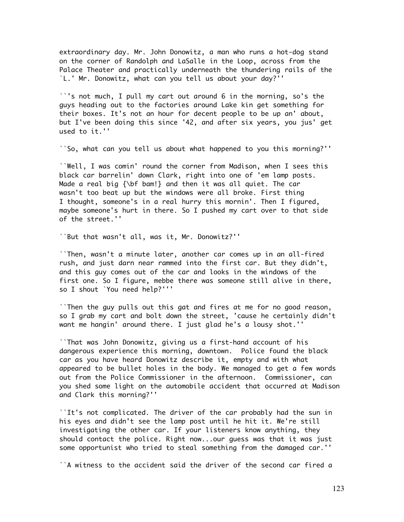extraordinary day. Mr. John Donowitz, a man who runs a hot-dog stand on the corner of Randolph and LaSalle in the Loop, across from the Palace Theater and practically underneath the thundering rails of the `L.' Mr. Donowitz, what can you tell us about your day?''

``'s not much, I pull my cart out around 6 in the morning, so's the guys heading out to the factories around Lake kin get something for their boxes. It's not an hour for decent people to be up an' about, but I've been doing this since '42, and after six years, you jus' get used to it.''

``So, what can you tell us about what happened to you this morning?''

``Well, I was comin' round the corner from Madison, when I sees this black car barrelin' down Clark, right into one of 'em lamp posts. Made a real big {\bf bam!} and then it was all quiet. The car wasn't too beat up but the windows were all broke. First thing I thought, someone's in a real hurry this mornin'. Then I figured, maybe someone's hurt in there. So I pushed my cart over to that side of the street.''

``But that wasn't all, was it, Mr. Donowitz?''

``Then, wasn't a minute later, another car comes up in an all-fired rush, and just darn near rammed into the first car. But they didn't, and this guy comes out of the car and looks in the windows of the first one. So I figure, mebbe there was someone still alive in there, so I shout `You need help?'''

``Then the guy pulls out this gat and fires at me for no good reason, so I grab my cart and bolt down the street, 'cause he certainly didn't want me hangin' around there. I just glad he's a lousy shot.''

``That was John Donowitz, giving us a first-hand account of his dangerous experience this morning, downtown. Police found the black car as you have heard Donowitz describe it, empty and with what appeared to be bullet holes in the body. We managed to get a few words out from the Police Commissioner in the afternoon. Commissioner, can you shed some light on the automobile accident that occurred at Madison and Clark this morning?''

``It's not complicated. The driver of the car probably had the sun in his eyes and didn't see the lamp post until he hit it. We're still investigating the other car. If your listeners know anything, they should contact the police. Right now...our guess was that it was just some opportunist who tried to steal something from the damaged car.''

``A witness to the accident said the driver of the second car fired a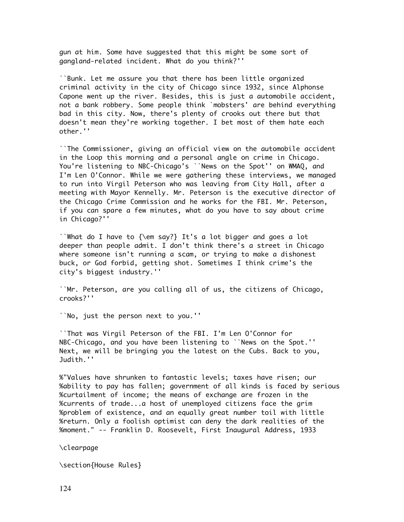gun at him. Some have suggested that this might be some sort of gangland-related incident. What do you think?''

``Bunk. Let me assure you that there has been little organized criminal activity in the city of Chicago since 1932, since Alphonse Capone went up the river. Besides, this is just a automobile accident, not a bank robbery. Some people think `mobsters' are behind everything bad in this city. Now, there's plenty of crooks out there but that doesn't mean they're working together. I bet most of them hate each other.''

``The Commissioner, giving an official view on the automobile accident in the Loop this morning and a personal angle on crime in Chicago. You're listening to NBC-Chicago's ``News on the Spot'' on WMAQ, and I'm Len O'Connor. While we were gathering these interviews, we managed to run into Virgil Peterson who was leaving from City Hall, after a meeting with Mayor Kennelly. Mr. Peterson is the executive director of the Chicago Crime Commission and he works for the FBI. Mr. Peterson, if you can spare a few minutes, what do you have to say about crime in Chicago?''

``What do I have to {\em say?} It's a lot bigger and goes a lot deeper than people admit. I don't think there's a street in Chicago where someone isn't running a scam, or trying to make a dishonest buck, or God forbid, getting shot. Sometimes I think crime's the city's biggest industry.''

``Mr. Peterson, are you calling all of us, the citizens of Chicago, crooks?''

``No, just the person next to you.''

``That was Virgil Peterson of the FBI. I'm Len O'Connor for NBC-Chicago, and you have been listening to ``News on the Spot.'' Next, we will be bringing you the latest on the Cubs. Back to you, Judith.''

%"Values have shrunken to fantastic levels; taxes have risen; our %ability to pay has fallen; government of all kinds is faced by serious %curtailment of income; the means of exchange are frozen in the %currents of trade...a host of unemployed citizens face the grim %problem of existence, and an equally great number toil with little %return. Only a foolish optimist can deny the dark realities of the %moment." -- Franklin D. Roosevelt, First Inaugural Address, 1933

\clearpage

\section{House Rules}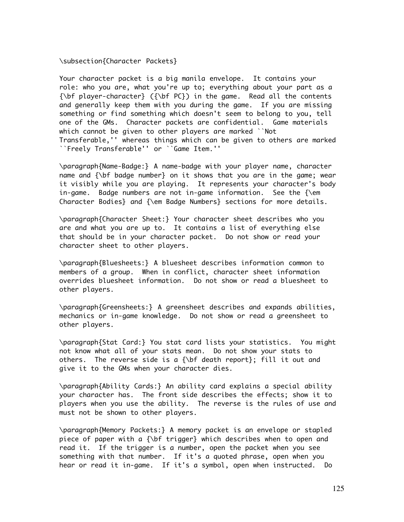#### \subsection{Character Packets}

Your character packet is a big manila envelope. It contains your role: who you are, what you're up to; everything about your part as a {\bf player-character} ({\bf PC}) in the game. Read all the contents and generally keep them with you during the game. If you are missing something or find something which doesn't seem to belong to you, tell one of the GMs. Character packets are confidential. Game materials which cannot be given to other players are marked ``Not Transferable,'' whereas things which can be given to others are marked ``Freely Transferable'' or ``Game Item.''

\paragraph{Name-Badge:} A name-badge with your player name, character name and  $\{\bigr\}$  badge number} on it shows that you are in the game; wear it visibly while you are playing. It represents your character's body in-game. Badge numbers are not in-game information. See the  $\$ Character Bodies} and {\em Badge Numbers} sections for more details.

\paragraph{Character Sheet:} Your character sheet describes who you are and what you are up to. It contains a list of everything else that should be in your character packet. Do not show or read your character sheet to other players.

\paragraph{Bluesheets:} A bluesheet describes information common to members of a group. When in conflict, character sheet information overrides bluesheet information. Do not show or read a bluesheet to other players.

\paragraph{Greensheets:} A greensheet describes and expands abilities, mechanics or in-game knowledge. Do not show or read a greensheet to other players.

\paragraph{Stat Card:} You stat card lists your statistics. You might not know what all of your stats mean. Do not show your stats to others. The reverse side is a  $\{\b{b}f \}$  death report?: fill it out and give it to the GMs when your character dies.

\paragraph{Ability Cards:} An ability card explains a special ability your character has. The front side describes the effects; show it to players when you use the ability. The reverse is the rules of use and must not be shown to other players.

\paragraph{Memory Packets:} A memory packet is an envelope or stapled piece of paper with a {\bf trigger} which describes when to open and read it. If the trigger is a number, open the packet when you see something with that number. If it's a quoted phrase, open when you hear or read it in-game. If it's a symbol, open when instructed. Do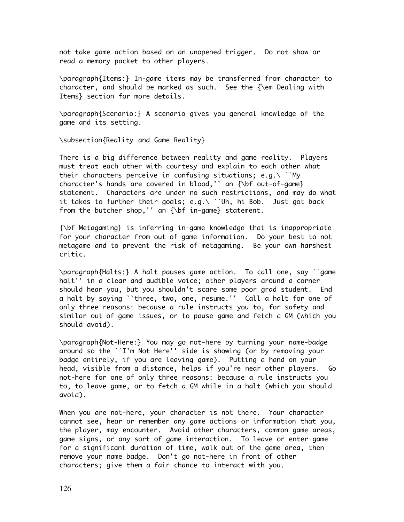not take game action based on an unopened trigger. Do not show or read a memory packet to other players.

\paragraph{Items:} In-game items may be transferred from character to character, and should be marked as such. See the {\em Dealing with Items} section for more details.

\paragraph{Scenario:} A scenario gives you general knowledge of the game and its setting.

\subsection{Reality and Game Reality}

There is a big difference between reality and game reality. Players must treat each other with courtesy and explain to each other what their characters perceive in confusing situations; e.g.\ ``My character's hands are covered in blood,'' an {\bf out-of-game} statement. Characters are under no such restrictions, and may do what it takes to further their goals; e.g.\ ``Uh, hi Bob. Just got back from the butcher shop,'' an  ${\bf b}$  in-game} statement.

{\bf Metagaming} is inferring in-game knowledge that is inappropriate for your character from out-of-game information. Do your best to not metagame and to prevent the risk of metagaming. Be your own harshest critic.

\paragraph{Halts:} A halt pauses game action. To call one, say ``game halt'' in a clear and audible voice; other players around a corner should hear you, but you shouldn't scare some poor grad student. End a halt by saying ``three, two, one, resume.'' Call a halt for one of only three reasons: because a rule instructs you to, for safety and similar out-of-game issues, or to pause game and fetch a GM (which you should avoid).

\paragraph{Not-Here:} You may go not-here by turning your name-badge around so the ``I'm Not Here'' side is showing (or by removing your badge entirely, if you are leaving game). Putting a hand on your head, visible from a distance, helps if you're near other players. Go not-here for one of only three reasons: because a rule instructs you to, to leave game, or to fetch a GM while in a halt (which you should avoid).

When you are not-here, your character is not there. Your character cannot see, hear or remember any game actions or information that you, the player, may encounter. Avoid other characters, common game areas, game signs, or any sort of game interaction. To leave or enter game for a significant duration of time, walk out of the game area, then remove your name badge. Don't go not-here in front of other characters; give them a fair chance to interact with you.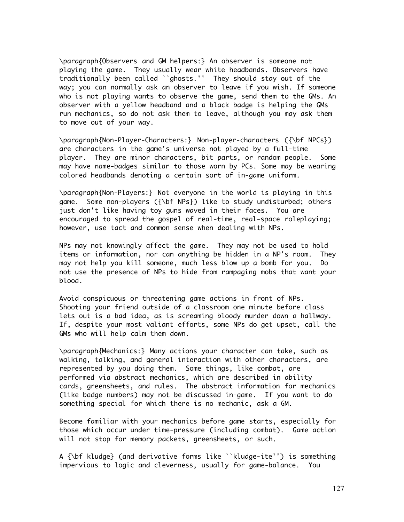\paragraph{Observers and GM helpers:} An observer is someone not playing the game. They usually wear white headbands. Observers have traditionally been called ``ghosts.'' They should stay out of the way; you can normally ask an observer to leave if you wish. If someone who is not playing wants to observe the game, send them to the GMs. An observer with a yellow headband and a black badge is helping the GMs run mechanics, so do not ask them to leave, although you may ask them to move out of your way.

\paragraph{Non-Player-Characters:} Non-player-characters ({\bf NPCs}) are characters in the game's universe not played by a full-time player. They are minor characters, bit parts, or random people. Some may have name-badges similar to those worn by PCs. Some may be wearing colored headbands denoting a certain sort of in-game uniform.

\paragraph{Non-Players:} Not everyone in the world is playing in this game. Some non-players ({\bf NPs}) like to study undisturbed; others just don't like having toy guns waved in their faces. You are encouraged to spread the gospel of real-time, real-space roleplaying; however, use tact and common sense when dealing with NPs.

NPs may not knowingly affect the game. They may not be used to hold items or information, nor can anything be hidden in a NP's room. They may not help you kill someone, much less blow up a bomb for you. Do not use the presence of NPs to hide from rampaging mobs that want your blood.

Avoid conspicuous or threatening game actions in front of NPs. Shooting your friend outside of a classroom one minute before class lets out is a bad idea, as is screaming bloody murder down a hallway. If, despite your most valiant efforts, some NPs do get upset, call the GMs who will help calm them down.

\paragraph{Mechanics:} Many actions your character can take, such as walking, talking, and general interaction with other characters, are represented by you doing them. Some things, like combat, are performed via abstract mechanics, which are described in ability cards, greensheets, and rules. The abstract information for mechanics (like badge numbers) may not be discussed in-game. If you want to do something special for which there is no mechanic, ask a GM.

Become familiar with your mechanics before game starts, especially for those which occur under time-pressure (including combat). Game action will not stop for memory packets, greensheets, or such.

A {\bf kludge} (and derivative forms like ``kludge-ite'') is something impervious to logic and cleverness, usually for game-balance. You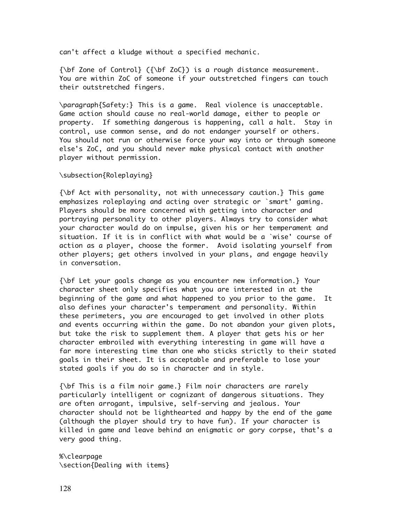can't affect a kludge without a specified mechanic.

 ${\bf \delta}$   ${\bf \delta}$  Zone of Control} ( ${\bf \delta}$  Zoc}) is a rough distance measurement. You are within ZoC of someone if your outstretched fingers can touch their outstretched fingers.

\paragraph{Safety:} This is a game. Real violence is unacceptable. Game action should cause no real-world damage, either to people or property. If something dangerous is happening, call a halt. Stay in control, use common sense, and do not endanger yourself or others. You should not run or otherwise force your way into or through someone else's ZoC, and you should never make physical contact with another player without permission.

\subsection{Roleplaying}

{\bf Act with personality, not with unnecessary caution.} This game emphasizes roleplaying and acting over strategic or `smart' gaming. Players should be more concerned with getting into character and portraying personality to other players. Always try to consider what your character would do on impulse, given his or her temperament and situation. If it is in conflict with what would be a `wise' course of action as a player, choose the former. Avoid isolating yourself from other players; get others involved in your plans, and engage heavily in conversation.

{\bf Let your goals change as you encounter new information.} Your character sheet only specifies what you are interested in at the beginning of the game and what happened to you prior to the game. It also defines your character's temperament and personality. Within these perimeters, you are encouraged to get involved in other plots and events occurring within the game. Do not abandon your given plots, but take the risk to supplement them. A player that gets his or her character embroiled with everything interesting in game will have a far more interesting time than one who sticks strictly to their stated goals in their sheet. It is acceptable and preferable to lose your stated goals if you do so in character and in style.

{\bf This is a film noir game.} Film noir characters are rarely particularly intelligent or cognizant of dangerous situations. They are often arrogant, impulsive, self-serving and jealous. Your character should not be lighthearted and happy by the end of the game (although the player should try to have fun). If your character is killed in game and leave behind an enigmatic or gory corpse, that's a very good thing.

%\clearpage \section{Dealing with items}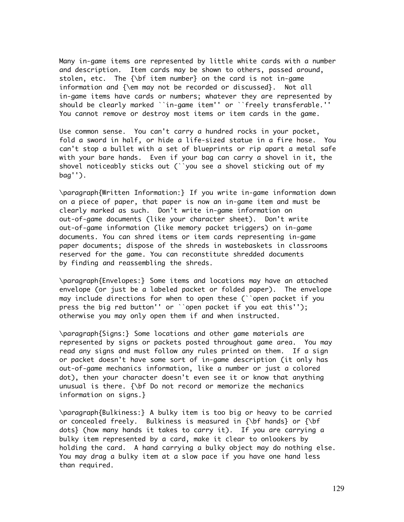Many in-game items are represented by little white cards with a number and description. Item cards may be shown to others, passed around, stolen, etc. The {\bf item number} on the card is not in-game information and {\em may not be recorded or discussed}. Not all in-game items have cards or numbers; whatever they are represented by should be clearly marked ``in-game item'' or ``freely transferable.'' You cannot remove or destroy most items or item cards in the game.

Use common sense. You can't carry a hundred rocks in your pocket, fold a sword in half, or hide a life-sized statue in a fire hose. You can't stop a bullet with a set of blueprints or rip apart a metal safe with your bare hands. Even if your bag can carry a shovel in it, the shovel noticeably sticks out (``you see a shovel sticking out of my bag'').

\paragraph{Written Information:} If you write in-game information down on a piece of paper, that paper is now an in-game item and must be clearly marked as such. Don't write in-game information on out-of-game documents (like your character sheet). Don't write out-of-game information (like memory packet triggers) on in-game documents. You can shred items or item cards representing in-game paper documents; dispose of the shreds in wastebaskets in classrooms reserved for the game. You can reconstitute shredded documents by finding and reassembling the shreds.

\paragraph{Envelopes:} Some items and locations may have an attached envelope (or just be a labeled packet or folded paper). The envelope may include directions for when to open these (``open packet if you press the big red button'' or ``open packet if you eat this''); otherwise you may only open them if and when instructed.

\paragraph{Signs:} Some locations and other game materials are represented by signs or packets posted throughout game area. You may read any signs and must follow any rules printed on them. If a sign or packet doesn't have some sort of in-game description (it only has out-of-game mechanics information, like a number or just a colored dot), then your character doesn't even see it or know that anything unusual is there. {\bf Do not record or memorize the mechanics information on signs.}

\paragraph{Bulkiness:} A bulky item is too big or heavy to be carried or concealed freely. Bulkiness is measured in  ${\bf b}$  hands} or  ${\bf b}$ dots} (how many hands it takes to carry it). If you are carrying a bulky item represented by a card, make it clear to onlookers by holding the card. A hand carrying a bulky object may do nothing else. You may drag a bulky item at a slow pace if you have one hand less than required.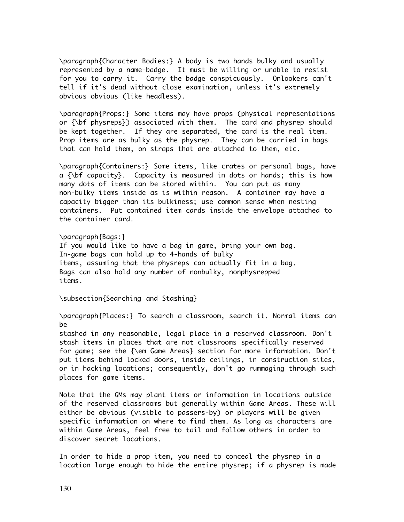\paragraph{Character Bodies:} A body is two hands bulky and usually represented by a name-badge. It must be willing or unable to resist for you to carry it. Carry the badge conspicuously. Onlookers can't tell if it's dead without close examination, unless it's extremely obvious obvious (like headless).

\paragraph{Props:} Some items may have props (physical representations or {\bf physreps}) associated with them. The card and physrep should be kept together. If they are separated, the card is the real item. Prop items are as bulky as the physrep. They can be carried in bags that can hold them, on straps that are attached to them, etc.

\paragraph{Containers:} Some items, like crates or personal bags, have a  $\{\b{b}$  capacity}. Capacity is measured in dots or hands; this is how many dots of items can be stored within. You can put as many non-bulky items inside as is within reason. A container may have a capacity bigger than its bulkiness; use common sense when nesting containers. Put contained item cards inside the envelope attached to the container card.

\paragraph{Bags:} If you would like to have a bag in game, bring your own bag. In-game bags can hold up to 4-hands of bulky items, assuming that the physreps can actually fit in a bag. Bags can also hold any number of nonbulky, nonphysrepped items.

\subsection{Searching and Stashing}

\paragraph{Places:} To search a classroom, search it. Normal items can be

stashed in any reasonable, legal place in a reserved classroom. Don't stash items in places that are not classrooms specifically reserved for game; see the {\em Game Areas} section for more information. Don't put items behind locked doors, inside ceilings, in construction sites, or in hacking locations; consequently, don't go rummaging through such places for game items.

Note that the GMs may plant items or information in locations outside of the reserved classrooms but generally within Game Areas. These will either be obvious (visible to passers-by) or players will be given specific information on where to find them. As long as characters are within Game Areas, feel free to tail and follow others in order to discover secret locations.

In order to hide a prop item, you need to conceal the physrep in a location large enough to hide the entire physrep; if a physrep is made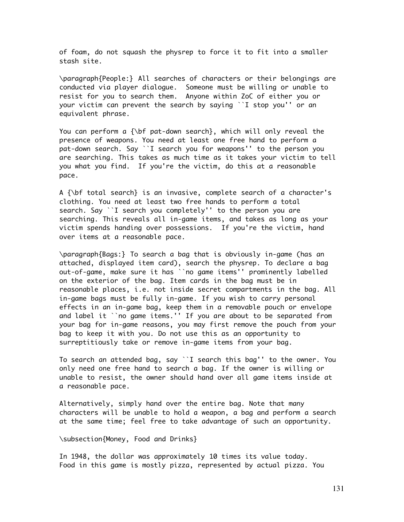of foam, do not squash the physrep to force it to fit into a smaller stash site.

\paragraph{People:} All searches of characters or their belongings are conducted via player dialogue. Someone must be willing or unable to resist for you to search them. Anyone within ZoC of either you or your victim can prevent the search by saying ``I stop you'' or an equivalent phrase.

You can perform a {\bf pat-down search}, which will only reveal the presence of weapons. You need at least one free hand to perform a pat-down search. Say ``I search you for weapons'' to the person you are searching. This takes as much time as it takes your victim to tell you what you find. If you're the victim, do this at a reasonable pace.

A {\bf total search} is an invasive, complete search of a character's clothing. You need at least two free hands to perform a total search. Say ``I search you completely'' to the person you are searching. This reveals all in-game items, and takes as long as your victim spends handing over possessions. If you're the victim, hand over items at a reasonable pace.

\paragraph{Bags:} To search a bag that is obviously in-game (has an attached, displayed item card), search the physrep. To declare a bag out-of-game, make sure it has ``no game items'' prominently labelled on the exterior of the bag. Item cards in the bag must be in reasonable places, i.e. not inside secret compartments in the bag. All in-game bags must be fully in-game. If you wish to carry personal effects in an in-game bag, keep them in a removable pouch or envelope and label it ``no game items.'' If you are about to be separated from your bag for in-game reasons, you may first remove the pouch from your bag to keep it with you. Do not use this as an opportunity to surreptitiously take or remove in-game items from your bag.

To search an attended bag, say ``I search this bag'' to the owner. You only need one free hand to search a bag. If the owner is willing or unable to resist, the owner should hand over all game items inside at a reasonable pace.

Alternatively, simply hand over the entire bag. Note that many characters will be unable to hold a weapon, a bag and perform a search at the same time; feel free to take advantage of such an opportunity.

\subsection{Money, Food and Drinks}

In 1948, the dollar was approximately 10 times its value today. Food in this game is mostly pizza, represented by actual pizza. You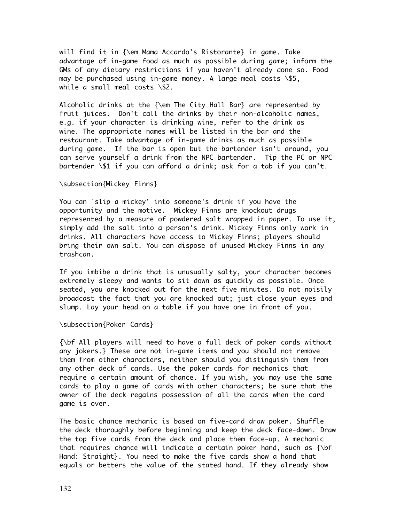will find it in {\em Mama Accardo's Ristorante} in game. Take advantage of in-game food as much as possible during game; inform the GMs of any dietary restrictions if you haven't already done so. Food may be purchased using in-game money. A large meal costs \\$5, while a small meal costs \\$2.

Alcoholic drinks at the {\em The City Hall Bar} are represented by fruit juices. Don't call the drinks by their non-alcoholic names, e.g. if your character is drinking wine, refer to the drink as wine. The appropriate names will be listed in the bar and the restaurant. Take advantage of in-game drinks as much as possible during game. If the bar is open but the bartender isn't around, you can serve yourself a drink from the NPC bartender. Tip the PC or NPC bartender \\$1 if you can afford a drink; ask for a tab if you can't.

#### \subsection{Mickey Finns}

You can `slip a mickey' into someone's drink if you have the opportunity and the motive. Mickey Finns are knockout drugs represented by a measure of powdered salt wrapped in paper. To use it, simply add the salt into a person's drink. Mickey Finns only work in drinks. All characters have access to Mickey Finns; players should bring their own salt. You can dispose of unused Mickey Finns in any trashcan.

If you imbibe a drink that is unusually salty, your character becomes extremely sleepy and wants to sit down as quickly as possible. Once seated, you are knocked out for the next five minutes. Do not noisily broadcast the fact that you are knocked out; just close your eyes and slump. Lay your head on a table if you have one in front of you.

#### \subsection{Poker Cards}

{\bf All players will need to have a full deck of poker cards without any jokers.} These are not in-game items and you should not remove them from other characters, neither should you distinguish them from any other deck of cards. Use the poker cards for mechanics that require a certain amount of chance. If you wish, you may use the same cards to play a game of cards with other characters; be sure that the owner of the deck regains possession of all the cards when the card game is over.

The basic chance mechanic is based on five-card draw poker. Shuffle the deck thoroughly before beginning and keep the deck face-down. Draw the top five cards from the deck and place them face-up. A mechanic that requires chance will indicate a certain poker hand, such as  $\{\b{}$ Hand: Straight}. You need to make the five cards show a hand that equals or betters the value of the stated hand. If they already show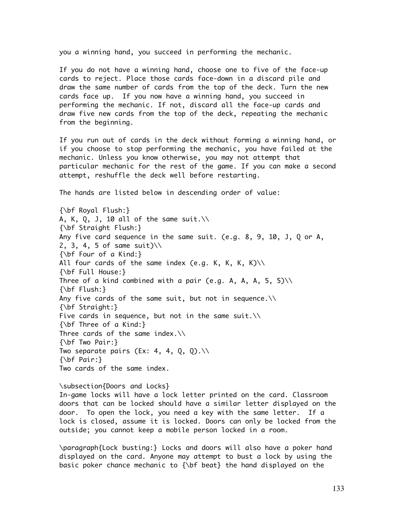you a winning hand, you succeed in performing the mechanic.

If you do not have a winning hand, choose one to five of the face-up cards to reject. Place those cards face-down in a discard pile and draw the same number of cards from the top of the deck. Turn the new cards face up. If you now have a winning hand, you succeed in performing the mechanic. If not, discard all the face-up cards and draw five new cards from the top of the deck, repeating the mechanic from the beginning.

If you run out of cards in the deck without forming a winning hand, or if you choose to stop performing the mechanic, you have failed at the mechanic. Unless you know otherwise, you may not attempt that particular mechanic for the rest of the game. If you can make a second attempt, reshuffle the deck well before restarting.

The hands are listed below in descending order of value:

{\bf Royal Flush:} A, K, Q, J, 10 all of the same suit. $\wedge$ {\bf Straight Flush:} Any five card sequence in the same suit. (e.g. 8, 9, 10, J, Q or A, 2, 3, 4, 5 of same suit)\\ {\bf Four of a Kind:} All four cards of the same index (e.g. K, K, K, K) $\setminus$ {\bf Full House:} Three of a kind combined with a pair (e.g. A, A, A, 5, 5) $\setminus$ {\bf Flush:} Any five cards of the same suit, but not in sequence.\\ {\bf Straight:} Five cards in sequence, but not in the same suit. $\wedge$ {\bf Three of a Kind:} Three cards of the same index.\\ {\bf Two Pair:} Two separate pairs (Ex: 4, 4, Q, Q). $\wedge\wedge$ {\bf Pair:} Two cards of the same index.

\subsection{Doors and Locks} In-game locks will have a lock letter printed on the card. Classroom doors that can be locked should have a similar letter displayed on the door. To open the lock, you need a key with the same letter. If a lock is closed, assume it is locked. Doors can only be locked from the outside; you cannot keep a mobile person locked in a room.

\paragraph{Lock busting:} Locks and doors will also have a poker hand displayed on the card. Anyone may attempt to bust a lock by using the basic poker chance mechanic to {\bf beat} the hand displayed on the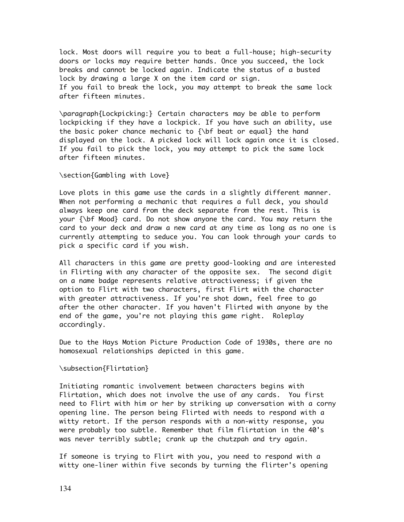lock. Most doors will require you to beat a full-house; high-security doors or locks may require better hands. Once you succeed, the lock breaks and cannot be locked again. Indicate the status of a busted lock by drawing a large X on the item card or sign. If you fail to break the lock, you may attempt to break the same lock after fifteen minutes.

\paragraph{Lockpicking:} Certain characters may be able to perform lockpicking if they have a lockpick. If you have such an ability, use the basic poker chance mechanic to {\bf beat or equal} the hand displayed on the lock. A picked lock will lock again once it is closed. If you fail to pick the lock, you may attempt to pick the same lock after fifteen minutes.

\section{Gambling with Love}

Love plots in this game use the cards in a slightly different manner. When not performing a mechanic that requires a full deck, you should always keep one card from the deck separate from the rest. This is your {\bf Mood} card. Do not show anyone the card. You may return the card to your deck and draw a new card at any time as long as no one is currently attempting to seduce you. You can look through your cards to pick a specific card if you wish.

All characters in this game are pretty good-looking and are interested in Flirting with any character of the opposite sex. The second digit on a name badge represents relative attractiveness; if given the option to Flirt with two characters, first Flirt with the character with greater attractiveness. If you're shot down, feel free to go after the other character. If you haven't Flirted with anyone by the end of the game, you're not playing this game right. Roleplay accordingly.

Due to the Hays Motion Picture Production Code of 1930s, there are no homosexual relationships depicted in this game.

\subsection{Flirtation}

Initiating romantic involvement between characters begins with Flirtation, which does not involve the use of any cards. You first need to Flirt with him or her by striking up conversation with a corny opening line. The person being Flirted with needs to respond with a witty retort. If the person responds with a non-witty response, you were probably too subtle. Remember that film flirtation in the 40's was never terribly subtle; crank up the chutzpah and try again.

If someone is trying to Flirt with you, you need to respond with a witty one-liner within five seconds by turning the flirter's opening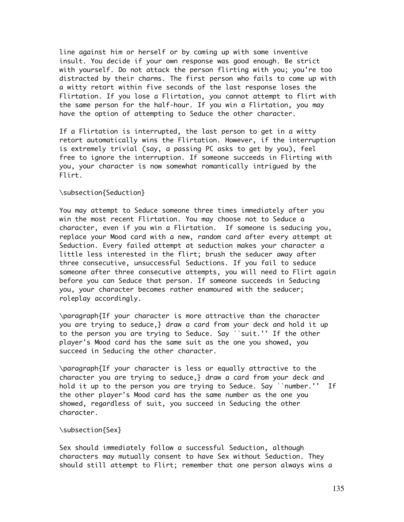line against him or herself or by coming up with some inventive insult. You decide if your own response was good enough. Be strict with yourself. Do not attack the person flirting with you; you're too distracted by their charms. The first person who fails to come up with a witty retort within five seconds of the last response loses the Flirtation. If you lose a Flirtation, you cannot attempt to flirt with the same person for the half-hour. If you win a Flirtation, you may have the option of attempting to Seduce the other character.

If a Flirtation is interrupted, the last person to get in a witty retort automatically wins the Flirtation. However, if the interruption is extremely trivial (say, a passing PC asks to get by you), feel free to ignore the interruption. If someone succeeds in Flirting with you, your character is now somewhat romantically intrigued by the Flirt.

#### \subsection{Seduction}

You may attempt to Seduce someone three times immediately after you win the most recent Flirtation. You may choose not to Seduce a character, even if you win a Flirtation. If someone is seducing you, replace your Mood card with a new, random card after every attempt at Seduction. Every failed attempt at seduction makes your character a little less interested in the flirt; brush the seducer away after three consecutive, unsuccessful Seductions. If you fail to seduce someone after three consecutive attempts, you will need to Flirt again before you can Seduce that person. If someone succeeds in Seducing you, your character becomes rather enamoured with the seducer; roleplay accordingly.

\paragraph{If your character is more attractive than the character you are trying to seduce,} draw a card from your deck and hold it up to the person you are trying to Seduce. Say ``suit.'' If the other player's Mood card has the same suit as the one you showed, you succeed in Seducing the other character.

\paragraph{If your character is less or equally attractive to the character you are trying to seduce,} draw a card from your deck and hold it up to the person you are trying to Seduce. Say ``number.'' If the other player's Mood card has the same number as the one you showed, regardless of suit, you succeed in Seducing the other character.

#### \subsection{Sex}

Sex should immediately follow a successful Seduction, although characters may mutually consent to have Sex without Seduction. They should still attempt to Flirt; remember that one person always wins a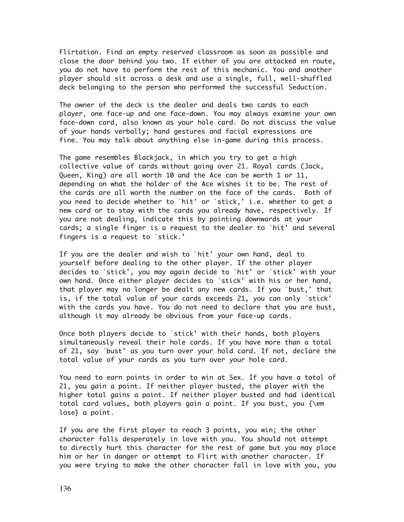Flirtation. Find an empty reserved classroom as soon as possible and close the door behind you two. If either of you are attacked en route, you do not have to perform the rest of this mechanic. You and another player should sit across a desk and use a single, full, well-shuffled deck belonging to the person who performed the successful Seduction.

The owner of the deck is the dealer and deals two cards to each player, one face-up and one face-down. You may always examine your own face-down card, also known as your hole card. Do not discuss the value of your hands verbally; hand gestures and facial expressions are fine. You may talk about anything else in-game during this process.

The game resembles Blackjack, in which you try to get a high collective value of cards without going over 21. Royal cards (Jack, Queen, King) are all worth 10 and the Ace can be worth 1 or 11, depending on what the holder of the Ace wishes it to be. The rest of the cards are all worth the number on the face of the cards. Both of you need to decide whether to `hit' or `stick,' i.e. whether to get a new card or to stay with the cards you already have, respectively. If you are not dealing, indicate this by pointing downwards at your cards; a single finger is a request to the dealer to `hit' and several fingers is a request to `stick.'

If you are the dealer and wish to `hit' your own hand, deal to yourself before dealing to the other player. If the other player decides to `stick', you may again decide to `hit' or `stick' with your own hand. Once either player decides to `stick' with his or her hand, that player may no longer be dealt any new cards. If you `bust,' that is, if the total value of your cards exceeds 21, you can only `stick' with the cards you have. You do not need to declare that you are bust, although it may already be obvious from your face-up cards.

Once both players decide to `stick' with their hands, both players simultaneously reveal their hole cards. If you have more than a total of 21, say `bust' as you turn over your hold card. If not, declare the total value of your cards as you turn over your hole card.

You need to earn points in order to win at Sex. If you have a total of 21, you gain a point. If neither player busted, the player with the higher total gains a point. If neither player busted and had identical total card values, both players gain a point. If you bust, you {\em lose} a point.

If you are the first player to reach 3 points, you win; the other character falls desperately in love with you. You should not attempt to directly hurt this character for the rest of game but you may place him or her in danger or attempt to Flirt with another character. If you were trying to make the other character fall in love with you, you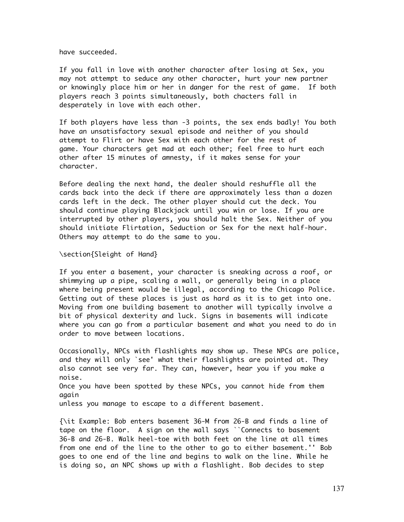have succeeded.

If you fall in love with another character after losing at Sex, you may not attempt to seduce any other character, hurt your new partner or knowingly place him or her in danger for the rest of game. If both players reach 3 points simultaneously, both chacters fall in desperately in love with each other.

If both players have less than -3 points, the sex ends badly! You both have an unsatisfactory sexual episode and neither of you should attempt to Flirt or have Sex with each other for the rest of game. Your characters get mad at each other; feel free to hurt each other after 15 minutes of amnesty, if it makes sense for your character.

Before dealing the next hand, the dealer should reshuffle all the cards back into the deck if there are approximately less than a dozen cards left in the deck. The other player should cut the deck. You should continue playing Blackjack until you win or lose. If you are interrupted by other players, you should halt the Sex. Neither of you should initiate Flirtation, Seduction or Sex for the next half-hour. Others may attempt to do the same to you.

\section{Sleight of Hand}

If you enter a basement, your character is sneaking across a roof, or shimmying up a pipe, scaling a wall, or generally being in a place where being present would be illegal, according to the Chicago Police. Getting out of these places is just as hard as it is to get into one. Moving from one building basement to another will typically involve a bit of physical dexterity and luck. Signs in basements will indicate where you can go from a particular basement and what you need to do in order to move between locations.

Occasionally, NPCs with flashlights may show up. These NPCs are police, and they will only `see' what their flashlights are pointed at. They also cannot see very far. They can, however, hear you if you make a noise. Once you have been spotted by these NPCs, you cannot hide from them again unless you manage to escape to a different basement.

{\it Example: Bob enters basement 36-M from 26-B and finds a line of tape on the floor. A sign on the wall says ``Connects to basement 36-B and 26-B. Walk heel-toe with both feet on the line at all times from one end of the line to the other to go to either basement.'' Bob goes to one end of the line and begins to walk on the line. While he is doing so, an NPC shows up with a flashlight. Bob decides to step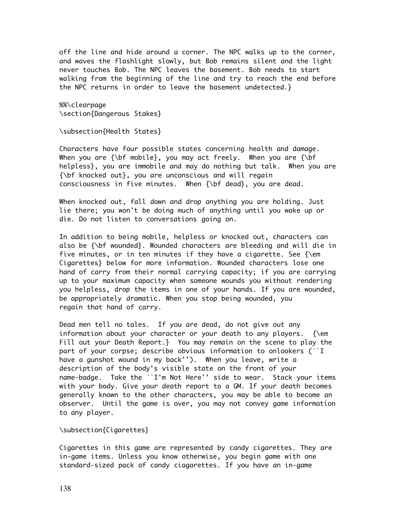off the line and hide around a corner. The NPC walks up to the corner, and waves the flashlight slowly, but Bob remains silent and the light never touches Bob. The NPC leaves the basement. Bob needs to start walking from the beginning of the line and try to reach the end before the NPC returns in order to leave the basement undetected.}

%%\clearpage \section{Dangerous Stakes}

\subsection{Health States}

Characters have four possible states concerning health and damage. When you are  $\{\b{b}f \text{ mobile}\}$ , you may act freely. When you are  $\{\b{}f\}$ helpless}, you are immobile and may do nothing but talk. When you are {\bf knocked out}, you are unconscious and will regain consciousness in five minutes. When {\bf dead}, you are dead.

When knocked out, fall down and drop anything you are holding. Just lie there; you won't be doing much of anything until you wake up or die. Do not listen to conversations going on.

In addition to being mobile, helpless or knocked out, characters can also be  $\{\b{b}f\}$  wounded}. Wounded characters are bleeding and will die in five minutes, or in ten minutes if they have a cigarette. See  $\{\text{em}$ Cigarettes} below for more information. Wounded characters lose one hand of carry from their normal carrying capacity; if you are carrying up to your maximum capacity when someone wounds you without rendering you helpless, drop the items in one of your hands. If you are wounded, be appropriately dramatic. When you stop being wounded, you regain that hand of carry.

Dead men tell no tales. If you are dead, do not give out any information about your character or your death to any players.  $\{\text{em}$ Fill out your Death Report.} You may remain on the scene to play the part of your corpse; describe obvious information to onlookers (``I have a gunshot wound in my back''). When you leave, write a description of the body's visible state on the front of your name-badge. Take the ``I'm Not Here'' side to wear. Stack your items with your body. Give your death report to a GM. If your death becomes generally known to the other characters, you may be able to become an observer. Until the game is over, you may not convey game information to any player.

#### \subsection{Cigarettes}

Cigarettes in this game are represented by candy cigarettes. They are in-game items. Unless you know otherwise, you begin game with one standard-sized pack of candy ciagarettes. If you have an in-game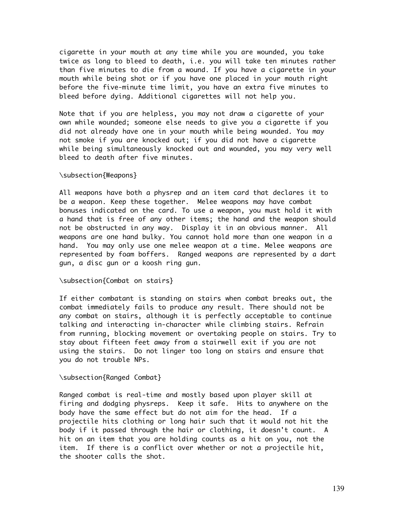cigarette in your mouth at any time while you are wounded, you take twice as long to bleed to death, i.e. you will take ten minutes rather than five minutes to die from a wound. If you have a cigarette in your mouth while being shot or if you have one placed in your mouth right before the five-minute time limit, you have an extra five minutes to bleed before dying. Additional cigarettes will not help you.

Note that if you are helpless, you may not draw a cigarette of your own while wounded; someone else needs to give you a cigarette if you did not already have one in your mouth while being wounded. You may not smoke if you are knocked out; if you did not have a cigarette while being simultaneously knocked out and wounded, you may very well bleed to death after five minutes.

#### \subsection{Weapons}

All weapons have both a physrep and an item card that declares it to be a weapon. Keep these together. Melee weapons may have combat bonuses indicated on the card. To use a weapon, you must hold it with a hand that is free of any other items; the hand and the weapon should not be obstructed in any way. Display it in an obvious manner. All weapons are one hand bulky. You cannot hold more than one weapon in a hand. You may only use one melee weapon at a time. Melee weapons are represented by foam boffers. Ranged weapons are represented by a dart gun, a disc gun or a koosh ring gun.

### \subsection{Combat on stairs}

If either combatant is standing on stairs when combat breaks out, the combat immediately fails to produce any result. There should not be any combat on stairs, although it is perfectly acceptable to continue talking and interacting in-character while climbing stairs. Refrain from running, blocking movement or overtaking people on stairs. Try to stay about fifteen feet away from a stairwell exit if you are not using the stairs. Do not linger too long on stairs and ensure that you do not trouble NPs.

#### \subsection{Ranged Combat}

Ranged combat is real-time and mostly based upon player skill at firing and dodging physreps. Keep it safe. Hits to anywhere on the body have the same effect but do not aim for the head. If a projectile hits clothing or long hair such that it would not hit the body if it passed through the hair or clothing, it doesn't count. A hit on an item that you are holding counts as a hit on you, not the item. If there is a conflict over whether or not a projectile hit, the shooter calls the shot.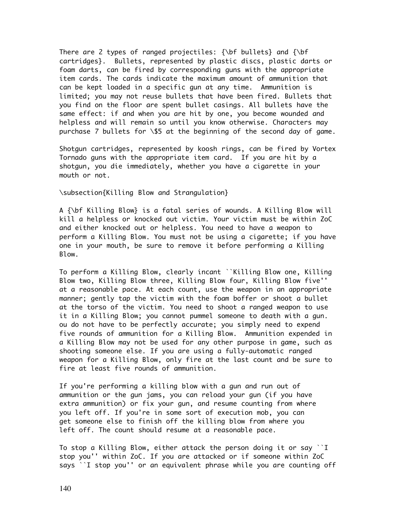There are 2 types of ranged projectiles: {\bf bullets} and {\bf cartridges}. Bullets, represented by plastic discs, plastic darts or foam darts, can be fired by corresponding guns with the appropriate item cards. The cards indicate the maximum amount of ammunition that can be kept loaded in a specific gun at any time. Ammunition is limited; you may not reuse bullets that have been fired. Bullets that you find on the floor are spent bullet casings. All bullets have the same effect: if and when you are hit by one, you become wounded and helpless and will remain so until you know otherwise. Characters may purchase 7 bullets for \\$5 at the beginning of the second day of game.

Shotgun cartridges, represented by koosh rings, can be fired by Vortex Tornado guns with the appropriate item card. If you are hit by a shotgun, you die immediately, whether you have a cigarette in your mouth or not.

\subsection{Killing Blow and Strangulation}

A {\bf Killing Blow} is a fatal series of wounds. A Killing Blow will kill a helpless or knocked out victim. Your victim must be within ZoC and either knocked out or helpless. You need to have a weapon to perform a Killing Blow. You must not be using a cigarette; if you have one in your mouth, be sure to remove it before performing a Killing Blow.

To perform a Killing Blow, clearly incant ``Killing Blow one, Killing Blow two, Killing Blow three, Killing Blow four, Killing Blow five'' at a reasonable pace. At each count, use the weapon in an appropriate manner; gently tap the victim with the foam boffer or shoot a bullet at the torso of the victim. You need to shoot a ranged weapon to use it in a Killing Blow; you cannot pummel someone to death with a gun. ou do not have to be perfectly accurate; you simply need to expend five rounds of ammunition for a Killing Blow. Ammunition expended in a Killing Blow may not be used for any other purpose in game, such as shooting someone else. If you are using a fully-automatic ranged weapon for a Killing Blow, only fire at the last count and be sure to fire at least five rounds of ammunition.

If you're performing a killing blow with a gun and run out of ammunition or the gun jams, you can reload your gun (if you have extra ammunition) or fix your gun, and resume counting from where you left off. If you're in some sort of execution mob, you can get someone else to finish off the killing blow from where you left off. The count should resume at a reasonable pace.

To stop a Killing Blow, either attack the person doing it or say ``I stop you'' within ZoC. If you are attacked or if someone within ZoC says ``I stop you'' or an equivalent phrase while you are counting off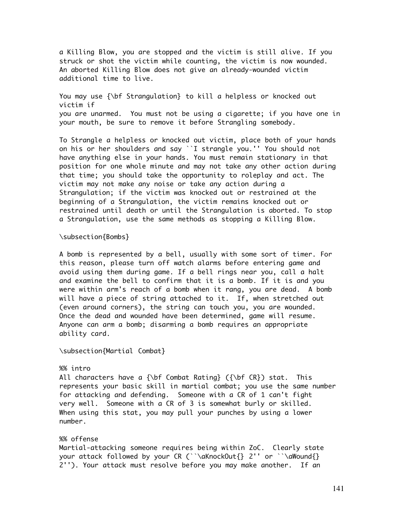a Killing Blow, you are stopped and the victim is still alive. If you struck or shot the victim while counting, the victim is now wounded. An aborted Killing Blow does not give an already-wounded victim additional time to live.

You may use {\bf Strangulation} to kill a helpless or knocked out victim if you are unarmed. You must not be using a cigarette; if you have one in your mouth, be sure to remove it before Strangling somebody.

To Strangle a helpless or knocked out victim, place both of your hands on his or her shoulders and say ``I strangle you.'' You should not have anything else in your hands. You must remain stationary in that position for one whole minute and may not take any other action during that time; you should take the opportunity to roleplay and act. The victim may not make any noise or take any action during a Strangulation; if the victim was knocked out or restrained at the beginning of a Strangulation, the victim remains knocked out or restrained until death or until the Strangulation is aborted. To stop a Strangulation, use the same methods as stopping a Killing Blow.

#### \subsection{Bombs}

A bomb is represented by a bell, usually with some sort of timer. For this reason, please turn off watch alarms before entering game and avoid using them during game. If a bell rings near you, call a halt and examine the bell to confirm that it is a bomb. If it is and you were within arm's reach of a bomb when it rang, you are dead. A bomb will have a piece of string attached to it. If, when stretched out (even around corners), the string can touch you, you are wounded. Once the dead and wounded have been determined, game will resume. Anyone can arm a bomb; disarming a bomb requires an appropriate ability card.

\subsection{Martial Combat}

### %% intro

All characters have a  ${\bf A}$  Combat Rating} ( ${\bf CR}$ ) stat. This represents your basic skill in martial combat; you use the same number for attacking and defending. Someone with a CR of 1 can't fight very well. Someone with a CR of 3 is somewhat burly or skilled. When using this stat, you may pull your punches by using a lower number.

#### %% offense

Martial-attacking someone requires being within ZoC. Clearly state your attack followed by your CR (``\aKnockOut{} 2'' or ``\aWound{} 2''). Your attack must resolve before you may make another. If an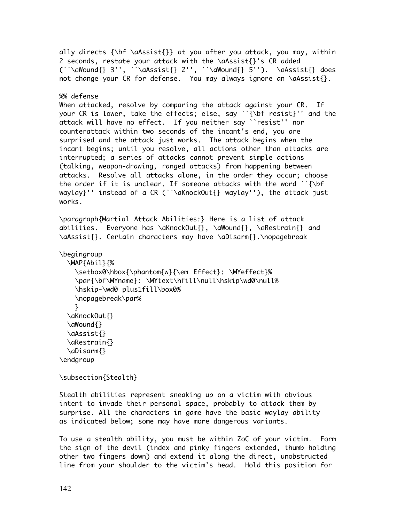```
ally directs {\bf \aAssist{}} at you after you attack, you may, within
2 seconds, restate your attack with the \aAssist{}'s CR added
(\cdot \dagger) 3'', \dagger\aAssist{} 2'', \dagger\aWound{} 5''). \aAssist{} does
not change your CR for defense. You may always ignore an \aAssist{}.
%% defense
When attacked, resolve by comparing the attack against your CR. If
your CR is lower, take the effects; else, say ``{\bf resist}'' and the
attack will have no effect. If you neither say ``resist'' nor
counterattack within two seconds of the incant's end, you are
surprised and the attack just works. The attack begins when the
incant begins; until you resolve, all actions other than attacks are
interrupted; a series of attacks cannot prevent simple actions
(talking, weapon-drawing, ranged attacks) from happening between
attacks. Resolve all attacks alone, in the order they occur; choose
the order if it is unclear. If someone attacks with the word ``{\bf f}waylay}'' instead of a CR (``\aKnockOut{} waylay''), the attack just
works.
\paragraph{Martial Attack Abilities:} Here is a list of attack
abilities. Everyone has \aKnockOut{}, \aWound{}, \aRestrain{} and
\aAssist{}. Certain characters may have \aDisarm{}.\nopagebreak
\begingroup
   \MAP{Abil}{%
    \setbox0\hbox{\phantom{w}{\em Effect}: \MYeffect}%
     \par{\bf\MYname}: \MYtext\hfill\null\hskip\wd0\null%
     \hskip-\wd0 plus1fill\box0%
     \nopagebreak\par%
     }
   \aKnockOut{}
   \aWound{}
   \aAssist{}
   \aRestrain{}
   \aDisarm{}
\endgroup
\subsection{Stealth}
Stealth abilities represent sneaking up on a victim with obvious
```
intent to invade their personal space, probably to attack them by surprise. All the characters in game have the basic waylay ability as indicated below; some may have more dangerous variants.

To use a stealth ability, you must be within ZoC of your victim. Form the sign of the devil (index and pinky fingers extended, thumb holding other two fingers down) and extend it along the direct, unobstructed line from your shoulder to the victim's head. Hold this position for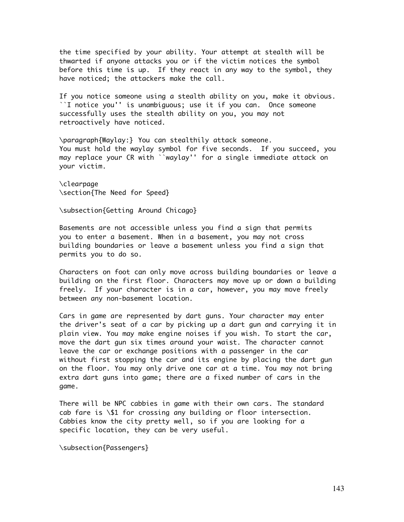the time specified by your ability. Your attempt at stealth will be thwarted if anyone attacks you or if the victim notices the symbol before this time is up. If they react in any way to the symbol, they have noticed; the attackers make the call.

If you notice someone using a stealth ability on you, make it obvious. ``I notice you'' is unambiguous; use it if you can. Once someone successfully uses the stealth ability on you, you may not retroactively have noticed.

\paragraph{Waylay:} You can stealthily attack someone. You must hold the waylay symbol for five seconds. If you succeed, you may replace your CR with ``waylay'' for a single immediate attack on your victim.

\clearpage \section{The Need for Speed}

\subsection{Getting Around Chicago}

Basements are not accessible unless you find a sign that permits you to enter a basement. When in a basement, you may not cross building boundaries or leave a basement unless you find a sign that permits you to do so.

Characters on foot can only move across building boundaries or leave a building on the first floor. Characters may move up or down a building freely. If your character is in a car, however, you may move freely between any non-basement location.

Cars in game are represented by dart guns. Your character may enter the driver's seat of a car by picking up a dart gun and carrying it in plain view. You may make engine noises if you wish. To start the car, move the dart gun six times around your waist. The character cannot leave the car or exchange positions with a passenger in the car without first stopping the car and its engine by placing the dart gun on the floor. You may only drive one car at a time. You may not bring extra dart guns into game; there are a fixed number of cars in the game.

There will be NPC cabbies in game with their own cars. The standard cab fare is \\$1 for crossing any building or floor intersection. Cabbies know the city pretty well, so if you are looking for a specific location, they can be very useful.

\subsection{Passengers}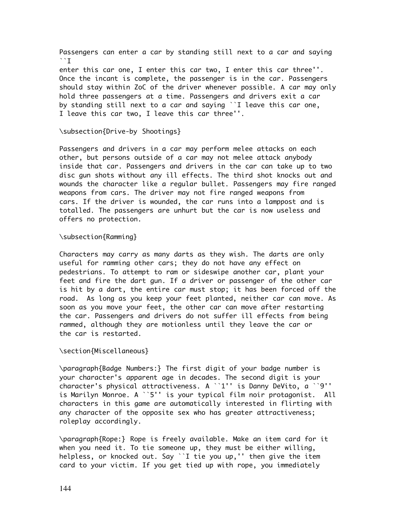Passengers can enter a car by standing still next to a car and saying ``I

enter this car one, I enter this car two, I enter this car three''. Once the incant is complete, the passenger is in the car. Passengers should stay within ZoC of the driver whenever possible. A car may only hold three passengers at a time. Passengers and drivers exit a car by standing still next to a car and saying ``I leave this car one, I leave this car two, I leave this car three''.

#### \subsection{Drive-by Shootings}

Passengers and drivers in a car may perform melee attacks on each other, but persons outside of a car may not melee attack anybody inside that car. Passengers and drivers in the car can take up to two disc gun shots without any ill effects. The third shot knocks out and wounds the character like a regular bullet. Passengers may fire ranged weapons from cars. The driver may not fire ranged weapons from cars. If the driver is wounded, the car runs into a lamppost and is totalled. The passengers are unhurt but the car is now useless and offers no protection.

#### \subsection{Ramming}

Characters may carry as many darts as they wish. The darts are only useful for ramming other cars; they do not have any effect on pedestrians. To attempt to ram or sideswipe another car, plant your feet and fire the dart gun. If a driver or passenger of the other car is hit by a dart, the entire car must stop; it has been forced off the road. As long as you keep your feet planted, neither car can move. As soon as you move your feet, the other car can move after restarting the car. Passengers and drivers do not suffer ill effects from being rammed, although they are motionless until they leave the car or the car is restarted.

#### \section{Miscellaneous}

\paragraph{Badge Numbers:} The first digit of your badge number is your character's apparent age in decades. The second digit is your character's physical attractiveness. A ``1'' is Danny DeVito, a ``9'' is Marilyn Monroe. A ``5'' is your typical film noir protagonist. All characters in this game are automatically interested in flirting with any character of the opposite sex who has greater attractiveness; roleplay accordingly.

\paragraph{Rope:} Rope is freely available. Make an item card for it when you need it. To tie someone up, they must be either willing, helpless, or knocked out. Say ``I tie you up,'' then give the item card to your victim. If you get tied up with rope, you immediately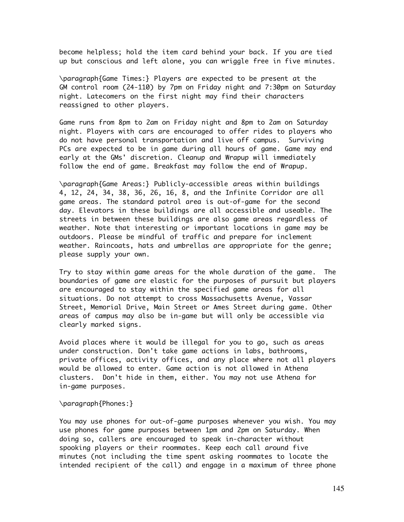become helpless; hold the item card behind your back. If you are tied up but conscious and left alone, you can wriggle free in five minutes.

\paragraph{Game Times:} Players are expected to be present at the GM control room (24-110) by 7pm on Friday night and 7:30pm on Saturday night. Latecomers on the first night may find their characters reassigned to other players.

Game runs from 8pm to 2am on Friday night and 8pm to 2am on Saturday night. Players with cars are encouraged to offer rides to players who do not have personal transportation and live off campus. Surviving PCs are expected to be in game during all hours of game. Game may end early at the GMs' discretion. Cleanup and Wrapup will immediately follow the end of game. Breakfast may follow the end of Wrapup.

\paragraph{Game Areas:} Publicly-accessible areas within buildings 4, 12, 24, 34, 38, 36, 26, 16, 8, and the Infinite Corridor are all game areas. The standard patrol area is out-of-game for the second day. Elevators in these buildings are all accessible and useable. The streets in between these buildings are also game areas regardless of weather. Note that interesting or important locations in game may be outdoors. Please be mindful of traffic and prepare for inclement weather. Raincoats, hats and umbrellas are appropriate for the genre; please supply your own.

Try to stay within game areas for the whole duration of the game. The boundaries of game are elastic for the purposes of pursuit but players are encouraged to stay within the specified game areas for all situations. Do not attempt to cross Massachusetts Avenue, Vassar Street, Memorial Drive, Main Street or Ames Street during game. Other areas of campus may also be in-game but will only be accessible via clearly marked signs.

Avoid places where it would be illegal for you to go, such as areas under construction. Don't take game actions in labs, bathrooms, private offices, activity offices, and any place where not all players would be allowed to enter. Game action is not allowed in Athena clusters. Don't hide in them, either. You may not use Athena for in-game purposes.

\paragraph{Phones:}

You may use phones for out-of-game purposes whenever you wish. You may use phones for game purposes between 1pm and 2pm on Saturday. When doing so, callers are encouraged to speak in-character without spooking players or their roommates. Keep each call around five minutes (not including the time spent asking roommates to locate the intended recipient of the call) and engage in a maximum of three phone